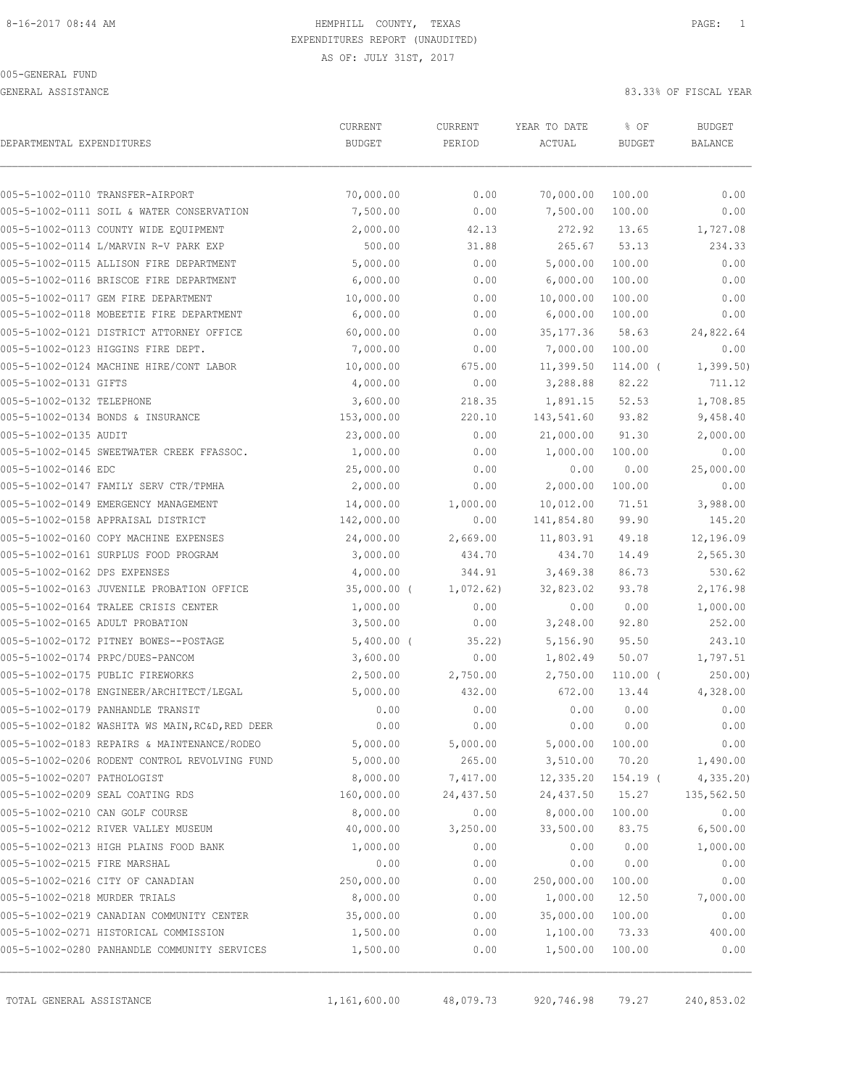GENERAL ASSISTANCE 83.33% OF FISCAL YEAR

| DEPARTMENTAL EXPENDITURES     |                                                 | CURRENT<br><b>BUDGET</b> | CURRENT<br>PERIOD | YEAR TO DATE<br>ACTUAL | % OF<br><b>BUDGET</b> | <b>BUDGET</b><br>BALANCE |
|-------------------------------|-------------------------------------------------|--------------------------|-------------------|------------------------|-----------------------|--------------------------|
|                               |                                                 |                          |                   |                        |                       |                          |
|                               | 005-5-1002-0110 TRANSFER-AIRPORT                | 70,000.00                | 0.00              | 70,000.00              | 100.00                | 0.00                     |
|                               | 005-5-1002-0111 SOIL & WATER CONSERVATION       | 7,500.00                 | 0.00              | 7,500.00               | 100.00                | 0.00                     |
|                               | 005-5-1002-0113 COUNTY WIDE EQUIPMENT           | 2,000.00                 | 42.13             | 272.92                 | 13.65                 | 1,727.08                 |
|                               | 005-5-1002-0114 L/MARVIN R-V PARK EXP           | 500.00                   | 31.88             | 265.67                 | 53.13                 | 234.33                   |
|                               | 005-5-1002-0115 ALLISON FIRE DEPARTMENT         | 5,000.00                 | 0.00              | 5,000.00               | 100.00                | 0.00                     |
|                               | 005-5-1002-0116 BRISCOE FIRE DEPARTMENT         | 6,000.00                 | 0.00              | 6,000.00               | 100.00                | 0.00                     |
|                               | 005-5-1002-0117 GEM FIRE DEPARTMENT             | 10,000.00                | 0.00              | 10,000.00              | 100.00                | 0.00                     |
|                               | 005-5-1002-0118 MOBEETIE FIRE DEPARTMENT        | 6,000.00                 | 0.00              | 6,000.00               | 100.00                | 0.00                     |
|                               | 005-5-1002-0121 DISTRICT ATTORNEY OFFICE        | 60,000.00                | 0.00              | 35, 177.36             | 58.63                 | 24,822.64                |
|                               | 005-5-1002-0123 HIGGINS FIRE DEPT.              | 7,000.00                 | 0.00              | 7,000.00               | 100.00                | 0.00                     |
|                               | 005-5-1002-0124 MACHINE HIRE/CONT LABOR         | 10,000.00                | 675.00            | 11,399.50              | $114.00$ (            | 1,399.50                 |
| 005-5-1002-0131 GIFTS         |                                                 | 4,000.00                 | 0.00              | 3,288.88               | 82.22                 | 711.12                   |
| 005-5-1002-0132 TELEPHONE     |                                                 | 3,600.00                 | 218.35            | 1,891.15               | 52.53                 | 1,708.85                 |
|                               | 005-5-1002-0134 BONDS & INSURANCE               | 153,000.00               | 220.10            | 143,541.60             | 93.82                 | 9,458.40                 |
| 005-5-1002-0135 AUDIT         |                                                 | 23,000.00                | 0.00              | 21,000.00              | 91.30                 | 2,000.00                 |
|                               | 005-5-1002-0145 SWEETWATER CREEK FFASSOC.       | 1,000.00                 | 0.00              | 1,000.00               | 100.00                | 0.00                     |
| 005-5-1002-0146 EDC           |                                                 | 25,000.00                | 0.00              | 0.00                   | 0.00                  | 25,000.00                |
|                               | 005-5-1002-0147 FAMILY SERV CTR/TPMHA           | 2,000.00                 | 0.00              | 2,000.00               | 100.00                | 0.00                     |
|                               | 005-5-1002-0149 EMERGENCY MANAGEMENT            | 14,000.00                | 1,000.00          | 10,012.00              | 71.51                 | 3,988.00                 |
|                               | 005-5-1002-0158 APPRAISAL DISTRICT              | 142,000.00               | 0.00              | 141,854.80             | 99.90                 | 145.20                   |
|                               | 005-5-1002-0160 COPY MACHINE EXPENSES           | 24,000.00                | 2,669.00          | 11,803.91              | 49.18                 | 12,196.09                |
|                               | 005-5-1002-0161 SURPLUS FOOD PROGRAM            | 3,000.00                 | 434.70            | 434.70                 | 14.49                 | 2,565.30                 |
| 005-5-1002-0162 DPS EXPENSES  |                                                 | 4,000.00                 | 344.91            | 3,469.38               | 86.73                 | 530.62                   |
|                               | 005-5-1002-0163 JUVENILE PROBATION OFFICE       | $35,000.00$ (            | 1,072.62)         | 32,823.02              | 93.78                 | 2,176.98                 |
|                               | 005-5-1002-0164 TRALEE CRISIS CENTER            | 1,000.00                 | 0.00              | 0.00                   | 0.00                  | 1,000.00                 |
|                               | 005-5-1002-0165 ADULT PROBATION                 | 3,500.00                 | 0.00              | 3,248.00               | 92.80                 | 252.00                   |
|                               | 005-5-1002-0172 PITNEY BOWES--POSTAGE           | $5,400.00$ (             | 35.22             | 5,156.90               | 95.50                 | 243.10                   |
|                               | 005-5-1002-0174 PRPC/DUES-PANCOM                | 3,600.00                 | 0.00              | 1,802.49               | 50.07                 | 1,797.51                 |
|                               | 005-5-1002-0175 PUBLIC FIREWORKS                | 2,500.00                 | 2,750.00          | 2,750.00               | $110.00$ (            | 250.00                   |
|                               | 005-5-1002-0178 ENGINEER/ARCHITECT/LEGAL        | 5,000.00                 | 432.00            | 672.00                 | 13.44                 | 4,328.00                 |
|                               | 005-5-1002-0179 PANHANDLE TRANSIT               | 0.00                     | 0.00              | 0.00                   | 0.00                  | 0.00                     |
|                               | 005-5-1002-0182 WASHITA WS MAIN, RC&D, RED DEER | 0.00                     | 0.00              | 0.00                   | 0.00                  | 0.00                     |
|                               | 005-5-1002-0183 REPAIRS & MAINTENANCE/RODEO     | 5,000.00                 | 5,000.00          | 5,000.00               | 100.00                | 0.00                     |
|                               | 005-5-1002-0206 RODENT CONTROL REVOLVING FUND   | 5,000.00                 | 265.00            | 3,510.00               | 70.20                 | 1,490.00                 |
| 005-5-1002-0207 PATHOLOGIST   |                                                 | 8,000.00                 | 7,417.00          | 12,335.20              | 154.19 (              | 4, 335.20                |
|                               | 005-5-1002-0209 SEAL COATING RDS                | 160,000.00               | 24,437.50         | 24,437.50              | 15.27                 | 135,562.50               |
|                               | 005-5-1002-0210 CAN GOLF COURSE                 | 8,000.00                 | 0.00              | 8,000.00               | 100.00                | 0.00                     |
|                               | 005-5-1002-0212 RIVER VALLEY MUSEUM             | 40,000.00                | 3,250.00          | 33,500.00              | 83.75                 | 6,500.00                 |
|                               | 005-5-1002-0213 HIGH PLAINS FOOD BANK           | 1,000.00                 | 0.00              | 0.00                   | 0.00                  | 1,000.00                 |
| 005-5-1002-0215 FIRE MARSHAL  |                                                 | 0.00                     | 0.00              | 0.00                   | 0.00                  | 0.00                     |
|                               | 005-5-1002-0216 CITY OF CANADIAN                | 250,000.00               | 0.00              | 250,000.00             | 100.00                | 0.00                     |
| 005-5-1002-0218 MURDER TRIALS |                                                 | 8,000.00                 | 0.00              | 1,000.00               | 12.50                 | 7,000.00                 |
|                               | 005-5-1002-0219 CANADIAN COMMUNITY CENTER       | 35,000.00                | 0.00              | 35,000.00              | 100.00                | 0.00                     |
|                               | 005-5-1002-0271 HISTORICAL COMMISSION           | 1,500.00                 | 0.00              | 1,100.00               | 73.33                 | 400.00                   |
|                               | 005-5-1002-0280 PANHANDLE COMMUNITY SERVICES    | 1,500.00                 | 0.00              | 1,500.00               | 100.00                | 0.00                     |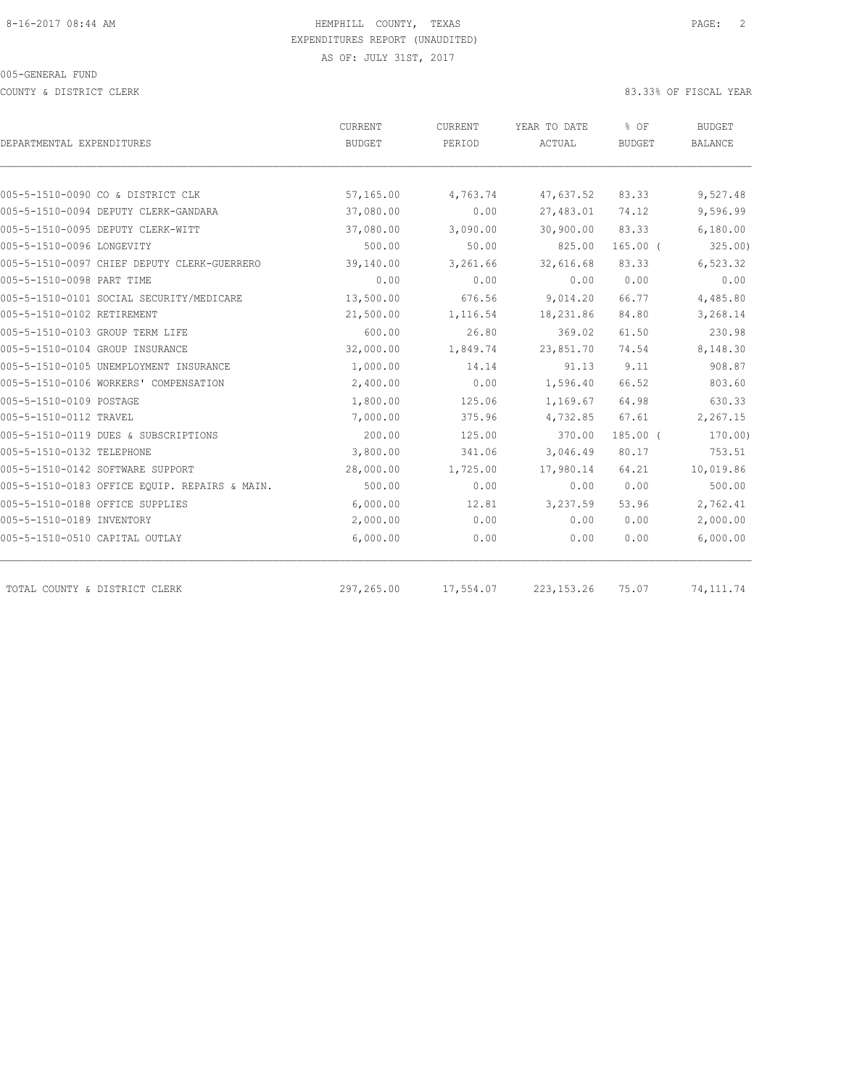COUNTY & DISTRICT CLERK 83.33% OF FISCAL YEAR

|                                               | <b>CURRENT</b> | CURRENT   | YEAR TO DATE | % OF          | BUDGET         |
|-----------------------------------------------|----------------|-----------|--------------|---------------|----------------|
| DEPARTMENTAL EXPENDITURES                     | BUDGET         | PERIOD    | ACTUAL       | <b>BUDGET</b> | <b>BALANCE</b> |
|                                               |                |           |              |               |                |
| 005-5-1510-0090 CO & DISTRICT CLK             | 57,165.00      | 4,763.74  | 47,637.52    | 83.33         | 9,527.48       |
| 005-5-1510-0094 DEPUTY CLERK-GANDARA          | 37,080.00      | 0.00      | 27,483.01    | 74.12         | 9,596.99       |
| 005-5-1510-0095 DEPUTY CLERK-WITT             | 37,080.00      | 3,090.00  | 30,900.00    | 83.33         | 6,180.00       |
| 005-5-1510-0096 LONGEVITY                     | 500.00         | 50.00     | 825.00       | $165.00$ (    | 325.00         |
| 005-5-1510-0097 CHIEF DEPUTY CLERK-GUERRERO   | 39,140.00      | 3,261.66  | 32,616.68    | 83.33         | 6,523.32       |
| 005-5-1510-0098 PART TIME                     | 0.00           | 0.00      | 0.00         | 0.00          | 0.00           |
| 005-5-1510-0101 SOCIAL SECURITY/MEDICARE      | 13,500.00      | 676.56    | 9,014.20     | 66.77         | 4,485.80       |
| 005-5-1510-0102 RETIREMENT                    | 21,500.00      | 1,116.54  | 18,231.86    | 84.80         | 3,268.14       |
| 005-5-1510-0103 GROUP TERM LIFE               | 600.00         | 26.80     | 369.02       | 61.50         | 230.98         |
| 005-5-1510-0104 GROUP INSURANCE               | 32,000.00      | 1,849.74  | 23,851.70    | 74.54         | 8,148.30       |
| 005-5-1510-0105 UNEMPLOYMENT INSURANCE        | 1,000.00       | 14.14     | 91.13        | 9.11          | 908.87         |
| 005-5-1510-0106 WORKERS' COMPENSATION         | 2,400.00       | 0.00      | 1,596.40     | 66.52         | 803.60         |
| 005-5-1510-0109 POSTAGE                       | 1,800.00       | 125.06    | 1,169.67     | 64.98         | 630.33         |
| 005-5-1510-0112 TRAVEL                        | 7,000.00       | 375.96    | 4,732.85     | 67.61         | 2,267.15       |
| 005-5-1510-0119 DUES & SUBSCRIPTIONS          | 200.00         | 125.00    | 370.00       | $185.00$ (    | 170.00         |
| 005-5-1510-0132 TELEPHONE                     | 3,800.00       | 341.06    | 3,046.49     | 80.17         | 753.51         |
| 005-5-1510-0142 SOFTWARE SUPPORT              | 28,000.00      | 1,725.00  | 17,980.14    | 64.21         | 10,019.86      |
| 005-5-1510-0183 OFFICE EOUIP. REPAIRS & MAIN. | 500.00         | 0.00      | 0.00         | 0.00          | 500.00         |
| 005-5-1510-0188 OFFICE SUPPLIES               | 6,000.00       | 12.81     | 3,237.59     | 53.96         | 2,762.41       |
| 005-5-1510-0189 INVENTORY                     | 2,000.00       | 0.00      | 0.00         | 0.00          | 2,000.00       |
| 005-5-1510-0510 CAPITAL OUTLAY                | 6,000.00       | 0.00      | 0.00         | 0.00          | 6,000.00       |
|                                               |                |           |              |               |                |
| TOTAL COUNTY & DISTRICT CLERK                 | 297,265.00     | 17,554.07 | 223, 153. 26 | 75.07         | 74, 111.74     |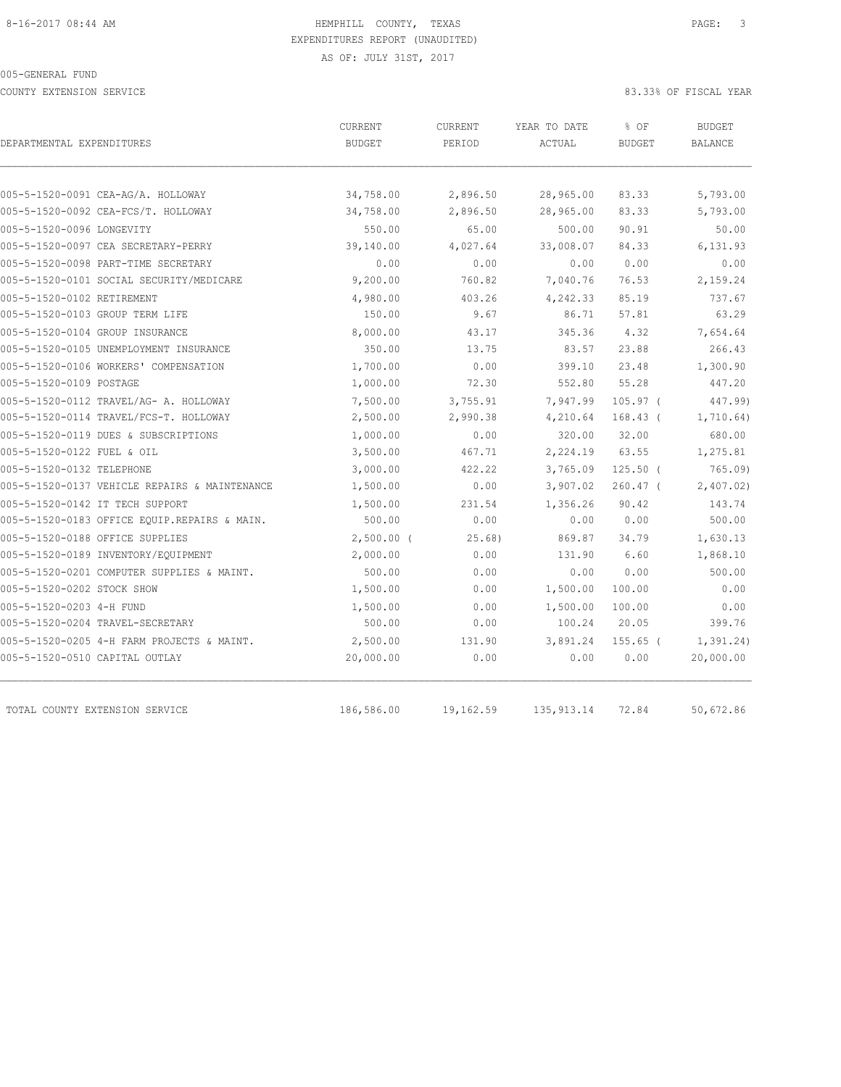COUNTY EXTENSION SERVICE 83.33% OF FISCAL YEAR

| DEPARTMENTAL EXPENDITURES                     | <b>CURRENT</b><br><b>BUDGET</b> | <b>CURRENT</b><br>PERIOD | YEAR TO DATE<br>ACTUAL | % OF<br><b>BUDGET</b> | <b>BUDGET</b><br>BALANCE |
|-----------------------------------------------|---------------------------------|--------------------------|------------------------|-----------------------|--------------------------|
| 005-5-1520-0091 CEA-AG/A. HOLLOWAY            | 34,758.00                       | 2,896.50                 | 28,965.00              | 83.33                 | 5,793.00                 |
| 005-5-1520-0092 CEA-FCS/T. HOLLOWAY           | 34,758.00                       | 2,896.50                 | 28,965.00              | 83.33                 | 5,793.00                 |
| 005-5-1520-0096 LONGEVITY                     | 550.00                          | 65.00                    | 500.00                 | 90.91                 | 50.00                    |
| 005-5-1520-0097 CEA SECRETARY-PERRY           | 39,140.00                       | 4,027.64                 | 33,008.07              | 84.33                 | 6,131.93                 |
| 005-5-1520-0098 PART-TIME SECRETARY           | 0.00                            | 0.00                     | 0.00                   | 0.00                  | 0.00                     |
| 005-5-1520-0101 SOCIAL SECURITY/MEDICARE      | 9,200.00                        | 760.82                   | 7,040.76               | 76.53                 | 2,159.24                 |
| 005-5-1520-0102 RETIREMENT                    | 4,980.00                        | 403.26                   | 4,242.33               | 85.19                 | 737.67                   |
| 005-5-1520-0103 GROUP TERM LIFE               | 150.00                          | 9.67                     | 86.71                  | 57.81                 | 63.29                    |
| 005-5-1520-0104 GROUP INSURANCE               | 8,000.00                        | 43.17                    | 345.36                 | 4.32                  | 7,654.64                 |
| 005-5-1520-0105 UNEMPLOYMENT INSURANCE        | 350.00                          | 13.75                    | 83.57                  | 23.88                 | 266.43                   |
| 005-5-1520-0106 WORKERS' COMPENSATION         | 1,700.00                        | 0.00                     | 399.10                 | 23.48                 | 1,300.90                 |
| 005-5-1520-0109 POSTAGE                       | 1,000.00                        | 72.30                    | 552.80                 | 55.28                 | 447.20                   |
| 005-5-1520-0112 TRAVEL/AG- A. HOLLOWAY        | 7,500.00                        | 3,755.91                 | 7,947.99               | $105.97$ (            | 447.99)                  |
| 005-5-1520-0114 TRAVEL/FCS-T. HOLLOWAY        | 2,500.00                        | 2,990.38                 | 4,210.64               | $168.43$ (            | 1,710.64)                |
| 005-5-1520-0119 DUES & SUBSCRIPTIONS          | 1,000.00                        | 0.00                     | 320.00                 | 32.00                 | 680.00                   |
| 005-5-1520-0122 FUEL & OIL                    | 3,500.00                        | 467.71                   | 2,224.19               | 63.55                 | 1,275.81                 |
| 005-5-1520-0132 TELEPHONE                     | 3,000.00                        | 422.22                   | 3,765.09               | $125.50$ (            | 765.09                   |
| 005-5-1520-0137 VEHICLE REPAIRS & MAINTENANCE | 1,500.00                        | 0.00                     | 3,907.02               | $260.47$ (            | 2,407.02                 |
| 005-5-1520-0142 IT TECH SUPPORT               | 1,500.00                        | 231.54                   | 1,356.26               | 90.42                 | 143.74                   |
| 005-5-1520-0183 OFFICE EQUIP.REPAIRS & MAIN.  | 500.00                          | 0.00                     | 0.00                   | 0.00                  | 500.00                   |
| 005-5-1520-0188 OFFICE SUPPLIES               | $2,500.00$ (                    | 25.68)                   | 869.87                 | 34.79                 | 1,630.13                 |
| 005-5-1520-0189 INVENTORY/EQUIPMENT           | 2,000.00                        | 0.00                     | 131.90                 | 6.60                  | 1,868.10                 |
| 005-5-1520-0201 COMPUTER SUPPLIES & MAINT.    | 500.00                          | 0.00                     | 0.00                   | 0.00                  | 500.00                   |
| 005-5-1520-0202 STOCK SHOW                    | 1,500.00                        | 0.00                     | 1,500.00               | 100.00                | 0.00                     |
| 005-5-1520-0203 4-H FUND                      | 1,500.00                        | 0.00                     | 1,500.00               | 100.00                | 0.00                     |
| 005-5-1520-0204 TRAVEL-SECRETARY              | 500.00                          | 0.00                     | 100.24                 | 20.05                 | 399.76                   |
| 005-5-1520-0205 4-H FARM PROJECTS & MAINT.    | 2,500.00                        | 131.90                   | 3,891.24               | $155.65$ $($          | 1, 391.24)               |
| 005-5-1520-0510 CAPITAL OUTLAY                | 20,000.00                       | 0.00                     | 0.00                   | 0.00                  | 20,000.00                |
| TOTAL COUNTY EXTENSION SERVICE                | 186,586.00                      | 19,162.59                | 135, 913.14            | 72.84                 | 50,672.86                |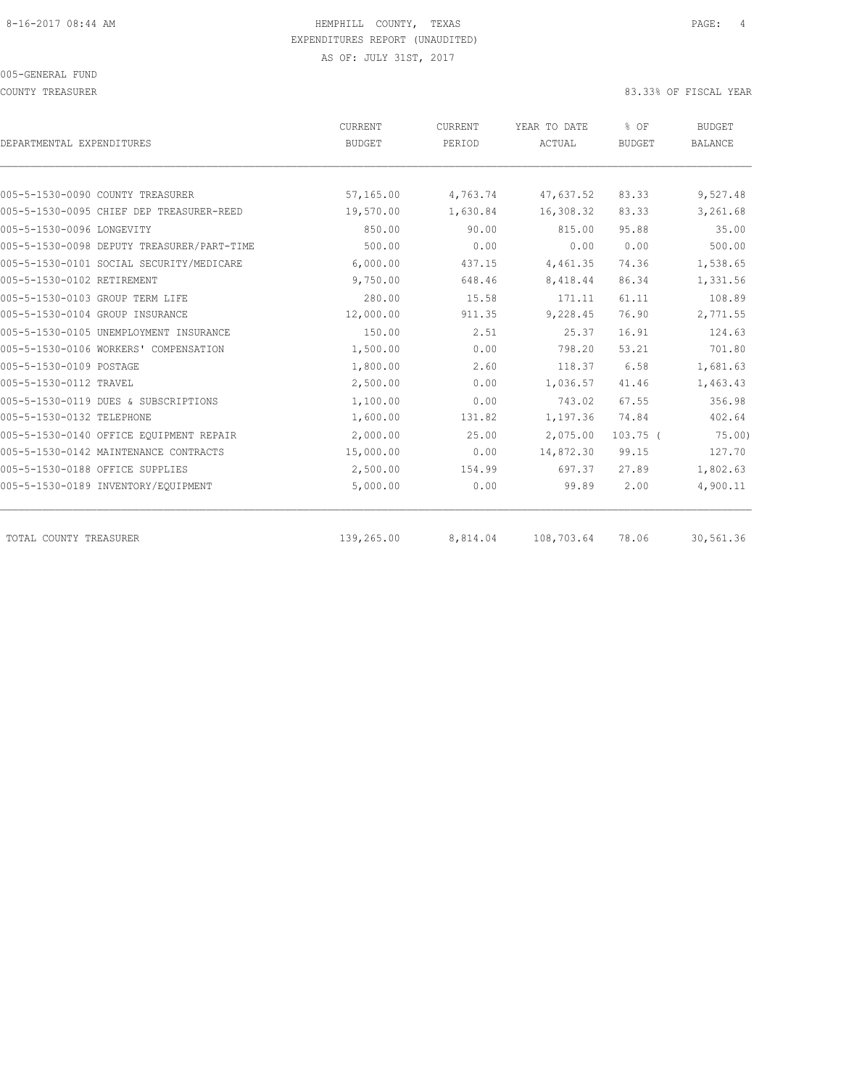COUNTY TREASURER **EXECUTE:** 83.33% OF FISCAL YEAR

| DEPARTMENTAL EXPENDITURES                  | <b>CURRENT</b><br><b>BUDGET</b> | CURRENT<br>PERIOD | YEAR TO DATE<br>ACTUAL | % OF<br><b>BUDGET</b> | <b>BUDGET</b><br><b>BALANCE</b> |
|--------------------------------------------|---------------------------------|-------------------|------------------------|-----------------------|---------------------------------|
|                                            |                                 |                   |                        |                       |                                 |
| 005-5-1530-0090 COUNTY TREASURER           | 57,165.00                       | 4,763.74          | 47,637.52              | 83.33                 | 9,527.48                        |
| 005-5-1530-0095 CHIEF DEP TREASURER-REED   | 19,570.00                       | 1,630.84          | 16,308.32              | 83.33                 | 3,261.68                        |
| 005-5-1530-0096 LONGEVITY                  | 850.00                          | 90.00             | 815.00                 | 95.88                 | 35.00                           |
| 005-5-1530-0098 DEPUTY TREASURER/PART-TIME | 500.00                          | 0.00              | 0.00                   | 0.00                  | 500.00                          |
| 005-5-1530-0101 SOCIAL SECURITY/MEDICARE   | 6,000.00                        | 437.15            | 4,461.35               | 74.36                 | 1,538.65                        |
| 005-5-1530-0102 RETIREMENT                 | 9,750.00                        | 648.46            | 8,418.44               | 86.34                 | 1,331.56                        |
| 005-5-1530-0103 GROUP TERM LIFE            | 280.00                          | 15.58             | 171.11                 | 61.11                 | 108.89                          |
| 005-5-1530-0104 GROUP INSURANCE            | 12,000.00                       | 911.35            | 9,228.45               | 76.90                 | 2,771.55                        |
| 005-5-1530-0105 UNEMPLOYMENT INSURANCE     | 150.00                          | 2.51              | 25.37                  | 16.91                 | 124.63                          |
| 005-5-1530-0106 WORKERS' COMPENSATION      | 1,500.00                        | 0.00              | 798.20                 | 53.21                 | 701.80                          |
| 005-5-1530-0109 POSTAGE                    | 1,800.00                        | 2.60              | 118.37                 | 6.58                  | 1,681.63                        |
| 005-5-1530-0112 TRAVEL                     | 2,500.00                        | 0.00              | 1,036.57               | 41.46                 | 1,463.43                        |
| 005-5-1530-0119 DUES & SUBSCRIPTIONS       | 1,100.00                        | 0.00              | 743.02                 | 67.55                 | 356.98                          |
| 005-5-1530-0132 TELEPHONE                  | 1,600.00                        | 131.82            | 1,197.36               | 74.84                 | 402.64                          |
| 005-5-1530-0140 OFFICE EQUIPMENT REPAIR    | 2,000.00                        | 25.00             | 2,075.00               | $103.75$ (            | 75.00                           |
| 005-5-1530-0142 MAINTENANCE CONTRACTS      | 15,000.00                       | 0.00              | 14,872.30              | 99.15                 | 127.70                          |
| 005-5-1530-0188 OFFICE SUPPLIES            | 2,500.00                        | 154.99            | 697.37                 | 27.89                 | 1,802.63                        |
| 005-5-1530-0189 INVENTORY/EQUIPMENT        | 5,000.00                        | 0.00              | 99.89                  | 2.00                  | 4,900.11                        |
| TOTAL COUNTY TREASURER                     | 139,265.00                      | 8,814.04          | 108,703.64             | 78.06                 | 30,561.36                       |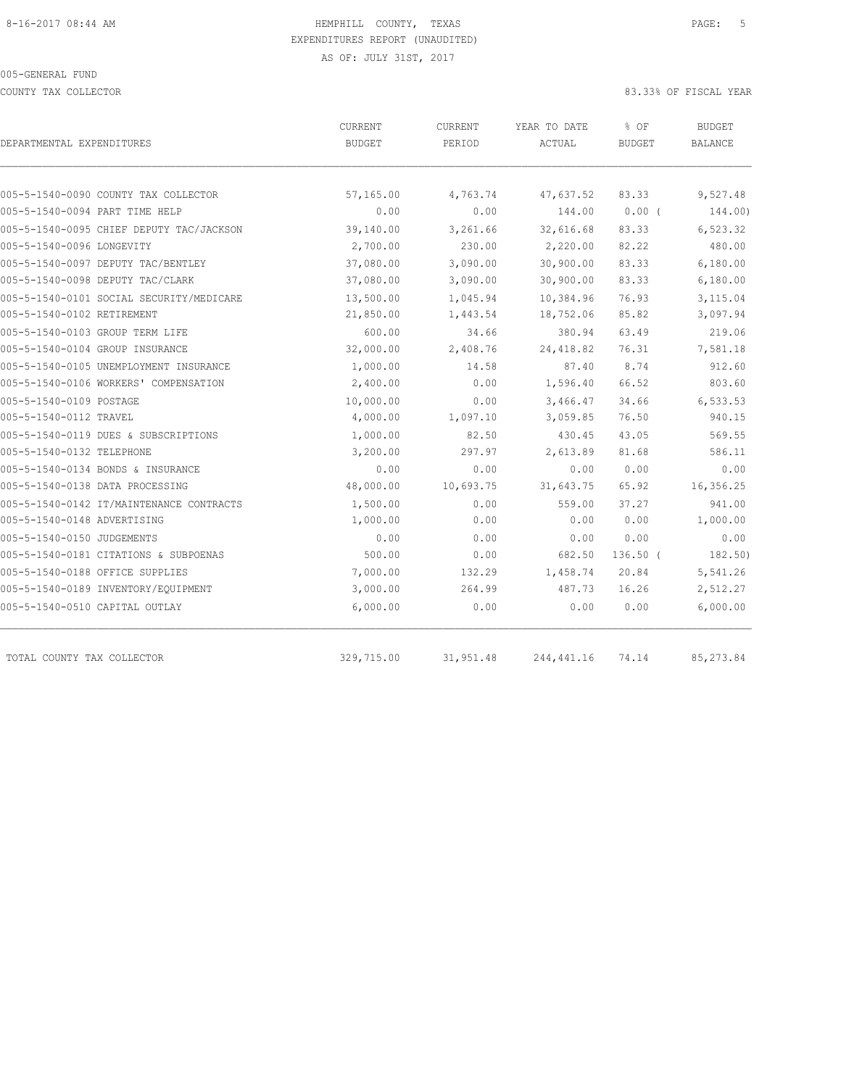COUNTY TAX COLLECTOR 83.33% OF FISCAL YEAR

| DEPARTMENTAL EXPENDITURES                | CURRENT<br><b>BUDGET</b> | CURRENT<br>PERIOD | YEAR TO DATE<br>ACTUAL | % OF<br><b>BUDGET</b> | <b>BUDGET</b><br>BALANCE |
|------------------------------------------|--------------------------|-------------------|------------------------|-----------------------|--------------------------|
|                                          |                          |                   |                        |                       |                          |
| 005-5-1540-0090 COUNTY TAX COLLECTOR     | 57,165.00                | 4,763.74          | 47,637.52              | 83.33                 | 9,527.48                 |
| 005-5-1540-0094 PART TIME HELP           | 0.00                     | 0.00              | 144.00                 | $0.00$ (              | 144.00)                  |
| 005-5-1540-0095 CHIEF DEPUTY TAC/JACKSON | 39,140.00                | 3,261.66          | 32,616.68              | 83.33                 | 6,523.32                 |
| 005-5-1540-0096 LONGEVITY                | 2,700.00                 | 230.00            | 2,220.00               | 82.22                 | 480.00                   |
| 005-5-1540-0097 DEPUTY TAC/BENTLEY       | 37,080.00                | 3,090.00          | 30,900.00              | 83.33                 | 6,180.00                 |
| 005-5-1540-0098 DEPUTY TAC/CLARK         | 37,080.00                | 3,090.00          | 30,900.00              | 83.33                 | 6,180.00                 |
| 005-5-1540-0101 SOCIAL SECURITY/MEDICARE | 13,500.00                | 1,045.94          | 10,384.96              | 76.93                 | 3,115.04                 |
| 005-5-1540-0102 RETIREMENT               | 21,850.00                | 1,443.54          | 18,752.06              | 85.82                 | 3,097.94                 |
| 005-5-1540-0103 GROUP TERM LIFE          | 600.00                   | 34.66             | 380.94                 | 63.49                 | 219.06                   |
| 005-5-1540-0104 GROUP INSURANCE          | 32,000.00                | 2,408.76          | 24, 418.82             | 76.31                 | 7,581.18                 |
| 005-5-1540-0105 UNEMPLOYMENT INSURANCE   | 1,000.00                 | 14.58             | 87.40                  | 8.74                  | 912.60                   |
| 005-5-1540-0106 WORKERS' COMPENSATION    | 2,400.00                 | 0.00              | 1,596.40               | 66.52                 | 803.60                   |
| 005-5-1540-0109 POSTAGE                  | 10,000.00                | 0.00              | 3,466.47               | 34.66                 | 6,533.53                 |
| 005-5-1540-0112 TRAVEL                   | 4,000.00                 | 1,097.10          | 3,059.85               | 76.50                 | 940.15                   |
| 005-5-1540-0119 DUES & SUBSCRIPTIONS     | 1,000.00                 | 82.50             | 430.45                 | 43.05                 | 569.55                   |
| 005-5-1540-0132 TELEPHONE                | 3,200.00                 | 297.97            | 2,613.89               | 81.68                 | 586.11                   |
| 005-5-1540-0134 BONDS & INSURANCE        | 0.00                     | 0.00              | 0.00                   | 0.00                  | 0.00                     |
| 005-5-1540-0138 DATA PROCESSING          | 48,000.00                | 10,693.75         | 31,643.75              | 65.92                 | 16,356.25                |
| 005-5-1540-0142 IT/MAINTENANCE CONTRACTS | 1,500.00                 | 0.00              | 559.00                 | 37.27                 | 941.00                   |
| 005-5-1540-0148 ADVERTISING              | 1,000.00                 | 0.00              | 0.00                   | 0.00                  | 1,000.00                 |
| 005-5-1540-0150 JUDGEMENTS               | 0.00                     | 0.00              | 0.00                   | 0.00                  | 0.00                     |
| 005-5-1540-0181 CITATIONS & SUBPOENAS    | 500.00                   | 0.00              | 682.50                 | $136.50$ (            | 182.50)                  |
| 005-5-1540-0188 OFFICE SUPPLIES          | 7,000.00                 | 132.29            | 1,458.74               | 20.84                 | 5,541.26                 |
| 005-5-1540-0189 INVENTORY/EQUIPMENT      | 3,000.00                 | 264.99            | 487.73                 | 16.26                 | 2,512.27                 |
| 005-5-1540-0510 CAPITAL OUTLAY           | 6,000.00                 | 0.00              | 0.00                   | 0.00                  | 6,000.00                 |
| TOTAL COUNTY TAX COLLECTOR               | 329,715.00               | 31,951.48         | 244,441.16             | 74.14                 | 85, 273.84               |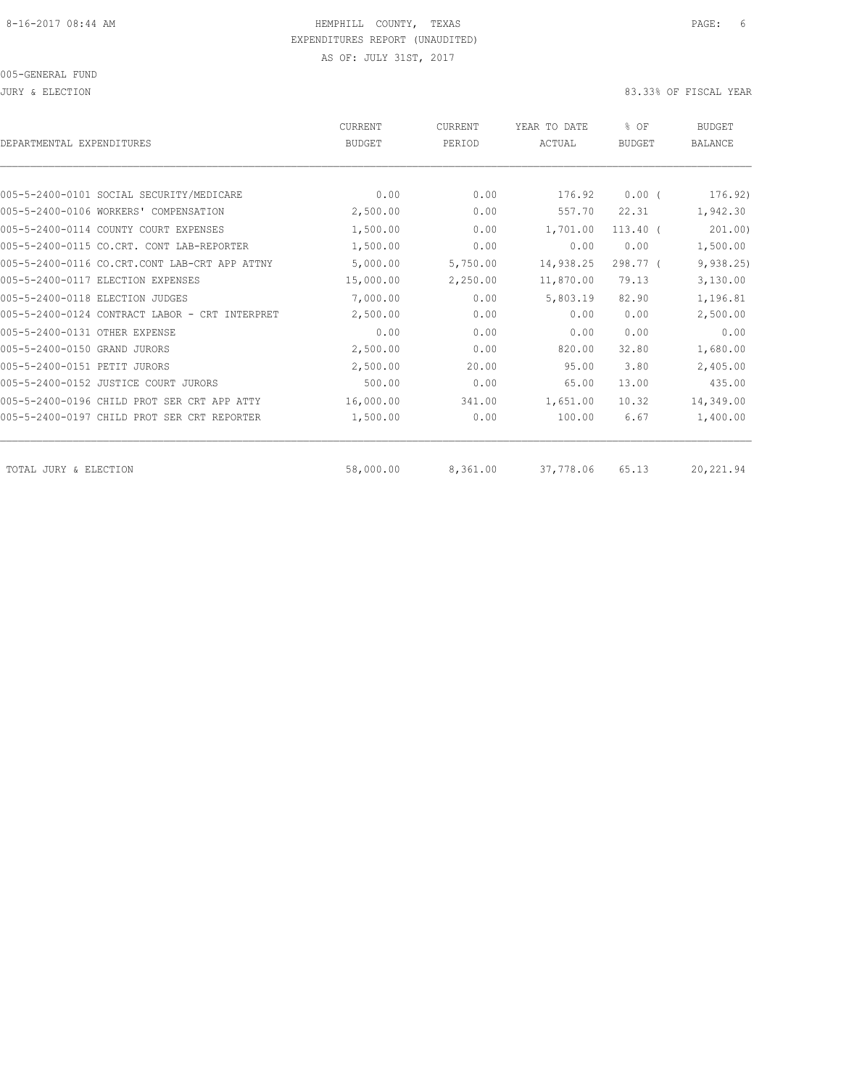JURY & ELECTION 83.33% OF FISCAL YEAR

| DEPARTMENTAL EXPENDITURES                      | <b>CURRENT</b><br><b>BUDGET</b> | CURRENT<br>PERIOD | YEAR TO DATE<br>ACTUAL | % OF<br><b>BUDGET</b> | <b>BUDGET</b><br><b>BALANCE</b> |
|------------------------------------------------|---------------------------------|-------------------|------------------------|-----------------------|---------------------------------|
|                                                |                                 |                   |                        |                       |                                 |
| 005-5-2400-0101 SOCIAL SECURITY/MEDICARE       | 0.00                            | 0.00              | 176.92                 | 0.00(                 | 176.92)                         |
| 005-5-2400-0106 WORKERS' COMPENSATION          | 2,500.00                        | 0.00              | 557.70                 | 22.31                 | 1,942.30                        |
| 005-5-2400-0114 COUNTY COURT EXPENSES          | 1,500.00                        | 0.00              | 1,701.00               | $113.40$ (            | 201.00                          |
| 005-5-2400-0115 CO.CRT. CONT LAB-REPORTER      | 1,500.00                        | 0.00              | 0.00                   | 0.00                  | 1,500.00                        |
| 005-5-2400-0116 CO.CRT.CONT LAB-CRT APP ATTNY  | 5,000.00                        | 5,750.00          | 14,938.25              | $298.77$ (            | 9,938.25                        |
| 005-5-2400-0117 ELECTION EXPENSES              | 15,000.00                       | 2,250.00          | 11,870.00              | 79.13                 | 3,130.00                        |
| 005-5-2400-0118 ELECTION JUDGES                | 7,000.00                        | 0.00              | 5,803.19               | 82.90                 | 1,196.81                        |
| 005-5-2400-0124 CONTRACT LABOR - CRT INTERPRET | 2,500.00                        | 0.00              | 0.00                   | 0.00                  | 2,500.00                        |
| 005-5-2400-0131 OTHER EXPENSE                  | 0.00                            | 0.00              | 0.00                   | 0.00                  | 0.00                            |
| 005-5-2400-0150 GRAND JURORS                   | 2,500.00                        | 0.00              | 820.00                 | 32.80                 | 1,680.00                        |
| 005-5-2400-0151 PETIT JURORS                   | 2,500.00                        | 20.00             | 95.00                  | 3.80                  | 2,405.00                        |
| 005-5-2400-0152 JUSTICE COURT JURORS           | 500.00                          | 0.00              | 65.00                  | 13.00                 | 435.00                          |
| 005-5-2400-0196 CHILD PROT SER CRT APP ATTY    | 16,000.00                       | 341.00            | 1,651.00               | 10.32                 | 14,349.00                       |
| 005-5-2400-0197 CHILD PROT SER CRT REPORTER    | 1,500.00                        | 0.00              | 100.00                 | 6.67                  | 1,400.00                        |
| TOTAL JURY & ELECTION                          | 58,000.00                       | 8,361.00          | 37,778.06              | 65.13                 | 20,221.94                       |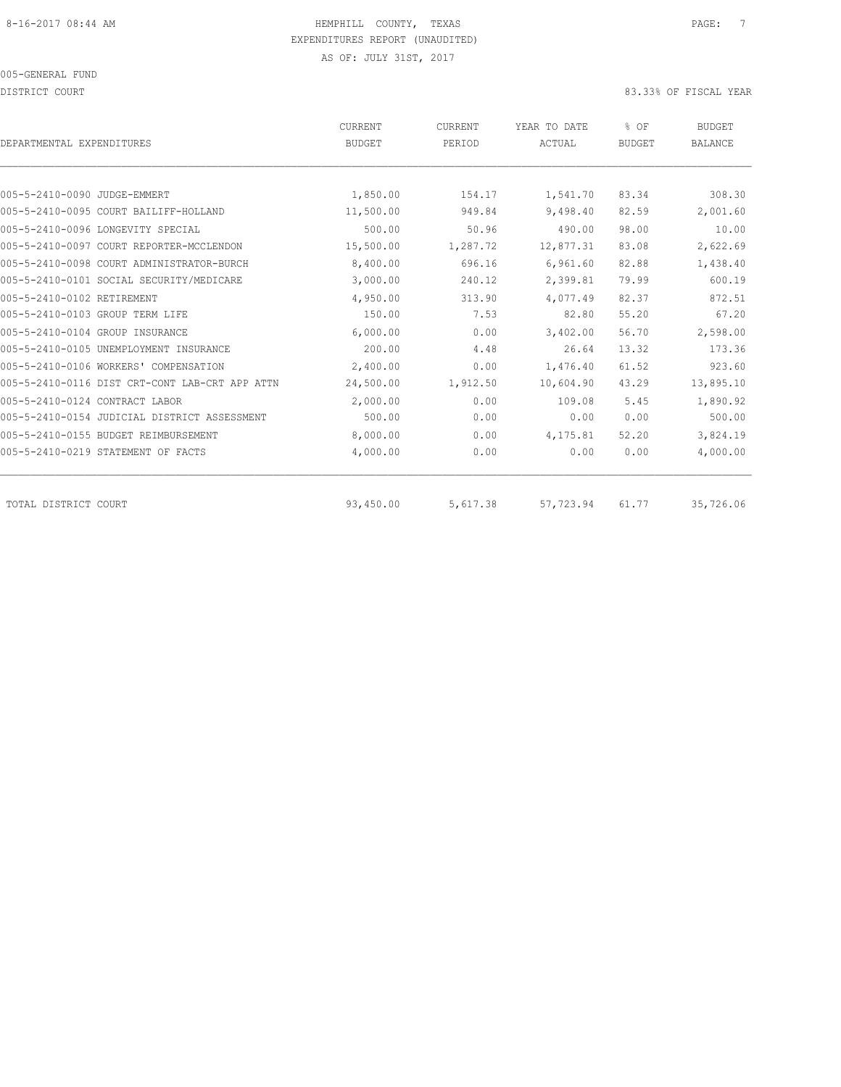DISTRICT COURT COURT COURT COURT COURT COURT COURT COURT COURT COURT COURT COURT COURT COURT COURT COURT COURT

| DEPARTMENTAL EXPENDITURES                      | CURRENT<br><b>BUDGET</b> | CURRENT<br>PERIOD | YEAR TO DATE<br>ACTUAL | % OF<br><b>BUDGET</b> | <b>BUDGET</b><br><b>BALANCE</b> |
|------------------------------------------------|--------------------------|-------------------|------------------------|-----------------------|---------------------------------|
|                                                |                          |                   |                        |                       |                                 |
| 005-5-2410-0090 JUDGE-EMMERT                   | 1,850.00                 | 154.17            | 1,541.70               | 83.34                 | 308.30                          |
| 005-5-2410-0095 COURT BAILIFF-HOLLAND          | 11,500.00                | 949.84            | 9,498.40               | 82.59                 | 2,001.60                        |
| 005-5-2410-0096 LONGEVITY SPECIAL              | 500.00                   | 50.96             | 490.00                 | 98.00                 | 10.00                           |
| 005-5-2410-0097 COURT REPORTER-MCCLENDON       | 15,500.00                | 1,287.72          | 12,877.31              | 83.08                 | 2,622.69                        |
| 005-5-2410-0098 COURT ADMINISTRATOR-BURCH      | 8,400.00                 | 696.16            | 6,961.60               | 82.88                 | 1,438.40                        |
| 005-5-2410-0101 SOCIAL SECURITY/MEDICARE       | 3,000.00                 | 240.12            | 2,399.81               | 79.99                 | 600.19                          |
| 005-5-2410-0102 RETIREMENT                     | 4,950.00                 | 313.90            | 4,077.49               | 82.37                 | 872.51                          |
| 005-5-2410-0103 GROUP TERM LIFE                | 150.00                   | 7.53              | 82.80                  | 55.20                 | 67.20                           |
| 005-5-2410-0104 GROUP INSURANCE                | 6,000.00                 | 0.00              | 3,402.00               | 56.70                 | 2,598.00                        |
| 005-5-2410-0105 UNEMPLOYMENT INSURANCE         | 200.00                   | 4.48              | 26.64                  | 13.32                 | 173.36                          |
| 005-5-2410-0106 WORKERS' COMPENSATION          | 2,400.00                 | 0.00              | 1,476.40               | 61.52                 | 923.60                          |
| 005-5-2410-0116 DIST CRT-CONT LAB-CRT APP ATTN | 24,500.00                | 1,912.50          | 10,604.90              | 43.29                 | 13,895.10                       |
| 005-5-2410-0124 CONTRACT LABOR                 | 2,000.00                 | 0.00              | 109.08                 | 5.45                  | 1,890.92                        |
| 005-5-2410-0154 JUDICIAL DISTRICT ASSESSMENT   | 500.00                   | 0.00              | 0.00                   | 0.00                  | 500.00                          |
| 005-5-2410-0155 BUDGET REIMBURSEMENT           | 8,000.00                 | 0.00              | 4,175.81               | 52.20                 | 3,824.19                        |
| 005-5-2410-0219 STATEMENT OF FACTS             | 4,000.00                 | 0.00              | 0.00                   | 0.00                  | 4,000.00                        |
| TOTAL DISTRICT COURT                           | 93,450.00                | 5,617.38          | 57,723.94              | 61.77                 | 35,726.06                       |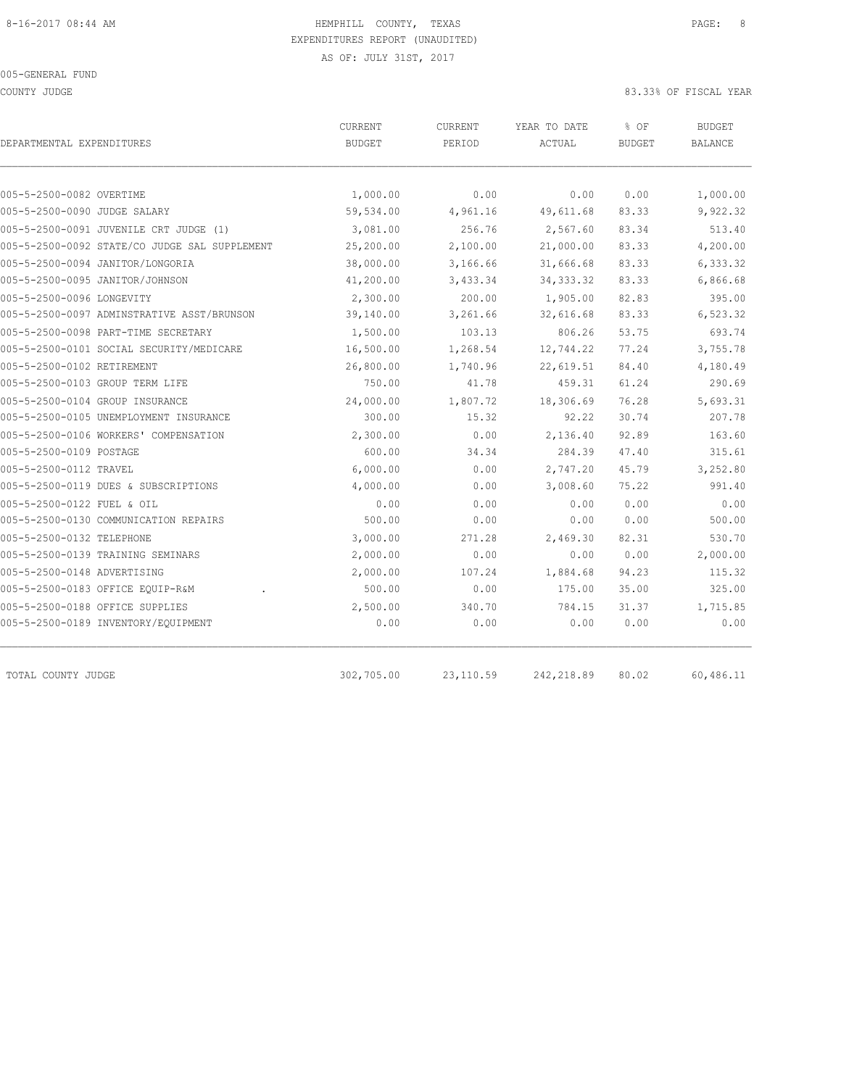COUNTY JUDGE 83.33% OF FISCAL YEAR

|                                               | <b>BUDGET</b> | PERIOD   | ACTUAL     | <b>BUDGET</b> | <b>BUDGET</b><br><b>BALANCE</b> |
|-----------------------------------------------|---------------|----------|------------|---------------|---------------------------------|
|                                               |               |          |            |               |                                 |
| 005-5-2500-0082 OVERTIME                      | 1,000.00      | 0.00     | 0.00       | 0.00          | 1,000.00                        |
| 005-5-2500-0090 JUDGE SALARY                  | 59,534.00     | 4,961.16 | 49,611.68  | 83.33         | 9,922.32                        |
| 005-5-2500-0091 JUVENILE CRT JUDGE (1)        | 3,081.00      | 256.76   | 2,567.60   | 83.34         | 513.40                          |
| 005-5-2500-0092 STATE/CO JUDGE SAL SUPPLEMENT | 25,200.00     | 2,100.00 | 21,000.00  | 83.33         | 4,200.00                        |
| 005-5-2500-0094 JANITOR/LONGORIA              | 38,000.00     | 3,166.66 | 31,666.68  | 83.33         | 6,333.32                        |
| 005-5-2500-0095 JANITOR/JOHNSON               | 41,200.00     | 3,433.34 | 34, 333.32 | 83.33         | 6,866.68                        |
| 005-5-2500-0096 LONGEVITY                     | 2,300.00      | 200.00   | 1,905.00   | 82.83         | 395.00                          |
| 005-5-2500-0097 ADMINSTRATIVE ASST/BRUNSON    | 39,140.00     | 3,261.66 | 32,616.68  | 83.33         | 6,523.32                        |
| 005-5-2500-0098 PART-TIME SECRETARY           | 1,500.00      | 103.13   | 806.26     | 53.75         | 693.74                          |
| 005-5-2500-0101 SOCIAL SECURITY/MEDICARE      | 16,500.00     | 1,268.54 | 12,744.22  | 77.24         | 3,755.78                        |
| 005-5-2500-0102 RETIREMENT                    | 26,800.00     | 1,740.96 | 22,619.51  | 84.40         | 4,180.49                        |
| 005-5-2500-0103 GROUP TERM LIFE               | 750.00        | 41.78    | 459.31     | 61.24         | 290.69                          |
| 005-5-2500-0104 GROUP INSURANCE               | 24,000.00     | 1,807.72 | 18,306.69  | 76.28         | 5,693.31                        |
| 005-5-2500-0105 UNEMPLOYMENT INSURANCE        | 300.00        | 15.32    | 92.22      | 30.74         | 207.78                          |
| 005-5-2500-0106 WORKERS' COMPENSATION         | 2,300.00      | 0.00     | 2,136.40   | 92.89         | 163.60                          |
| 005-5-2500-0109 POSTAGE                       | 600.00        | 34.34    | 284.39     | 47.40         | 315.61                          |
| 005-5-2500-0112 TRAVEL                        | 6,000.00      | 0.00     | 2,747.20   | 45.79         | 3,252.80                        |
| 005-5-2500-0119 DUES & SUBSCRIPTIONS          | 4,000.00      | 0.00     | 3,008.60   | 75.22         | 991.40                          |
| 005-5-2500-0122 FUEL & OIL                    | 0.00          | 0.00     | 0.00       | 0.00          | 0.00                            |
| 005-5-2500-0130 COMMUNICATION REPAIRS         | 500.00        | 0.00     | 0.00       | 0.00          | 500.00                          |
| 005-5-2500-0132 TELEPHONE                     | 3,000.00      | 271.28   | 2,469.30   | 82.31         | 530.70                          |
| 005-5-2500-0139 TRAINING SEMINARS             | 2,000.00      | 0.00     | 0.00       | 0.00          | 2,000.00                        |
| 005-5-2500-0148 ADVERTISING                   | 2,000.00      | 107.24   | 1,884.68   | 94.23         | 115.32                          |
| 005-5-2500-0183 OFFICE EQUIP-R&M              | 500.00        | 0.00     | 175.00     | 35.00         | 325.00                          |
| 005-5-2500-0188 OFFICE SUPPLIES               | 2,500.00      | 340.70   | 784.15     | 31.37         | 1,715.85                        |
| 005-5-2500-0189 INVENTORY/EQUIPMENT           | 0.00          | 0.00     | 0.00       | 0.00          | 0.00                            |

TOTAL COUNTY JUDGE 302,705.00 23,110.59 242,218.89 80.02 60,486.11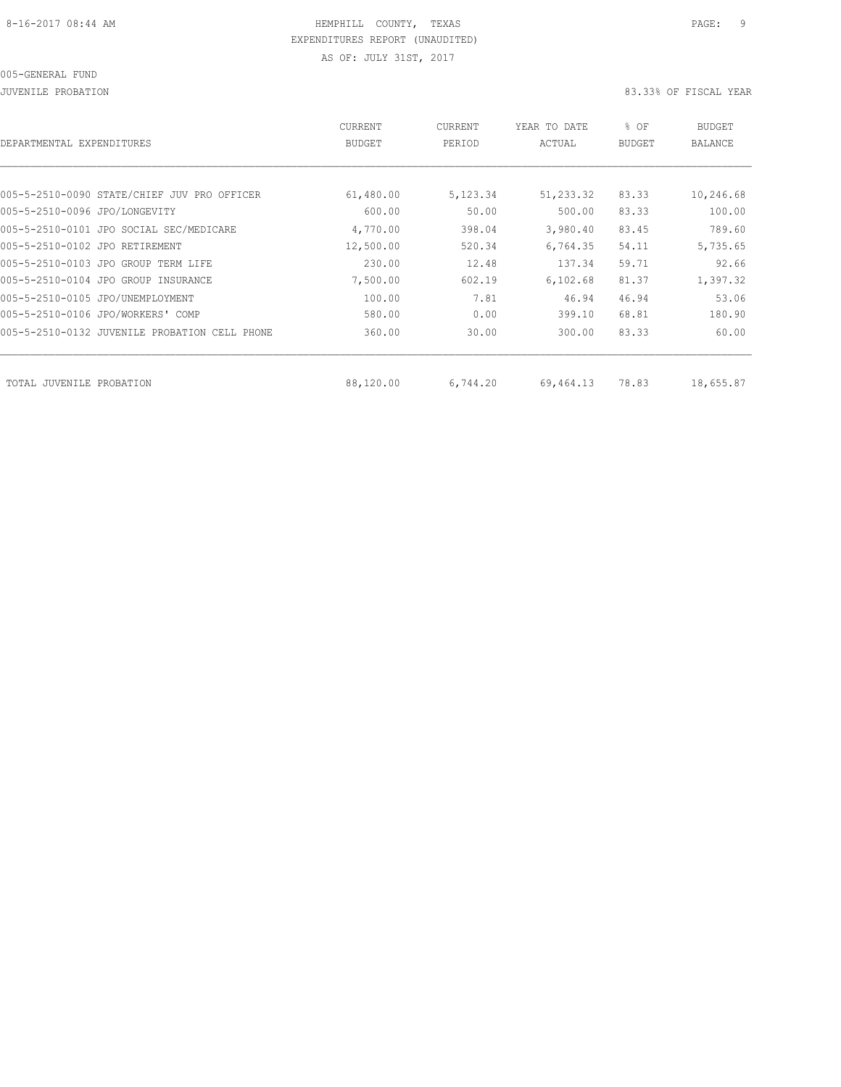JUVENILE PROBATION 83.33% OF FISCAL YEAR

| DEPARTMENTAL<br>EXPENDITURES                  | <b>CURRENT</b><br><b>BUDGET</b> | CURRENT<br>PERIOD | YEAR TO DATE<br>ACTUAL | % OF<br><b>BUDGET</b> | BUDGET<br><b>BALANCE</b> |
|-----------------------------------------------|---------------------------------|-------------------|------------------------|-----------------------|--------------------------|
|                                               |                                 |                   |                        |                       |                          |
| 005-5-2510-0090 STATE/CHIEF JUV PRO OFFICER   | 61,480.00                       | 5,123.34          | 51,233.32              | 83.33                 | 10,246.68                |
| 005-5-2510-0096 JPO/LONGEVITY                 | 600.00                          | 50.00             | 500.00                 | 83.33                 | 100.00                   |
| 005-5-2510-0101 JPO SOCIAL SEC/MEDICARE       | 4,770.00                        | 398.04            | 3,980.40               | 83.45                 | 789.60                   |
| 005-5-2510-0102 JPO RETIREMENT                | 12,500.00                       | 520.34            | 6,764.35               | 54.11                 | 5,735.65                 |
| 005-5-2510-0103 JPO GROUP TERM LIFE           | 230.00                          | 12.48             | 137.34                 | 59.71                 | 92.66                    |
| 005-5-2510-0104 JPO GROUP INSURANCE           | 7,500.00                        | 602.19            | 6, 102, 68             | 81.37                 | 1,397.32                 |
| 005-5-2510-0105 JPO/UNEMPLOYMENT              | 100.00                          | 7.81              | 46.94                  | 46.94                 | 53.06                    |
| 005-5-2510-0106 JPO/WORKERS' COMP             | 580.00                          | 0.00              | 399.10                 | 68.81                 | 180.90                   |
| 005-5-2510-0132 JUVENILE PROBATION CELL PHONE | 360.00                          | 30.00             | 300.00                 | 83.33                 | 60.00                    |
|                                               |                                 |                   |                        |                       |                          |
| TOTAL JUVENILE PROBATION                      | 88,120.00                       | 6,744.20          | 69,464.13              | 78.83                 | 18,655.87                |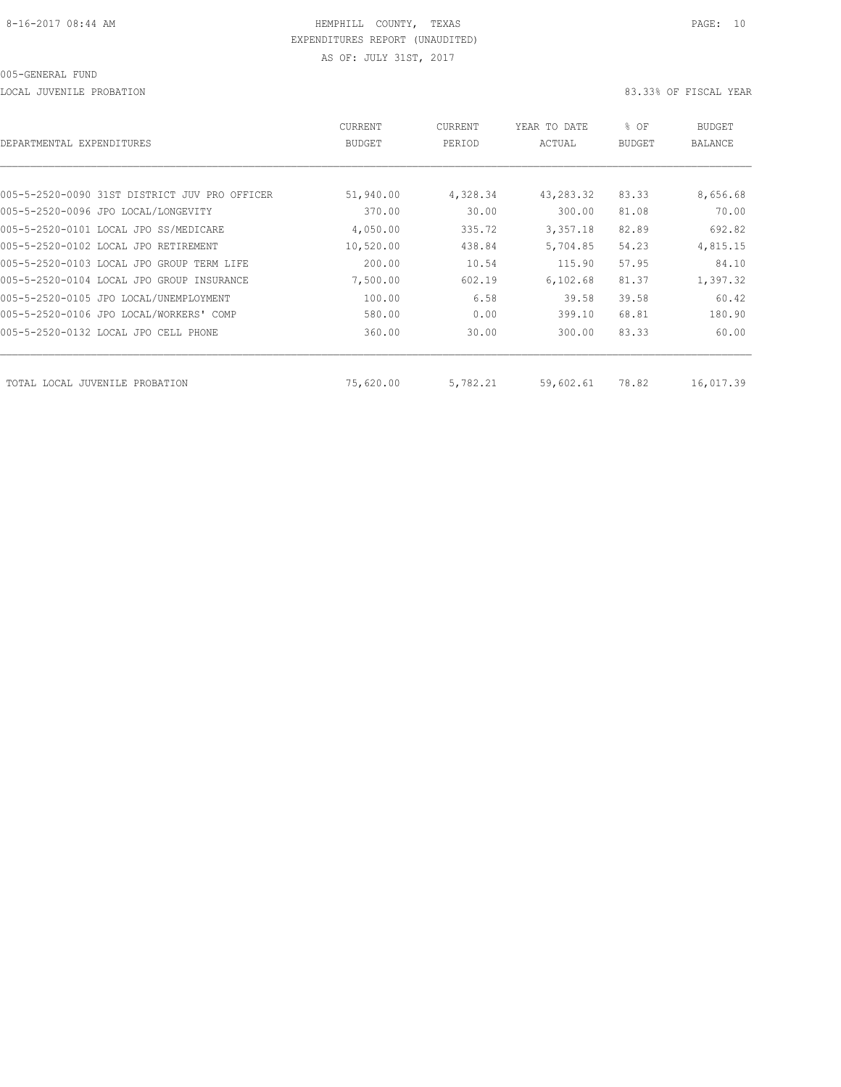LOCAL JUVENILE PROBATION 83.33% OF FISCAL YEAR

| DEPARTMENTAL EXPENDITURES                     | CURRENT<br>BUDGET | CURRENT<br>PERIOD | YEAR TO DATE<br>ACTUAL | % OF<br>BUDGET | BUDGET<br>BALANCE |
|-----------------------------------------------|-------------------|-------------------|------------------------|----------------|-------------------|
|                                               |                   |                   |                        |                |                   |
| 005-5-2520-0090 31ST DISTRICT JUV PRO OFFICER | 51,940.00         | 4,328.34          | 43, 283.32             | 83.33          | 8,656.68          |
| 005-5-2520-0096 JPO LOCAL/LONGEVITY           | 370.00            | 30.00             | 300.00                 | 81.08          | 70.00             |
| 005-5-2520-0101 LOCAL JPO SS/MEDICARE         | 4,050.00          | 335.72            | 3,357.18               | 82.89          | 692.82            |
| 005-5-2520-0102 LOCAL JPO RETIREMENT          | 10,520.00         | 438.84            | 5,704.85               | 54.23          | 4,815.15          |
| 005-5-2520-0103 LOCAL JPO GROUP TERM LIFE     | 200.00            | 10.54             | 115.90                 | 57.95          | 84.10             |
| 005-5-2520-0104 LOCAL JPO GROUP INSURANCE     | 7,500.00          | 602.19            | 6, 102, 68             | 81.37          | 1,397.32          |
| 005-5-2520-0105 JPO LOCAL/UNEMPLOYMENT        | 100.00            | 6.58              | 39.58                  | 39.58          | 60.42             |
| 005-5-2520-0106 JPO LOCAL/WORKERS' COMP       | 580.00            | 0.00              | 399.10                 | 68.81          | 180.90            |
| 005-5-2520-0132 LOCAL JPO CELL PHONE          | 360.00            | 30.00             | 300.00                 | 83.33          | 60.00             |
| TOTAL LOCAL JUVENILE PROBATION                | 75,620.00         | 5,782.21          | 59,602.61              | 78.82          | 16,017.39         |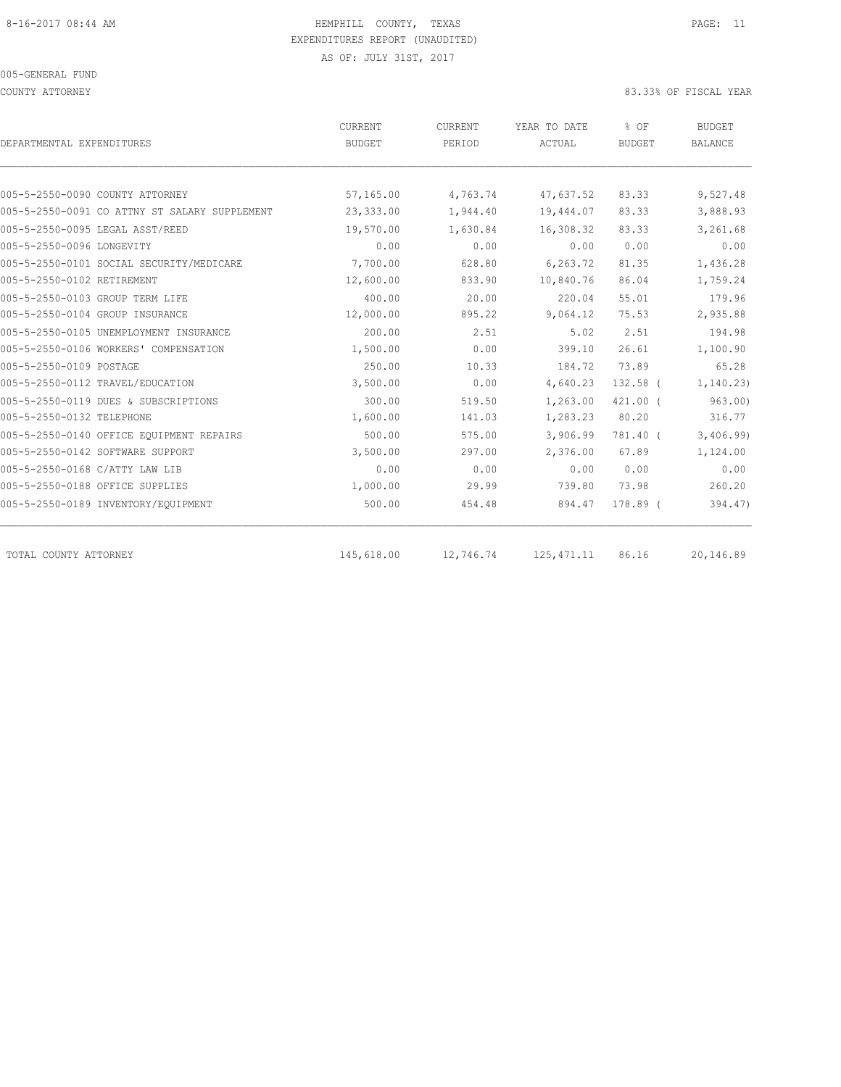COUNTY ATTORNEY 83.33% OF FISCAL YEAR

| DEPARTMENTAL EXPENDITURES                     | CURRENT       | <b>CURRENT</b> | YEAR TO DATE | % OF<br><b>BUDGET</b> | <b>BUDGET</b><br><b>BALANCE</b> |
|-----------------------------------------------|---------------|----------------|--------------|-----------------------|---------------------------------|
|                                               | <b>BUDGET</b> | PERIOD         | ACTUAL       |                       |                                 |
|                                               |               |                |              |                       |                                 |
| 005-5-2550-0090 COUNTY ATTORNEY               | 57,165.00     | 4,763.74       | 47,637.52    | 83.33                 | 9,527.48                        |
| 005-5-2550-0091 CO ATTNY ST SALARY SUPPLEMENT | 23,333.00     | 1,944.40       | 19,444.07    | 83.33                 | 3,888.93                        |
| 005-5-2550-0095 LEGAL ASST/REED               | 19,570.00     | 1,630.84       | 16,308.32    | 83.33                 | 3,261.68                        |
| 005-5-2550-0096 LONGEVITY                     | 0.00          | 0.00           | 0.00         | 0.00                  | 0.00                            |
| 005-5-2550-0101 SOCIAL SECURITY/MEDICARE      | 7,700.00      | 628.80         | 6,263.72     | 81.35                 | 1,436.28                        |
| 005-5-2550-0102 RETIREMENT                    | 12,600.00     | 833.90         | 10,840.76    | 86.04                 | 1,759.24                        |
| 005-5-2550-0103 GROUP TERM LIFE               | 400.00        | 20.00          | 220.04       | 55.01                 | 179.96                          |
| 005-5-2550-0104 GROUP INSURANCE               | 12,000.00     | 895.22         | 9,064.12     | 75.53                 | 2,935.88                        |
| 005-5-2550-0105 UNEMPLOYMENT INSURANCE        | 200.00        | 2.51           | 5.02         | 2.51                  | 194.98                          |
| 005-5-2550-0106 WORKERS' COMPENSATION         | 1,500.00      | 0.00           | 399.10       | 26.61                 | 1,100.90                        |
| 005-5-2550-0109 POSTAGE                       | 250.00        | 10.33          | 184.72       | 73.89                 | 65.28                           |
| 005-5-2550-0112 TRAVEL/EDUCATION              | 3,500.00      | 0.00           | 4,640.23     | $132.58$ (            | 1, 140.23                       |
| 005-5-2550-0119 DUES & SUBSCRIPTIONS          | 300.00        | 519.50         | 1,263.00     | $421.00$ $($          | 963.00                          |
| 005-5-2550-0132 TELEPHONE                     | 1,600.00      | 141.03         | 1,283.23     | 80.20                 | 316.77                          |
| 005-5-2550-0140 OFFICE EOUIPMENT REPAIRS      | 500.00        | 575.00         | 3,906.99     | 781.40 (              | 3,406.99                        |
| 005-5-2550-0142 SOFTWARE SUPPORT              | 3,500.00      | 297.00         | 2,376.00     | 67.89                 | 1,124.00                        |
| 005-5-2550-0168 C/ATTY LAW LIB                | 0.00          | 0.00           | 0.00         | 0.00                  | 0.00                            |
| 005-5-2550-0188 OFFICE SUPPLIES               | 1,000.00      | 29.99          | 739.80       | 73.98                 | 260.20                          |
| 005-5-2550-0189 INVENTORY/EQUIPMENT           | 500.00        | 454.48         | 894.47       | 178.89 (              | 394.47)                         |
|                                               |               |                |              |                       |                                 |
| TOTAL COUNTY ATTORNEY                         | 145,618.00    | 12,746.74      | 125, 471.11  | 86.16                 | 20,146.89                       |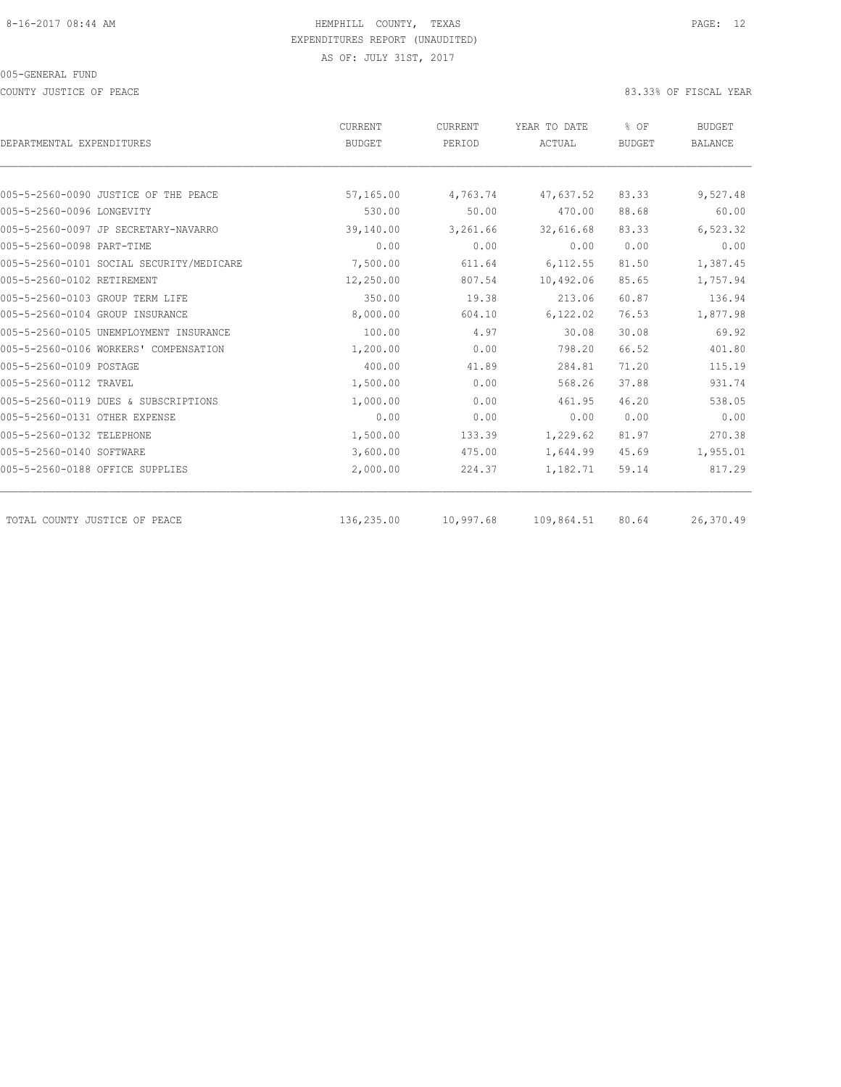COUNTY JUSTICE OF PEACE **83.33%** OF FISCAL YEAR

|                                          | CURRENT       | CURRENT   | YEAR TO DATE  | % OF<br><b>BUDGET</b> | <b>BUDGET</b><br><b>BALANCE</b> |
|------------------------------------------|---------------|-----------|---------------|-----------------------|---------------------------------|
| DEPARTMENTAL EXPENDITURES                | <b>BUDGET</b> | PERIOD    | <b>ACTUAL</b> |                       |                                 |
|                                          |               |           |               |                       |                                 |
| 005-5-2560-0090 JUSTICE OF THE PEACE     | 57,165.00     | 4,763.74  | 47,637.52     | 83.33                 | 9,527.48                        |
| 005-5-2560-0096 LONGEVITY                | 530.00        | 50.00     | 470.00        | 88.68                 | 60.00                           |
| 005-5-2560-0097 JP SECRETARY-NAVARRO     | 39,140.00     | 3,261.66  | 32,616.68     | 83.33                 | 6,523.32                        |
| 005-5-2560-0098 PART-TIME                | 0.00          | 0.00      | 0.00          | 0.00                  | 0.00                            |
| 005-5-2560-0101 SOCIAL SECURITY/MEDICARE | 7,500.00      | 611.64    | 6,112.55      | 81.50                 | 1,387.45                        |
| 005-5-2560-0102 RETIREMENT               | 12,250.00     | 807.54    | 10,492.06     | 85.65                 | 1,757.94                        |
| 005-5-2560-0103 GROUP TERM LIFE          | 350.00        | 19.38     | 213.06        | 60.87                 | 136.94                          |
| 005-5-2560-0104 GROUP INSURANCE          | 8,000.00      | 604.10    | 6,122.02      | 76.53                 | 1,877.98                        |
| 005-5-2560-0105 UNEMPLOYMENT INSURANCE   | 100.00        | 4.97      | 30.08         | 30.08                 | 69.92                           |
| 005-5-2560-0106 WORKERS' COMPENSATION    | 1,200.00      | 0.00      | 798.20        | 66.52                 | 401.80                          |
| 005-5-2560-0109 POSTAGE                  | 400.00        | 41.89     | 284.81        | 71.20                 | 115.19                          |
| 005-5-2560-0112 TRAVEL                   | 1,500.00      | 0.00      | 568.26        | 37.88                 | 931.74                          |
| 005-5-2560-0119 DUES & SUBSCRIPTIONS     | 1,000.00      | 0.00      | 461.95        | 46.20                 | 538.05                          |
| 005-5-2560-0131 OTHER EXPENSE            | 0.00          | 0.00      | 0.00          | 0.00                  | 0.00                            |
| 005-5-2560-0132 TELEPHONE                | 1,500.00      | 133.39    | 1,229.62      | 81.97                 | 270.38                          |
| 005-5-2560-0140 SOFTWARE                 | 3,600.00      | 475.00    | 1,644.99      | 45.69                 | 1,955.01                        |
| 005-5-2560-0188 OFFICE SUPPLIES          | 2,000.00      | 224.37    | 1,182.71      | 59.14                 | 817.29                          |
| TOTAL COUNTY JUSTICE OF PEACE            | 136,235.00    | 10,997.68 | 109,864.51    | 80.64                 | 26,370.49                       |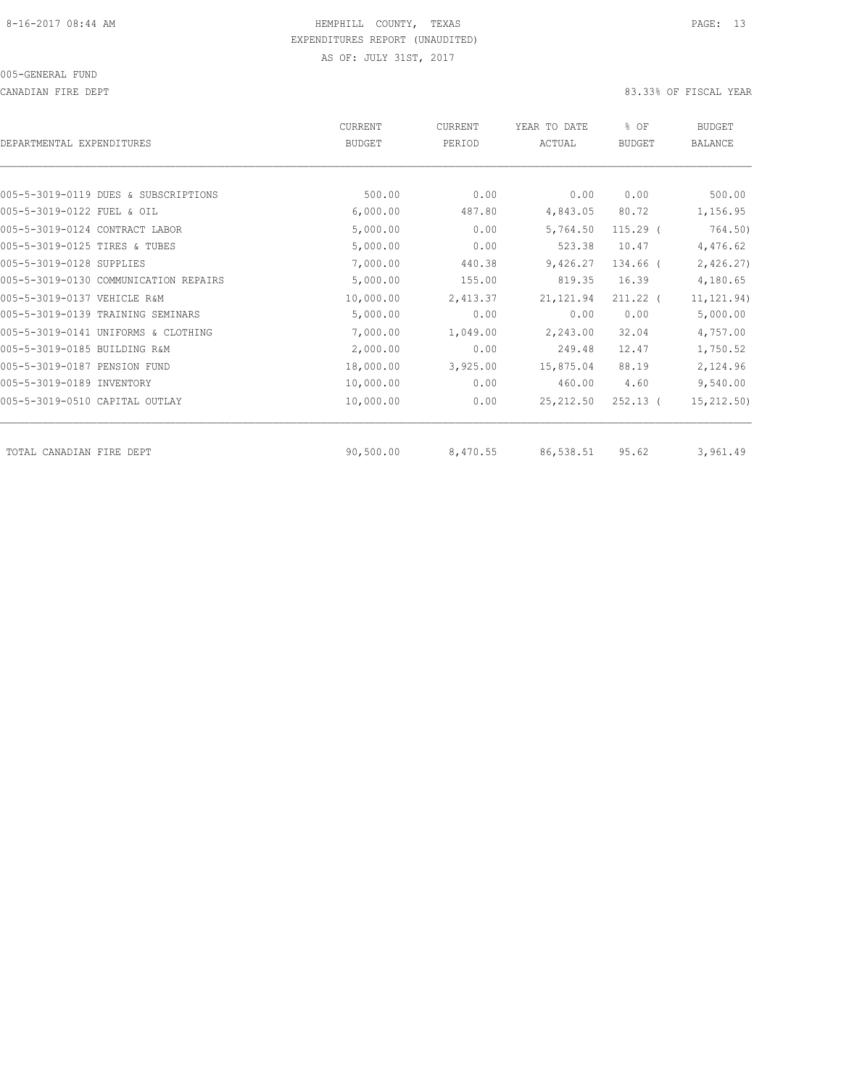CANADIAN FIRE DEPT 83.33% OF FISCAL YEAR

| DEPARTMENTAL EXPENDITURES      |                                       | CURRENT<br><b>BUDGET</b> | CURRENT<br>PERIOD | YEAR TO DATE<br>ACTUAL | % OF<br><b>BUDGET</b> | <b>BUDGET</b><br>BALANCE |
|--------------------------------|---------------------------------------|--------------------------|-------------------|------------------------|-----------------------|--------------------------|
|                                |                                       |                          |                   |                        |                       |                          |
|                                | 005-5-3019-0119 DUES & SUBSCRIPTIONS  | 500.00                   | 0.00              | 0.00                   | 0.00                  | 500.00                   |
| 005-5-3019-0122 FUEL & OIL     |                                       | 6,000.00                 | 487.80            | 4,843.05               | 80.72                 | 1,156.95                 |
| 005-5-3019-0124 CONTRACT LABOR |                                       | 5,000.00                 | 0.00              | 5,764.50               | $115.29$ (            | 764.50)                  |
| 005-5-3019-0125 TIRES & TUBES  |                                       | 5,000.00                 | 0.00              | 523.38                 | 10.47                 | 4,476.62                 |
| 005-5-3019-0128 SUPPLIES       |                                       | 7,000.00                 | 440.38            | 9,426.27               | 134.66 (              | 2,426.27                 |
|                                | 005-5-3019-0130 COMMUNICATION REPAIRS | 5,000.00                 | 155.00            | 819.35                 | 16.39                 | 4,180.65                 |
| 005-5-3019-0137 VEHICLE R&M    |                                       | 10,000.00                | 2,413.37          | 21, 121.94             | 211.22 (              | 11, 121.94)              |
|                                | 005-5-3019-0139 TRAINING SEMINARS     | 5,000.00                 | 0.00              | 0.00                   | 0.00                  | 5,000.00                 |
|                                | 005-5-3019-0141 UNIFORMS & CLOTHING   | 7,000.00                 | 1,049.00          | 2,243.00               | 32.04                 | 4,757.00                 |
| 005-5-3019-0185 BUILDING R&M   |                                       | 2,000.00                 | 0.00              | 249.48                 | 12.47                 | 1,750.52                 |
| 005-5-3019-0187 PENSION FUND   |                                       | 18,000.00                | 3,925.00          | 15,875.04              | 88.19                 | 2,124.96                 |
| 005-5-3019-0189 INVENTORY      |                                       | 10,000.00                | 0.00              | 460.00                 | 4.60                  | 9,540.00                 |
| 005-5-3019-0510 CAPITAL OUTLAY |                                       | 10,000.00                | 0.00              | 25, 212.50             | $252.13$ (            | 15, 212.50)              |
| TOTAL CANADIAN FIRE DEPT       |                                       | 90,500.00                | 8,470.55          | 86,538.51              | 95.62                 | 3,961.49                 |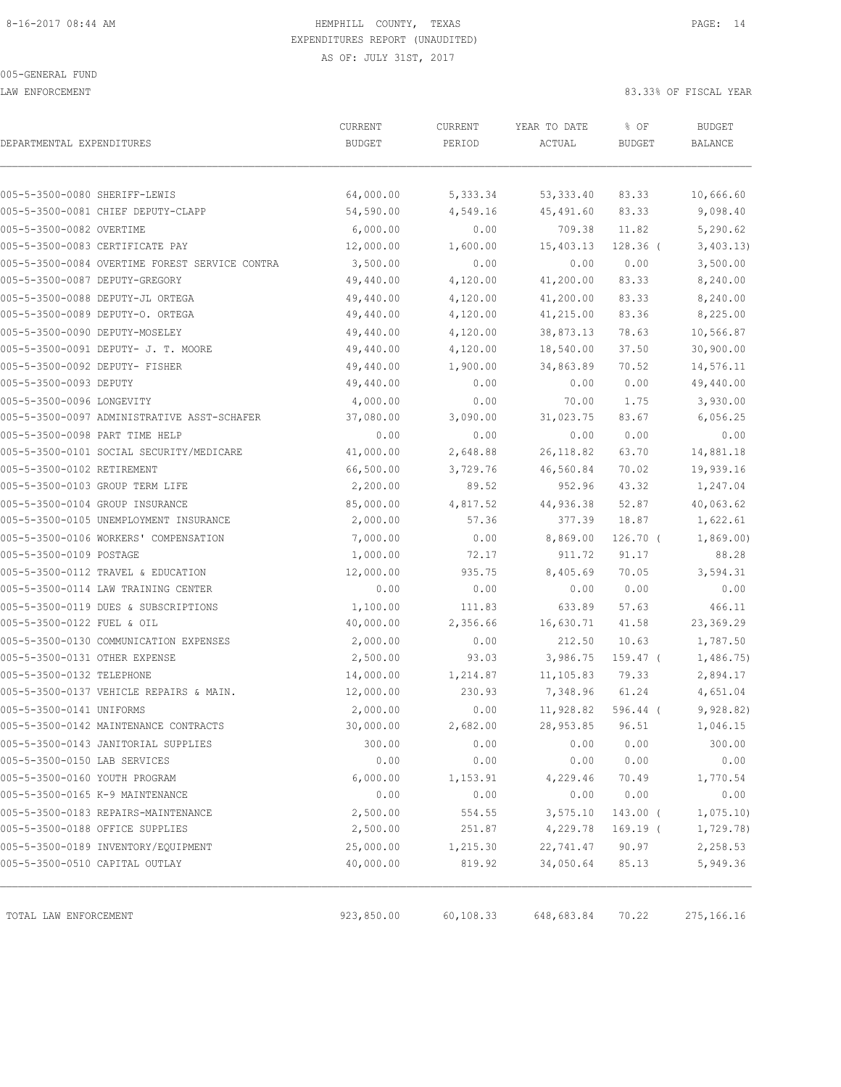LAW ENFORCEMENT **83.33%** OF FISCAL YEAR

| DEPARTMENTAL EXPENDITURES                      | CURRENT<br><b>BUDGET</b> | CURRENT<br>PERIOD | YEAR TO DATE<br>ACTUAL | % OF<br><b>BUDGET</b> | <b>BUDGET</b><br>BALANCE |
|------------------------------------------------|--------------------------|-------------------|------------------------|-----------------------|--------------------------|
|                                                |                          |                   |                        |                       |                          |
| 005-5-3500-0080 SHERIFF-LEWIS                  | 64,000.00                | 5,333.34          | 53, 333.40             | 83.33                 | 10,666.60                |
| 005-5-3500-0081 CHIEF DEPUTY-CLAPP             | 54,590.00                | 4,549.16          | 45,491.60              | 83.33                 | 9,098.40                 |
| 005-5-3500-0082 OVERTIME                       | 6,000.00                 | 0.00              | 709.38                 | 11.82                 | 5,290.62                 |
| 005-5-3500-0083 CERTIFICATE PAY                | 12,000.00                | 1,600.00          | 15,403.13              | $128.36$ (            | 3,403.13)                |
| 005-5-3500-0084 OVERTIME FOREST SERVICE CONTRA | 3,500.00                 | 0.00              | 0.00                   | 0.00                  | 3,500.00                 |
| 005-5-3500-0087 DEPUTY-GREGORY                 | 49,440.00                | 4,120.00          | 41,200.00              | 83.33                 | 8,240.00                 |
| 005-5-3500-0088 DEPUTY-JL ORTEGA               | 49,440.00                | 4,120.00          | 41,200.00              | 83.33                 | 8,240.00                 |
| 005-5-3500-0089 DEPUTY-O. ORTEGA               | 49,440.00                | 4,120.00          | 41,215.00              | 83.36                 | 8,225.00                 |
| 005-5-3500-0090 DEPUTY-MOSELEY                 | 49,440.00                | 4,120.00          | 38,873.13              | 78.63                 | 10,566.87                |
| 005-5-3500-0091 DEPUTY- J. T. MOORE            | 49,440.00                | 4,120.00          | 18,540.00              | 37.50                 | 30,900.00                |
| 005-5-3500-0092 DEPUTY- FISHER                 | 49,440.00                | 1,900.00          | 34,863.89              | 70.52                 | 14,576.11                |
| 005-5-3500-0093 DEPUTY                         | 49,440.00                | 0.00              | 0.00                   | 0.00                  | 49,440.00                |
| 005-5-3500-0096 LONGEVITY                      | 4,000.00                 | 0.00              | 70.00                  | 1.75                  | 3,930.00                 |
| 005-5-3500-0097 ADMINISTRATIVE ASST-SCHAFER    | 37,080.00                | 3,090.00          | 31,023.75              | 83.67                 | 6,056.25                 |
| 005-5-3500-0098 PART TIME HELP                 | 0.00                     | 0.00              | 0.00                   | 0.00                  | 0.00                     |
| 005-5-3500-0101 SOCIAL SECURITY/MEDICARE       | 41,000.00                | 2,648.88          | 26, 118.82             | 63.70                 | 14,881.18                |
| 005-5-3500-0102 RETIREMENT                     | 66,500.00                | 3,729.76          | 46,560.84              | 70.02                 | 19,939.16                |
| 005-5-3500-0103 GROUP TERM LIFE                | 2,200.00                 | 89.52             | 952.96                 | 43.32                 | 1,247.04                 |
| 005-5-3500-0104 GROUP INSURANCE                | 85,000.00                | 4,817.52          | 44,936.38              | 52.87                 | 40,063.62                |
| 005-5-3500-0105 UNEMPLOYMENT INSURANCE         | 2,000.00                 | 57.36             | 377.39                 | 18.87                 | 1,622.61                 |
| 005-5-3500-0106 WORKERS' COMPENSATION          | 7,000.00                 | 0.00              | 8,869.00               | $126.70$ (            | 1,869.00                 |
| 005-5-3500-0109 POSTAGE                        | 1,000.00                 | 72.17             | 911.72                 | 91.17                 | 88.28                    |
| 005-5-3500-0112 TRAVEL & EDUCATION             | 12,000.00                | 935.75            | 8,405.69               | 70.05                 | 3,594.31                 |
| 005-5-3500-0114 LAW TRAINING CENTER            | 0.00                     | 0.00              | 0.00                   | 0.00                  | 0.00                     |
| 005-5-3500-0119 DUES & SUBSCRIPTIONS           | 1,100.00                 | 111.83            | 633.89                 | 57.63                 | 466.11                   |
| 005-5-3500-0122 FUEL & OIL                     | 40,000.00                | 2,356.66          | 16,630.71              | 41.58                 | 23,369.29                |
| 005-5-3500-0130 COMMUNICATION EXPENSES         | 2,000.00                 | 0.00              | 212.50                 | 10.63                 | 1,787.50                 |
| 005-5-3500-0131 OTHER EXPENSE                  | 2,500.00                 | 93.03             | 3,986.75               | 159.47 (              | 1,486.75                 |
| 005-5-3500-0132 TELEPHONE                      | 14,000.00                | 1,214.87          | 11,105.83              | 79.33                 | 2,894.17                 |
| 005-5-3500-0137 VEHICLE REPAIRS & MAIN.        | 12,000.00                | 230.93            | 7,348.96               | 61.24                 | 4,651.04                 |
| 005-5-3500-0141 UNIFORMS                       | 2,000.00                 | 0.00              | 11,928.82              | $596.44$ (            | 9,928.82)                |
| 005-5-3500-0142 MAINTENANCE CONTRACTS          | 30,000.00                | 2,682.00          | 28,953.85              | 96.51                 | 1,046.15                 |
| 005-5-3500-0143 JANITORIAL SUPPLIES            | 300.00                   | 0.00              | 0.00                   | 0.00                  | 300.00                   |
| 005-5-3500-0150 LAB SERVICES                   | 0.00                     | 0.00              | 0.00                   | 0.00                  | 0.00                     |
| 005-5-3500-0160 YOUTH PROGRAM                  | 6,000.00                 | 1,153.91          | 4,229.46               | 70.49                 | 1,770.54                 |
| 005-5-3500-0165 K-9 MAINTENANCE                | 0.00                     | 0.00              | 0.00                   | 0.00                  | 0.00                     |
| 005-5-3500-0183 REPAIRS-MAINTENANCE            | 2,500.00                 | 554.55            | 3,575.10               | 143.00 (              | 1,075.10                 |
| 005-5-3500-0188 OFFICE SUPPLIES                | 2,500.00                 | 251.87            | 4,229.78               | 169.19 (              | 1,729.78)                |
| 005-5-3500-0189 INVENTORY/EQUIPMENT            | 25,000.00                | 1,215.30          | 22,741.47              | 90.97                 | 2,258.53                 |
| 005-5-3500-0510 CAPITAL OUTLAY                 | 40,000.00                | 819.92            | 34,050.64              | 85.13                 | 5,949.36                 |
| TOTAL LAW ENFORCEMENT                          | 923,850.00               | 60,108.33         | 648,683.84             | 70.22                 | 275, 166. 16             |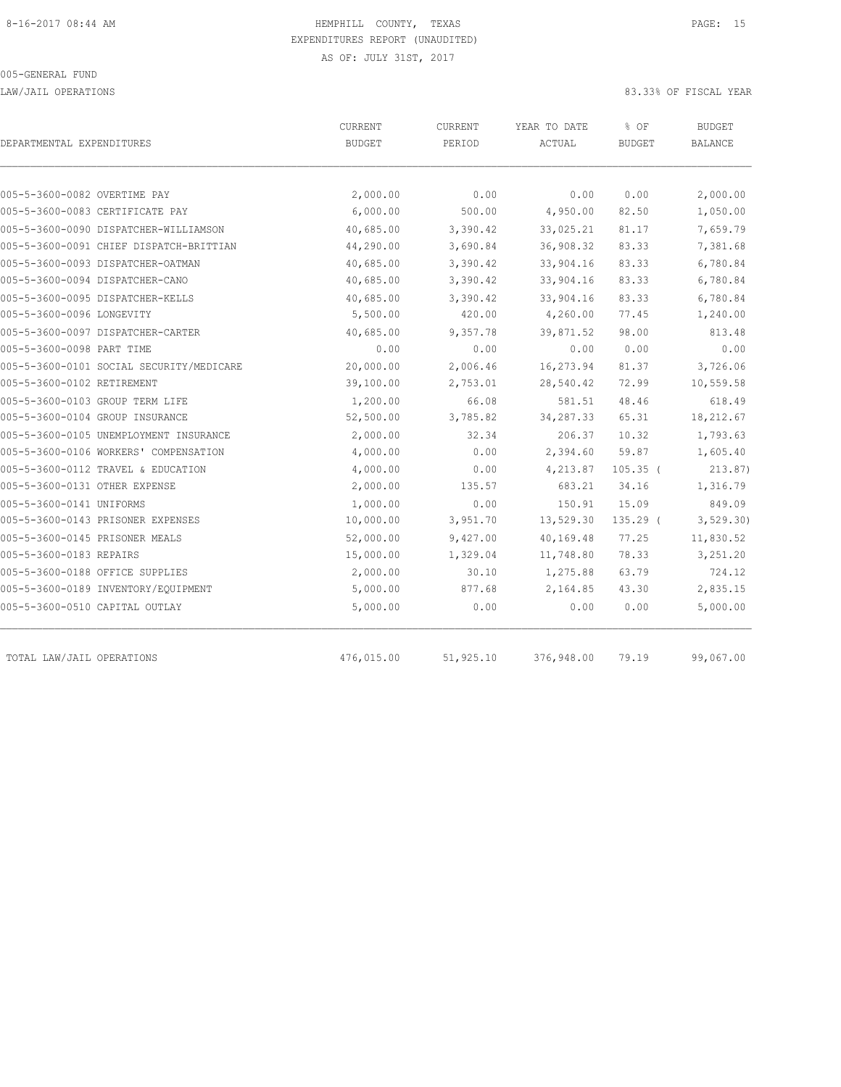LAW/JAIL OPERATIONS 83.33% OF FISCAL YEAR

| DEPARTMENTAL EXPENDITURES                | <b>CURRENT</b><br><b>BUDGET</b> | <b>CURRENT</b><br>PERIOD | YEAR TO DATE<br>ACTUAL | % OF<br><b>BUDGET</b> | <b>BUDGET</b><br><b>BALANCE</b> |
|------------------------------------------|---------------------------------|--------------------------|------------------------|-----------------------|---------------------------------|
| 005-5-3600-0082 OVERTIME PAY             | 2,000.00                        | 0.00                     | 0.00                   | 0.00                  | 2,000.00                        |
| 005-5-3600-0083 CERTIFICATE PAY          | 6,000.00                        | 500.00                   | 4,950.00               | 82.50                 | 1,050.00                        |
| 005-5-3600-0090 DISPATCHER-WILLIAMSON    | 40,685.00                       | 3,390.42                 | 33,025.21              | 81.17                 | 7,659.79                        |
| 005-5-3600-0091 CHIEF DISPATCH-BRITTIAN  | 44,290.00                       | 3,690.84                 | 36,908.32              | 83.33                 | 7,381.68                        |
| 005-5-3600-0093 DISPATCHER-OATMAN        | 40,685.00                       | 3,390.42                 | 33,904.16              | 83.33                 | 6,780.84                        |
| 005-5-3600-0094 DISPATCHER-CANO          | 40,685.00                       | 3,390.42                 | 33,904.16              | 83.33                 | 6,780.84                        |
| 005-5-3600-0095 DISPATCHER-KELLS         | 40,685.00                       | 3,390.42                 | 33,904.16              | 83.33                 | 6,780.84                        |
| 005-5-3600-0096 LONGEVITY                | 5,500.00                        | 420.00                   | 4,260.00               | 77.45                 | 1,240.00                        |
| 005-5-3600-0097 DISPATCHER-CARTER        | 40,685.00                       | 9,357.78                 | 39,871.52              | 98.00                 | 813.48                          |
| 005-5-3600-0098 PART TIME                | 0.00                            | 0.00                     | 0.00                   | 0.00                  | 0.00                            |
| 005-5-3600-0101 SOCIAL SECURITY/MEDICARE | 20,000.00                       | 2,006.46                 | 16,273.94              | 81.37                 | 3,726.06                        |
| 005-5-3600-0102 RETIREMENT               | 39,100.00                       | 2,753.01                 | 28,540.42              | 72.99                 | 10,559.58                       |
| 005-5-3600-0103 GROUP TERM LIFE          | 1,200.00                        | 66.08                    | 581.51                 | 48.46                 | 618.49                          |
| 005-5-3600-0104 GROUP INSURANCE          | 52,500.00                       | 3,785.82                 | 34, 287.33             | 65.31                 | 18,212.67                       |
| 005-5-3600-0105 UNEMPLOYMENT INSURANCE   | 2,000.00                        | 32.34                    | 206.37                 | 10.32                 | 1,793.63                        |
| 005-5-3600-0106 WORKERS' COMPENSATION    | 4,000.00                        | 0.00                     | 2,394.60               | 59.87                 | 1,605.40                        |
| 005-5-3600-0112 TRAVEL & EDUCATION       | 4,000.00                        | 0.00                     | 4,213.87               | $105.35$ (            | 213.87)                         |
| 005-5-3600-0131 OTHER EXPENSE            | 2,000.00                        | 135.57                   | 683.21                 | 34.16                 | 1,316.79                        |
| 005-5-3600-0141 UNIFORMS                 | 1,000.00                        | 0.00                     | 150.91                 | 15.09                 | 849.09                          |
| 005-5-3600-0143 PRISONER EXPENSES        | 10,000.00                       | 3,951.70                 | 13,529.30              | $135.29$ (            | 3, 529.30                       |
| 005-5-3600-0145 PRISONER MEALS           | 52,000.00                       | 9,427.00                 | 40,169.48              | 77.25                 | 11,830.52                       |
| 005-5-3600-0183 REPAIRS                  | 15,000.00                       | 1,329.04                 | 11,748.80              | 78.33                 | 3,251.20                        |
| 005-5-3600-0188 OFFICE SUPPLIES          | 2,000.00                        | 30.10                    | 1,275.88               | 63.79                 | 724.12                          |
| 005-5-3600-0189 INVENTORY/EQUIPMENT      | 5,000.00                        | 877.68                   | 2,164.85               | 43.30                 | 2,835.15                        |
| 005-5-3600-0510 CAPITAL OUTLAY           | 5,000.00                        | 0.00                     | 0.00                   | 0.00                  | 5,000.00                        |
| TOTAL LAW/JAIL OPERATIONS                | 476,015.00                      | 51,925.10                | 376,948.00             | 79.19                 | 99,067.00                       |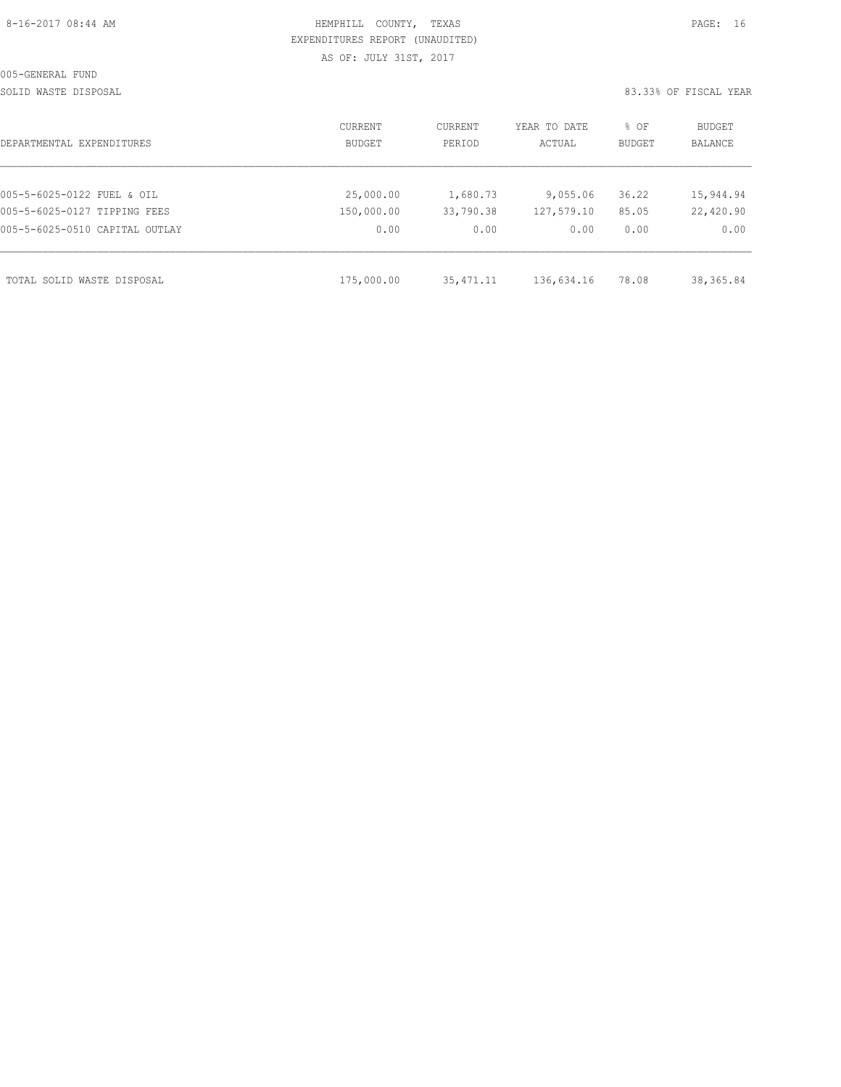| 8-16-2017 08:44 AM |  |
|--------------------|--|
|                    |  |

## HEMPHILL COUNTY, TEXAS **PAGE:** 16 EXPENDITURES REPORT (UNAUDITED) AS OF: JULY 31ST, 2017

SOLID WASTE DISPOSAL SOLID WASTE SERVER A SERVER AND SOLID WASTER THE SOLID WASTER SOLID WAS SERVER.

| DEPARTMENTAL EXPENDITURES      | CURRENT<br>BUDGET | CURRENT<br>PERIOD | YEAR TO DATE<br>ACTUAL | % OF<br><b>BUDGET</b> | BUDGET<br><b>BALANCE</b> |
|--------------------------------|-------------------|-------------------|------------------------|-----------------------|--------------------------|
|                                |                   |                   |                        |                       |                          |
| 005-5-6025-0122 FUEL & OIL     | 25,000.00         | 1,680.73          | 9,055.06               | 36.22                 | 15,944.94                |
| 005-5-6025-0127 TIPPING FEES   | 150,000.00        | 33,790.38         | 127,579.10             | 85.05                 | 22,420.90                |
| 005-5-6025-0510 CAPITAL OUTLAY | 0.00              | 0.00              | 0.00                   | 0.00                  | 0.00                     |
|                                |                   |                   |                        |                       |                          |
| TOTAL SOLID WASTE DISPOSAL     | 175,000.00        | 35, 471.11        | 136,634.16             | 78.08                 | 38, 365.84               |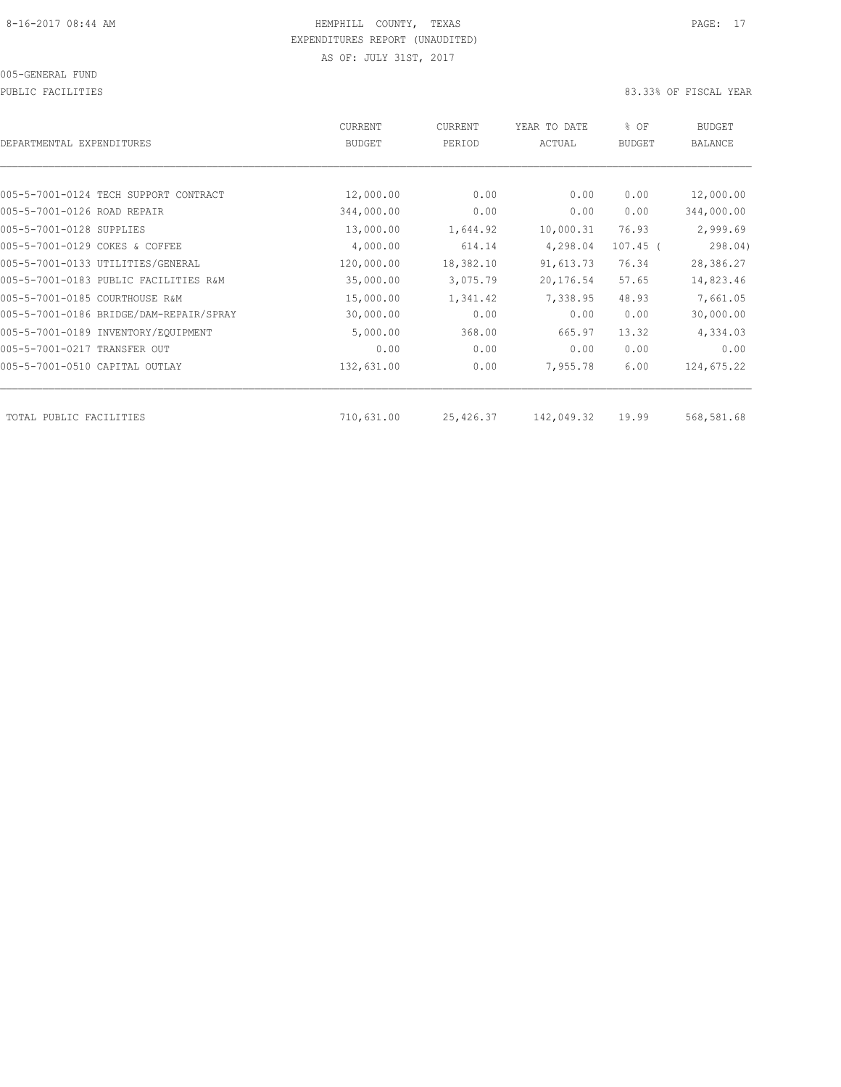PUBLIC FACILITIES 83.33% OF FISCAL YEAR

| <b>CURRENT</b> | CURRENT                     | YEAR TO DATE        | % OF                 | BUDGET<br><b>BALANCE</b> |
|----------------|-----------------------------|---------------------|----------------------|--------------------------|
|                |                             |                     |                      |                          |
| 12,000.00      | 0.00                        | 0.00                | 0.00                 | 12,000.00                |
| 344,000.00     | 0.00                        | 0.00                | 0.00                 | 344,000.00               |
| 13,000.00      | 1,644.92                    | 10,000.31           | 76.93                | 2,999.69                 |
| 4,000.00       | 614.14                      | 4,298.04            | $107.45$ (           | 298.04)                  |
| 120,000.00     | 18,382.10                   | 91,613.73           | 76.34                | 28,386.27                |
| 35,000.00      | 3,075.79                    | 20,176.54           | 57.65                | 14,823.46                |
| 15,000.00      | 1,341.42                    | 7,338.95            | 48.93                | 7,661.05                 |
| 30,000.00      | 0.00                        | 0.00                | 0.00                 | 30,000.00                |
| 5,000.00       | 368.00                      | 665.97              | 13.32                | 4,334.03                 |
| 0.00           | 0.00                        | 0.00                | 0.00                 | 0.00                     |
| 132,631.00     | 0.00                        | 7,955.78            | 6.00                 | 124,675.22               |
|                |                             |                     |                      | 568,581.68               |
|                | <b>BUDGET</b><br>710,631.00 | PERIOD<br>25,426.37 | ACTUAL<br>142,049.32 | <b>BUDGET</b><br>19.99   |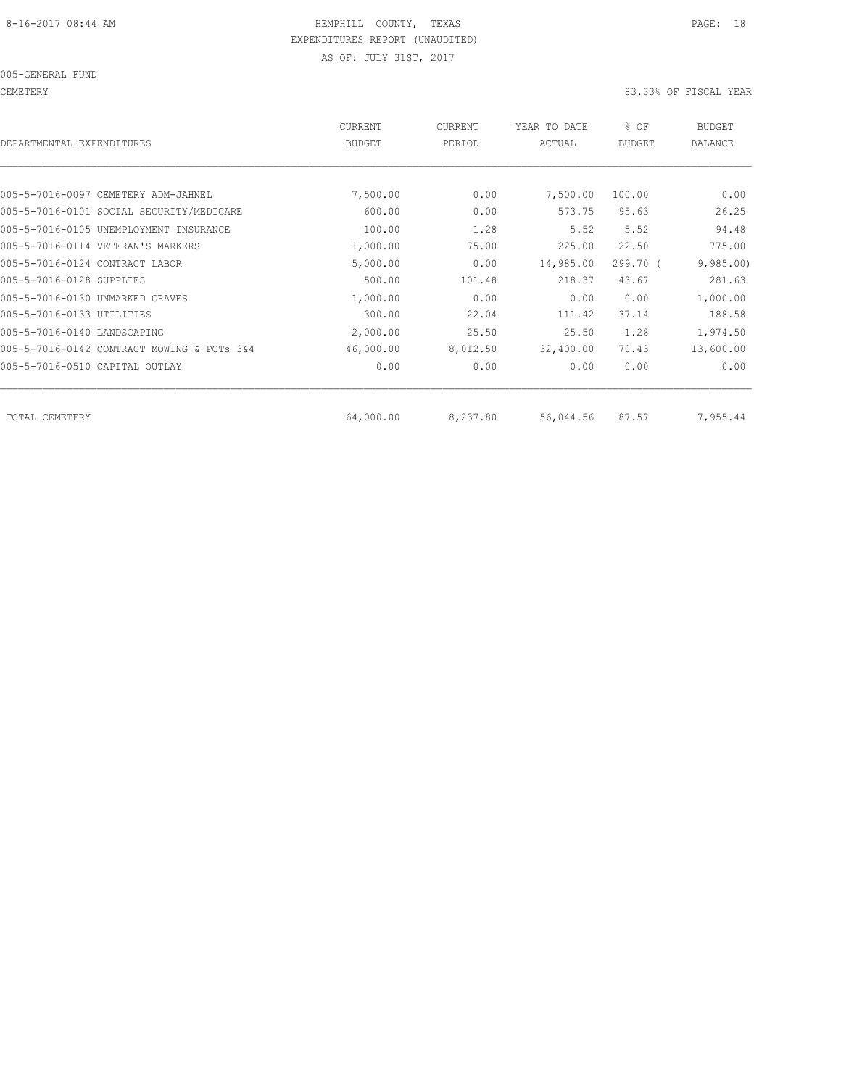005-GENERAL FUND

CEMETERY 83.33% OF FISCAL YEAR

| DEPARTMENTAL EXPENDITURES                  | CURRENT<br><b>BUDGET</b> | CURRENT<br>PERIOD | YEAR TO DATE<br>ACTUAL | % OF<br><b>BUDGET</b> | <b>BUDGET</b><br><b>BALANCE</b> |
|--------------------------------------------|--------------------------|-------------------|------------------------|-----------------------|---------------------------------|
|                                            |                          |                   |                        |                       |                                 |
| 005-5-7016-0097 CEMETERY ADM-JAHNEL        | 7,500.00                 | 0.00              | 7,500.00               | 100.00                | 0.00                            |
| 005-5-7016-0101 SOCIAL SECURITY/MEDICARE   | 600.00                   | 0.00              | 573.75                 | 95.63                 | 26.25                           |
| 005-5-7016-0105 UNEMPLOYMENT INSURANCE     | 100.00                   | 1.28              | 5.52                   | 5.52                  | 94.48                           |
| 005-5-7016-0114 VETERAN'S MARKERS          | 1,000.00                 | 75.00             | 225.00                 | 22.50                 | 775.00                          |
| 005-5-7016-0124 CONTRACT LABOR             | 5,000.00                 | 0.00              | 14,985.00              | 299.70 (              | 9,985.00                        |
| 005-5-7016-0128 SUPPLIES                   | 500.00                   | 101.48            | 218.37                 | 43.67                 | 281.63                          |
| 005-5-7016-0130 UNMARKED GRAVES            | 1,000.00                 | 0.00              | 0.00                   | 0.00                  | 1,000.00                        |
| 005-5-7016-0133 UTILITIES                  | 300.00                   | 22.04             | 111.42                 | 37.14                 | 188.58                          |
| 005-5-7016-0140 LANDSCAPING                | 2,000.00                 | 25.50             | 25.50                  | 1.28                  | 1,974.50                        |
| 005-5-7016-0142 CONTRACT MOWING & PCTs 3&4 | 46,000.00                | 8,012.50          | 32,400.00              | 70.43                 | 13,600.00                       |
| 005-5-7016-0510 CAPITAL OUTLAY             | 0.00                     | 0.00              | 0.00                   | 0.00                  | 0.00                            |
| TOTAL CEMETERY                             | 64,000.00                | 8,237.80          | 56,044.56              | 87.57                 | 7,955.44                        |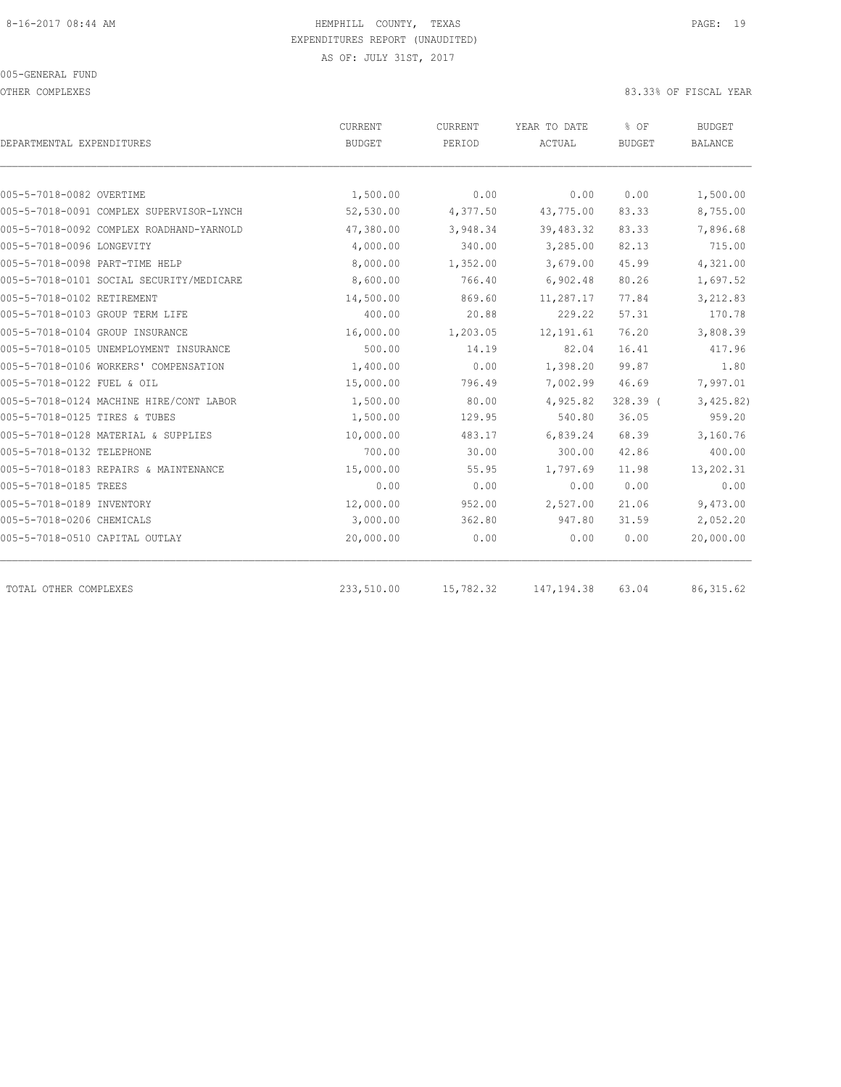OTHER COMPLEXES 83.33% OF FISCAL YEAR

|                                          | CURRENT<br>CURRENT |           | YEAR TO DATE | % OF          | <b>BUDGET</b> |  |
|------------------------------------------|--------------------|-----------|--------------|---------------|---------------|--|
| DEPARTMENTAL EXPENDITURES                | <b>BUDGET</b>      | PERIOD    | ACTUAL       | <b>BUDGET</b> | BALANCE       |  |
|                                          |                    |           |              |               |               |  |
| 005-5-7018-0082 OVERTIME                 | 1,500.00           | 0.00      | 0.00         | 0.00          | 1,500.00      |  |
| 005-5-7018-0091 COMPLEX SUPERVISOR-LYNCH | 52,530.00          | 4,377.50  | 43,775.00    | 83.33         | 8,755.00      |  |
| 005-5-7018-0092 COMPLEX ROADHAND-YARNOLD | 47,380.00          | 3,948.34  | 39,483.32    | 83.33         | 7,896.68      |  |
| 005-5-7018-0096 LONGEVITY                | 4,000.00           | 340.00    | 3,285.00     | 82.13         | 715.00        |  |
| 005-5-7018-0098 PART-TIME HELP           | 8,000.00           | 1,352.00  | 3,679.00     | 45.99         | 4,321.00      |  |
| 005-5-7018-0101 SOCIAL SECURITY/MEDICARE | 8,600.00           | 766.40    | 6,902.48     | 80.26         | 1,697.52      |  |
| 005-5-7018-0102 RETIREMENT               | 14,500.00          | 869.60    | 11,287.17    | 77.84         | 3,212.83      |  |
| 005-5-7018-0103 GROUP TERM LIFE          | 400.00             | 20.88     | 229.22       | 57.31         | 170.78        |  |
| 005-5-7018-0104 GROUP INSURANCE          | 16,000.00          | 1,203.05  | 12, 191.61   | 76.20         | 3,808.39      |  |
| 005-5-7018-0105 UNEMPLOYMENT INSURANCE   | 500.00             | 14.19     | 82.04        | 16.41         | 417.96        |  |
| 005-5-7018-0106 WORKERS' COMPENSATION    | 1,400.00           | 0.00      | 1,398.20     | 99.87         | 1.80          |  |
| 005-5-7018-0122 FUEL & OIL               | 15,000.00          | 796.49    | 7,002.99     | 46.69         | 7,997.01      |  |
| 005-5-7018-0124 MACHINE HIRE/CONT LABOR  | 1,500.00           | 80.00     | 4,925.82     | $328.39$ (    | 3,425.82)     |  |
| 005-5-7018-0125 TIRES & TUBES            | 1,500.00           | 129.95    | 540.80       | 36.05         | 959.20        |  |
| 005-5-7018-0128 MATERIAL & SUPPLIES      | 10,000.00          | 483.17    | 6,839.24     | 68.39         | 3,160.76      |  |
| 005-5-7018-0132 TELEPHONE                | 700.00             | 30.00     | 300.00       | 42.86         | 400.00        |  |
| 005-5-7018-0183 REPAIRS & MAINTENANCE    | 15,000.00          | 55.95     | 1,797.69     | 11.98         | 13,202.31     |  |
| 005-5-7018-0185 TREES                    | 0.00               | 0.00      | 0.00         | 0.00          | 0.00          |  |
| 005-5-7018-0189 INVENTORY                | 12,000.00          | 952.00    | 2,527.00     | 21.06         | 9,473.00      |  |
| 005-5-7018-0206 CHEMICALS                | 3,000.00           | 362.80    | 947.80       | 31.59         | 2,052.20      |  |
| 005-5-7018-0510 CAPITAL OUTLAY           | 20,000.00          | 0.00      | 0.00         | 0.00          | 20,000.00     |  |
| TOTAL OTHER COMPLEXES                    | 233,510.00         | 15,782.32 | 147, 194.38  | 63.04         | 86, 315.62    |  |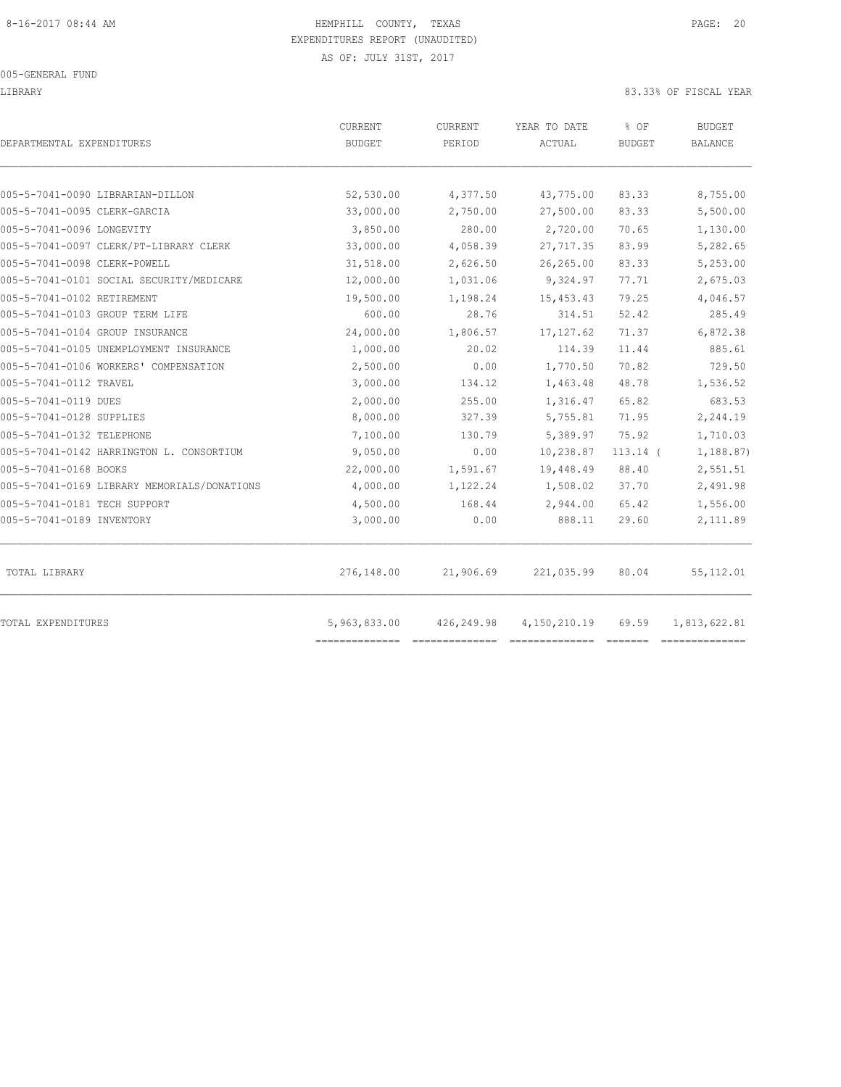LIBRARY 83.33% OF FISCAL YEAR

| DEPARTMENTAL EXPENDITURES                   | CURRENT<br><b>BUDGET</b> | CURRENT<br>PERIOD | YEAR TO DATE<br>ACTUAL | % OF<br><b>BUDGET</b> | <b>BUDGET</b><br><b>BALANCE</b> |
|---------------------------------------------|--------------------------|-------------------|------------------------|-----------------------|---------------------------------|
| 005-5-7041-0090 LIBRARIAN-DILLON            | 52,530.00                | 4,377.50          | 43,775.00              | 83.33                 | 8,755.00                        |
| 005-5-7041-0095 CLERK-GARCIA                | 33,000.00                | 2,750.00          | 27,500.00              | 83.33                 | 5,500.00                        |
| 005-5-7041-0096 LONGEVITY                   | 3,850.00                 | 280.00            | 2,720.00               | 70.65                 | 1,130.00                        |
| 005-5-7041-0097 CLERK/PT-LIBRARY CLERK      | 33,000.00                | 4,058.39          | 27, 717.35             | 83.99                 | 5,282.65                        |
| 005-5-7041-0098 CLERK-POWELL                | 31,518.00                | 2,626.50          | 26,265.00              | 83.33                 | 5,253.00                        |
| 005-5-7041-0101 SOCIAL SECURITY/MEDICARE    | 12,000.00                | 1,031.06          | 9,324.97               | 77.71                 | 2,675.03                        |
| 005-5-7041-0102 RETIREMENT                  | 19,500.00                | 1,198.24          | 15, 453.43             | 79.25                 | 4,046.57                        |
| 005-5-7041-0103 GROUP TERM LIFE             | 600.00                   | 28.76             | 314.51                 | 52.42                 | 285.49                          |
| 005-5-7041-0104 GROUP INSURANCE             | 24,000.00                | 1,806.57          | 17, 127.62             | 71.37                 | 6,872.38                        |
| 005-5-7041-0105 UNEMPLOYMENT INSURANCE      | 1,000.00                 | 20.02             | 114.39                 | 11.44                 | 885.61                          |
| 005-5-7041-0106 WORKERS' COMPENSATION       | 2,500.00                 | 0.00              | 1,770.50               | 70.82                 | 729.50                          |
| 005-5-7041-0112 TRAVEL                      | 3,000.00                 | 134.12            | 1,463.48               | 48.78                 | 1,536.52                        |
| 005-5-7041-0119 DUES                        | 2,000.00                 | 255.00            | 1,316.47               | 65.82                 | 683.53                          |
| 005-5-7041-0128 SUPPLIES                    | 8,000.00                 | 327.39            | 5,755.81               | 71.95                 | 2,244.19                        |
| 005-5-7041-0132 TELEPHONE                   | 7,100.00                 | 130.79            | 5,389.97               | 75.92                 | 1,710.03                        |
| 005-5-7041-0142 HARRINGTON L. CONSORTIUM    | 9,050.00                 | 0.00              | 10,238.87              | $113.14$ (            | 1,188.87)                       |
| 005-5-7041-0168 BOOKS                       | 22,000.00                | 1,591.67          | 19,448.49              | 88.40                 | 2,551.51                        |
| 005-5-7041-0169 LIBRARY MEMORIALS/DONATIONS | 4,000.00                 | 1,122.24          | 1,508.02               | 37.70                 | 2,491.98                        |
| 005-5-7041-0181 TECH SUPPORT                | 4,500.00                 | 168.44            | 2,944.00               | 65.42                 | 1,556.00                        |
| 005-5-7041-0189 INVENTORY                   | 3,000.00                 | 0.00              | 888.11                 | 29.60                 | 2,111.89                        |
| TOTAL LIBRARY                               | 276,148.00               | 21,906.69         | 221,035.99             | 80.04                 | 55, 112.01                      |
| TOTAL EXPENDITURES                          | 5,963,833.00             | 426,249.98        | 4, 150, 210.19         | 69.59                 | 1,813,622.81                    |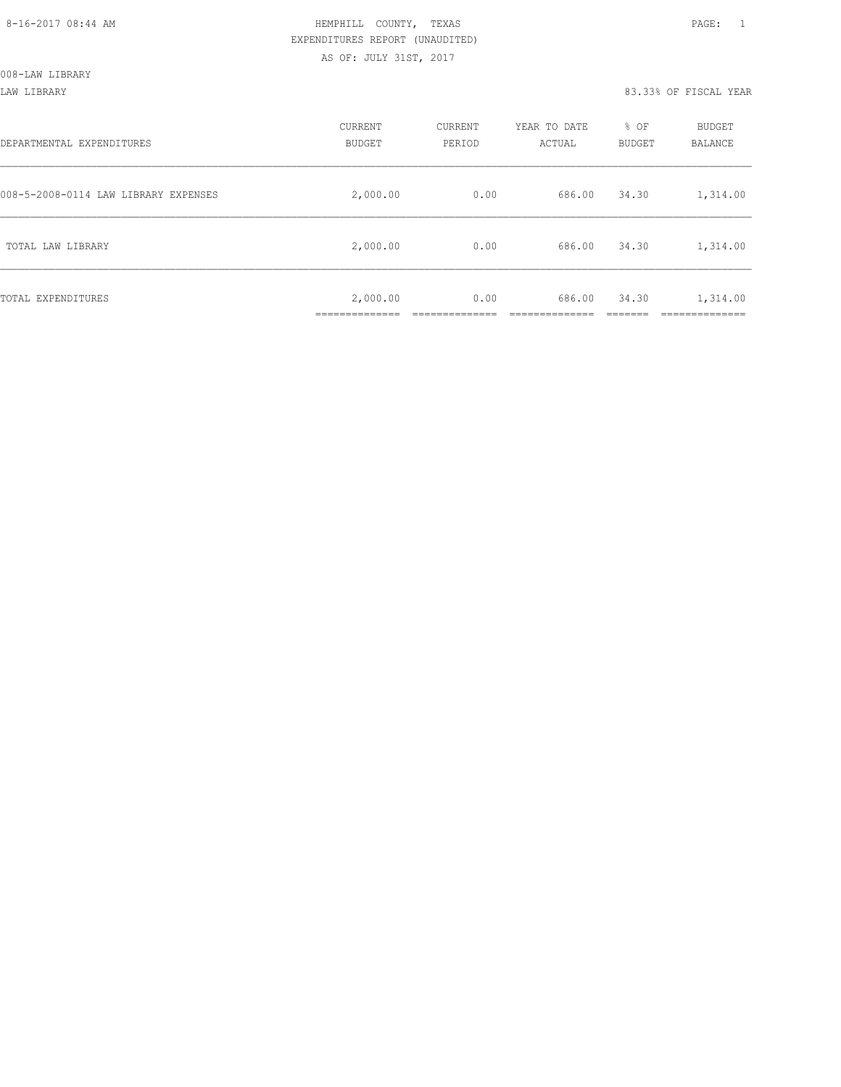LAW LIBRARY 83.33% OF FISCAL YEAR

| DEPARTMENTAL EXPENDITURES            | CURRENT<br><b>BUDGET</b> | CURRENT<br>PERIOD | YEAR TO DATE<br>ACTUAL | % OF<br><b>BUDGET</b> | <b>BUDGET</b><br><b>BALANCE</b>     |
|--------------------------------------|--------------------------|-------------------|------------------------|-----------------------|-------------------------------------|
| 008-5-2008-0114 LAW LIBRARY EXPENSES | 2,000.00                 | 0.00              | 686.00                 | 34.30                 | 1,314.00                            |
| TOTAL LAW LIBRARY                    | 2,000.00                 | 0.00              | 686.00                 | 34.30                 | 1,314.00                            |
| TOTAL EXPENDITURES                   | 2,000.00<br>___________  | 0.00              | 686.00                 | 34.30                 | 1,314.00<br>_________<br>__________ |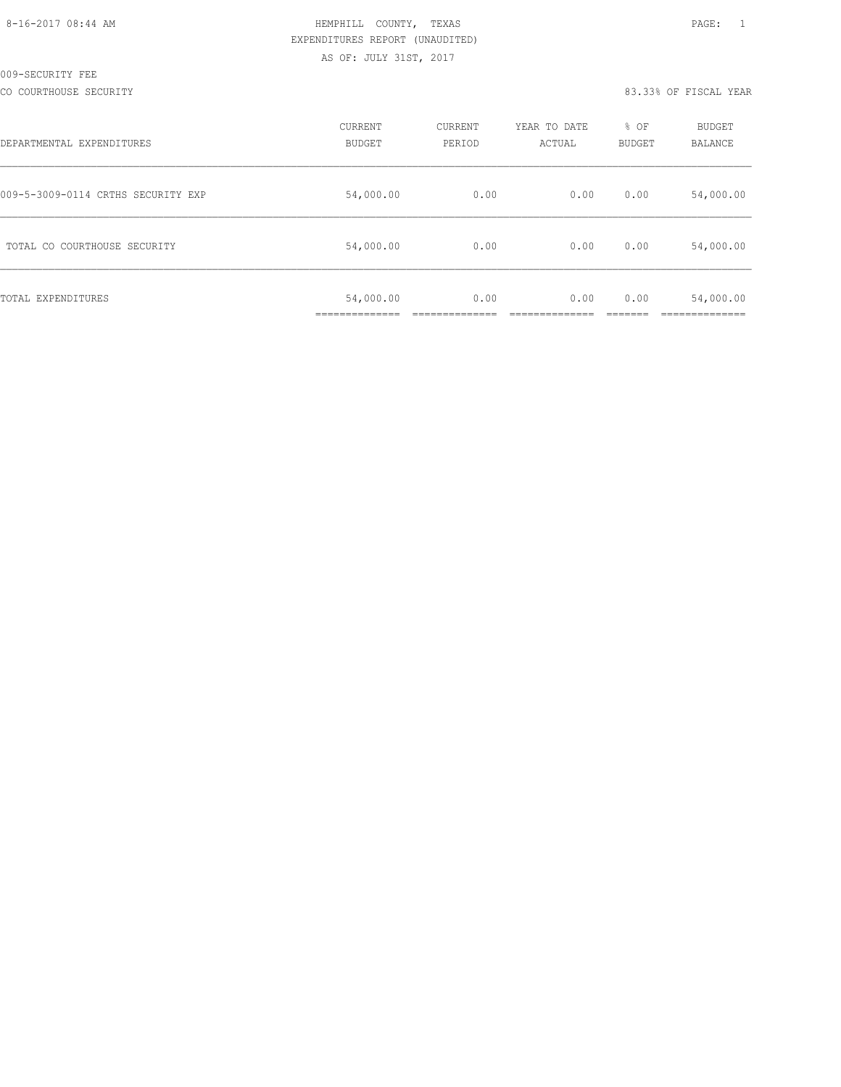| 8-16-2017 08:44 AM |  |
|--------------------|--|
|                    |  |

## HEMPHILL COUNTY, TEXAS **Example 20:44 AM HEMPHILL** COUNTY, TEXAS EXPENDITURES REPORT (UNAUDITED) AS OF: JULY 31ST, 2017

CO COURTHOUSE SECURITY **EXECURATE SECURITY 83.33% OF FISCAL YEAR** 

| DEPARTMENTAL EXPENDITURES          | CURRENT<br><b>BUDGET</b>  | CURRENT<br>PERIOD | YEAR TO DATE<br>ACTUAL | % OF<br><b>BUDGET</b> | <b>BUDGET</b><br><b>BALANCE</b> |
|------------------------------------|---------------------------|-------------------|------------------------|-----------------------|---------------------------------|
| 009-5-3009-0114 CRTHS SECURITY EXP | 54,000.00                 | 0.00              | 0.00                   | 0.00                  | 54,000.00                       |
| TOTAL CO COURTHOUSE SECURITY       | 54,000.00                 | 0.00              | 0.00                   | 0.00                  | 54,000.00                       |
| TOTAL EXPENDITURES                 | 54,000.00<br>____________ | 0.00              | 0.00                   | 0.00                  | 54,000.00                       |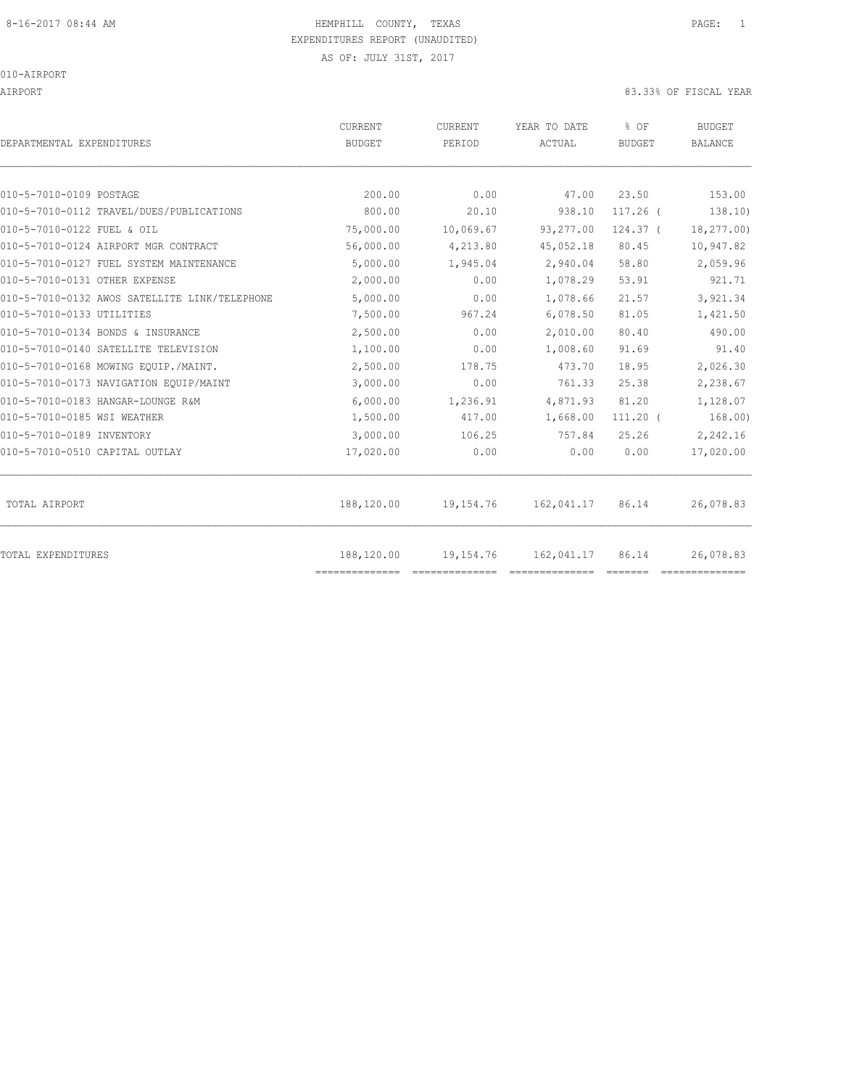## 8-16-2017 08:44 AM **HEMPHILL COUNTY, TEXAS** PAGE: 1 EXPENDITURES REPORT (UNAUDITED)

AS OF: JULY 31ST, 2017

010-AIRPORT

AIRPORT 83.33% OF FISCAL YEAR

| DEPARTMENTAL EXPENDITURES                     | <b>CURRENT</b><br><b>BUDGET</b> | <b>CURRENT</b><br>PERIOD | YEAR TO DATE<br>ACTUAL | % OF<br><b>BUDGET</b> | <b>BUDGET</b><br>BALANCE |
|-----------------------------------------------|---------------------------------|--------------------------|------------------------|-----------------------|--------------------------|
| 010-5-7010-0109 POSTAGE                       | 200.00                          | 0.00                     |                        | 23.50                 | 153.00                   |
| 010-5-7010-0112 TRAVEL/DUES/PUBLICATIONS      | 800.00                          | 20.10                    | 47.00                  |                       |                          |
|                                               |                                 |                          | 938.10                 | $117.26$ (            | 138.10)                  |
| 010-5-7010-0122 FUEL & OIL                    | 75,000.00                       | 10,069.67                | 93,277.00              | $124.37$ (            | 18,277.00)               |
| 010-5-7010-0124 AIRPORT MGR CONTRACT          | 56,000.00                       | 4,213.80                 | 45,052.18              | 80.45                 | 10,947.82                |
| 010-5-7010-0127 FUEL SYSTEM MAINTENANCE       | 5,000.00                        | 1,945.04                 | 2,940.04               | 58.80                 | 2,059.96                 |
| 010-5-7010-0131 OTHER EXPENSE                 | 2,000.00                        | 0.00                     | 1,078.29               | 53.91                 | 921.71                   |
| 010-5-7010-0132 AWOS SATELLITE LINK/TELEPHONE | 5,000.00                        | 0.00                     | 1,078.66               | 21.57                 | 3,921.34                 |
| 010-5-7010-0133 UTILITIES                     | 7,500.00                        | 967.24                   | 6,078.50               | 81.05                 | 1,421.50                 |
| 010-5-7010-0134 BONDS & INSURANCE             | 2,500.00                        | 0.00                     | 2,010.00               | 80.40                 | 490.00                   |
| 010-5-7010-0140 SATELLITE TELEVISION          | 1,100.00                        | 0.00                     | 1,008.60               | 91.69                 | 91.40                    |
| 010-5-7010-0168 MOWING EOUIP./MAINT.          | 2,500.00                        | 178.75                   | 473.70                 | 18.95                 | 2,026.30                 |
| 010-5-7010-0173 NAVIGATION EQUIP/MAINT        | 3,000.00                        | 0.00                     | 761.33                 | 25.38                 | 2,238.67                 |
| 010-5-7010-0183 HANGAR-LOUNGE R&M             | 6,000.00                        | 1,236.91                 | 4,871.93               | 81.20                 | 1,128.07                 |
| 010-5-7010-0185 WSI WEATHER                   | 1,500.00                        | 417.00                   | 1,668.00               | $111.20$ (            | 168.00)                  |
| 010-5-7010-0189 INVENTORY                     | 3,000.00                        | 106.25                   | 757.84                 | 25.26                 | 2,242.16                 |
| 010-5-7010-0510 CAPITAL OUTLAY                | 17,020.00                       | 0.00                     | 0.00                   | 0.00                  | 17,020.00                |
| TOTAL AIRPORT                                 | 188,120.00                      | 19,154.76                | 162,041.17             | 86.14                 | 26,078.83                |
| <b>TOTAL EXPENDITURES</b>                     | 188,120.00                      | 19,154.76                | 162,041.17             | 86.14                 | 26,078.83                |
|                                               | ==============                  |                          |                        |                       |                          |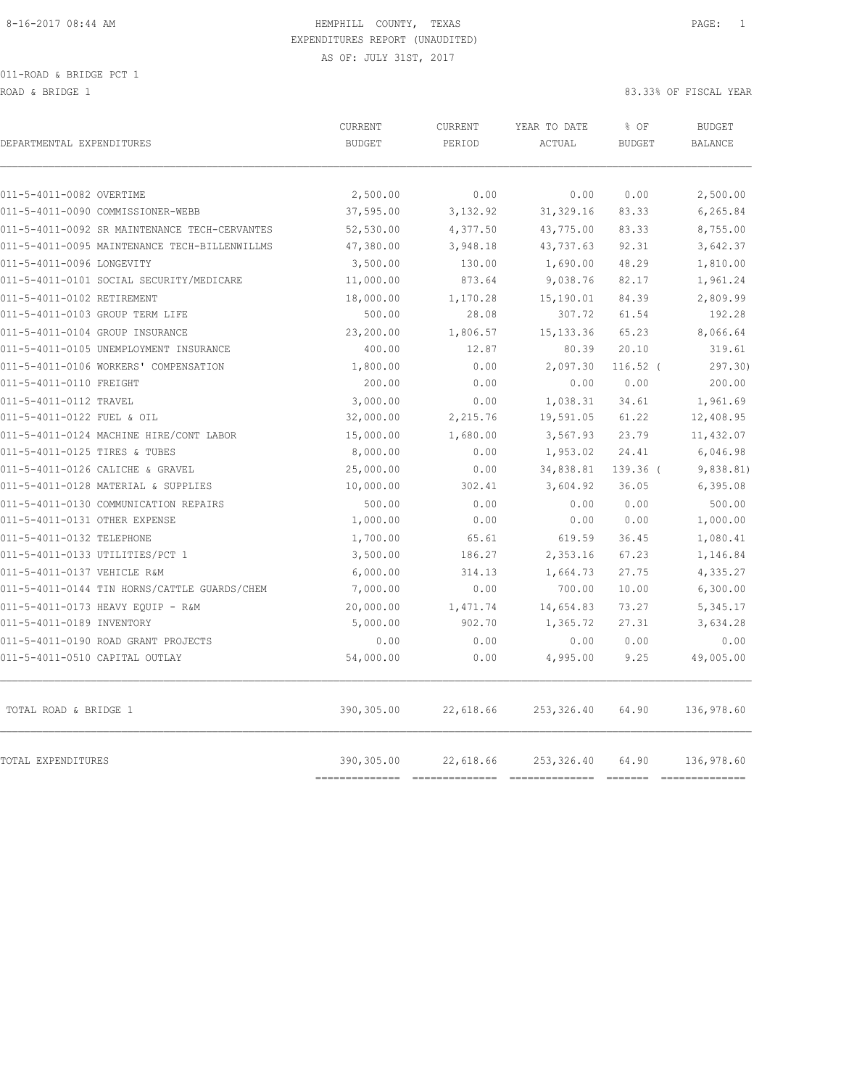011-ROAD & BRIDGE PCT 1

ROAD & BRIDGE 1 83.33% OF FISCAL YEAR

| DEPARTMENTAL EXPENDITURES                     | <b>CURRENT</b><br><b>BUDGET</b> | CURRENT<br>PERIOD | YEAR TO DATE<br>ACTUAL | % OF<br><b>BUDGET</b> | <b>BUDGET</b><br><b>BALANCE</b> |
|-----------------------------------------------|---------------------------------|-------------------|------------------------|-----------------------|---------------------------------|
| 011-5-4011-0082 OVERTIME                      | 2,500.00                        | 0.00              | 0.00                   | 0.00                  | 2,500.00                        |
| 011-5-4011-0090 COMMISSIONER-WEBB             | 37,595.00                       | 3,132.92          | 31, 329.16             | 83.33                 | 6,265.84                        |
| 011-5-4011-0092 SR MAINTENANCE TECH-CERVANTES | 52,530.00                       | 4,377.50          | 43,775.00              | 83.33                 | 8,755.00                        |
| 011-5-4011-0095 MAINTENANCE TECH-BILLENWILLMS | 47,380.00                       | 3,948.18          | 43,737.63              | 92.31                 | 3,642.37                        |
| 011-5-4011-0096 LONGEVITY                     | 3,500.00                        | 130.00            | 1,690.00               | 48.29                 | 1,810.00                        |
| 011-5-4011-0101 SOCIAL SECURITY/MEDICARE      | 11,000.00                       | 873.64            | 9,038.76               | 82.17                 | 1,961.24                        |
| 011-5-4011-0102 RETIREMENT                    | 18,000.00                       | 1,170.28          | 15,190.01              | 84.39                 | 2,809.99                        |
| 011-5-4011-0103 GROUP TERM LIFE               | 500.00                          | 28.08             | 307.72                 | 61.54                 | 192.28                          |
| 011-5-4011-0104 GROUP INSURANCE               | 23,200.00                       | 1,806.57          | 15, 133.36             | 65.23                 | 8,066.64                        |
| 011-5-4011-0105 UNEMPLOYMENT INSURANCE        | 400.00                          | 12.87             | 80.39                  | 20.10                 | 319.61                          |
| 011-5-4011-0106 WORKERS' COMPENSATION         | 1,800.00                        | 0.00              | 2,097.30               | $116.52$ (            | 297.30                          |
| 011-5-4011-0110 FREIGHT                       | 200.00                          | 0.00              | 0.00                   | 0.00                  | 200.00                          |
| 011-5-4011-0112 TRAVEL                        | 3,000.00                        | 0.00              | 1,038.31               | 34.61                 | 1,961.69                        |
| 011-5-4011-0122 FUEL & OIL                    | 32,000.00                       | 2,215.76          | 19,591.05              | 61.22                 | 12,408.95                       |
| 011-5-4011-0124 MACHINE HIRE/CONT LABOR       | 15,000.00                       | 1,680.00          | 3,567.93               | 23.79                 | 11,432.07                       |
| 011-5-4011-0125 TIRES & TUBES                 | 8,000.00                        | 0.00              | 1,953.02               | 24.41                 | 6,046.98                        |
| 011-5-4011-0126 CALICHE & GRAVEL              | 25,000.00                       | 0.00              | 34,838.81              | 139.36 (              | 9,838.81)                       |
| 011-5-4011-0128 MATERIAL & SUPPLIES           | 10,000.00                       | 302.41            | 3,604.92               | 36.05                 | 6,395.08                        |
| 011-5-4011-0130 COMMUNICATION REPAIRS         | 500.00                          | 0.00              | 0.00                   | 0.00                  | 500.00                          |
| 011-5-4011-0131 OTHER EXPENSE                 | 1,000.00                        | 0.00              | 0.00                   | 0.00                  | 1,000.00                        |
| 011-5-4011-0132 TELEPHONE                     | 1,700.00                        | 65.61             | 619.59                 | 36.45                 | 1,080.41                        |
| 011-5-4011-0133 UTILITIES/PCT 1               | 3,500.00                        | 186.27            | 2,353.16               | 67.23                 | 1,146.84                        |
| 011-5-4011-0137 VEHICLE R&M                   | 6,000.00                        | 314.13            | 1,664.73               | 27.75                 | 4,335.27                        |
| 011-5-4011-0144 TIN HORNS/CATTLE GUARDS/CHEM  | 7,000.00                        | 0.00              | 700.00                 | 10.00                 | 6,300.00                        |
| 011-5-4011-0173 HEAVY EOUIP - R&M             | 20,000.00                       | 1,471.74          | 14,654.83              | 73.27                 | 5,345.17                        |
| 011-5-4011-0189 INVENTORY                     | 5,000.00                        | 902.70            | 1,365.72               | 27.31                 | 3,634.28                        |
| 011-5-4011-0190 ROAD GRANT PROJECTS           | 0.00                            | 0.00              | 0.00                   | 0.00                  | 0.00                            |
| 011-5-4011-0510 CAPITAL OUTLAY                | 54,000.00                       | 0.00              | 4,995.00               | 9.25                  | 49,005.00                       |
| TOTAL ROAD & BRIDGE 1                         | 390,305.00                      | 22,618.66         | 253, 326.40            | 64.90                 | 136,978.60                      |
| TOTAL EXPENDITURES                            | 390,305.00                      | 22,618.66         | 253,326.40             | 64.90                 | 136,978.60                      |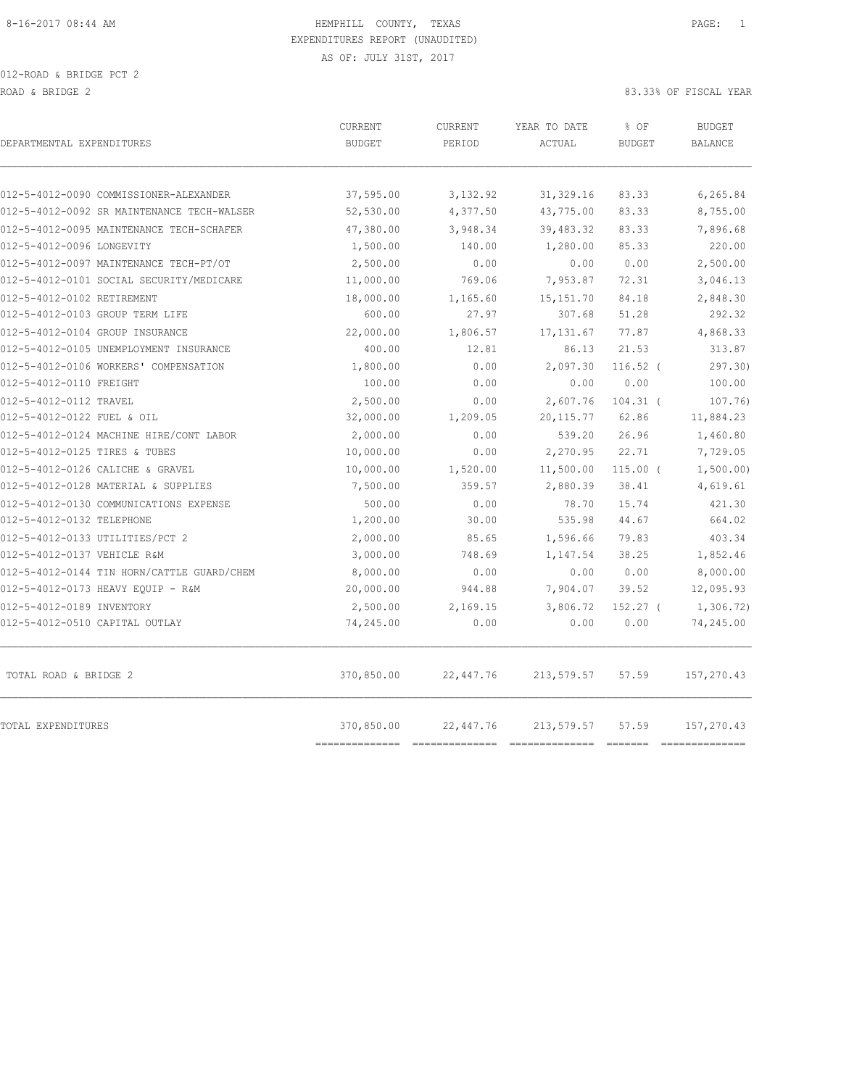012-ROAD & BRIDGE PCT 2 ROAD & BRIDGE 2 83.33% OF FISCAL YEAR

| DEPARTMENTAL EXPENDITURES                  | <b>CURRENT</b><br><b>BUDGET</b> | <b>CURRENT</b><br>PERIOD | YEAR TO DATE<br>ACTUAL | % OF<br><b>BUDGET</b> | <b>BUDGET</b><br><b>BALANCE</b> |
|--------------------------------------------|---------------------------------|--------------------------|------------------------|-----------------------|---------------------------------|
| 012-5-4012-0090 COMMISSIONER-ALEXANDER     | 37,595.00                       | 3,132.92                 | 31, 329.16             | 83.33                 | 6,265.84                        |
| 012-5-4012-0092 SR MAINTENANCE TECH-WALSER | 52, 530.00                      | 4,377.50                 | 43,775.00              | 83.33                 | 8,755.00                        |
| 012-5-4012-0095 MAINTENANCE TECH-SCHAFER   | 47,380.00                       | 3,948.34                 | 39,483.32              | 83.33                 | 7,896.68                        |
| 012-5-4012-0096 LONGEVITY                  | 1,500.00                        | 140.00                   | 1,280.00               | 85.33                 | 220.00                          |
| 012-5-4012-0097 MAINTENANCE TECH-PT/OT     | 2,500.00                        | 0.00                     | 0.00                   | 0.00                  | 2,500.00                        |
| 012-5-4012-0101 SOCIAL SECURITY/MEDICARE   | 11,000.00                       | 769.06                   | 7,953.87               | 72.31                 | 3,046.13                        |
| 012-5-4012-0102 RETIREMENT                 | 18,000.00                       | 1,165.60                 | 15, 151.70             | 84.18                 | 2,848.30                        |
| 012-5-4012-0103 GROUP TERM LIFE            | 600.00                          | 27.97                    | 307.68                 | 51.28                 | 292.32                          |
| 012-5-4012-0104 GROUP INSURANCE            | 22,000.00                       | 1,806.57                 | 17, 131.67             | 77.87                 | 4,868.33                        |
| 012-5-4012-0105 UNEMPLOYMENT INSURANCE     | 400.00                          | 12.81                    | 86.13                  | 21.53                 | 313.87                          |
| 012-5-4012-0106 WORKERS' COMPENSATION      | 1,800.00                        | 0.00                     | 2,097.30               | $116.52$ (            | 297.30                          |
| 012-5-4012-0110 FREIGHT                    | 100.00                          | 0.00                     | 0.00                   | 0.00                  | 100.00                          |
| 012-5-4012-0112 TRAVEL                     | 2,500.00                        | 0.00                     | 2,607.76               | $104.31$ (            | 107.76)                         |
| 012-5-4012-0122 FUEL & OIL                 | 32,000.00                       | 1,209.05                 | 20, 115.77             | 62.86                 | 11,884.23                       |
| 012-5-4012-0124 MACHINE HIRE/CONT LABOR    | 2,000.00                        | 0.00                     | 539.20                 | 26.96                 | 1,460.80                        |
| 012-5-4012-0125 TIRES & TUBES              | 10,000.00                       | 0.00                     | 2,270.95               | 22.71                 | 7,729.05                        |
| 012-5-4012-0126 CALICHE & GRAVEL           | 10,000.00                       | 1,520.00                 | 11,500.00              | $115.00$ (            | 1,500.00)                       |
| 012-5-4012-0128 MATERIAL & SUPPLIES        | 7,500.00                        | 359.57                   | 2,880.39               | 38.41                 | 4,619.61                        |
| 012-5-4012-0130 COMMUNICATIONS EXPENSE     | 500.00                          | 0.00                     | 78.70                  | 15.74                 | 421.30                          |
| 012-5-4012-0132 TELEPHONE                  | 1,200.00                        | 30.00                    | 535.98                 | 44.67                 | 664.02                          |
| 012-5-4012-0133 UTILITIES/PCT 2            | 2,000.00                        | 85.65                    | 1,596.66               | 79.83                 | 403.34                          |
| 012-5-4012-0137 VEHICLE R&M                | 3,000.00                        | 748.69                   | 1,147.54               | 38.25                 | 1,852.46                        |
| 012-5-4012-0144 TIN HORN/CATTLE GUARD/CHEM | 8,000.00                        | 0.00                     | 0.00                   | 0.00                  | 8,000.00                        |
| 012-5-4012-0173 HEAVY EQUIP - R&M          | 20,000.00                       | 944.88                   | 7,904.07               | 39.52                 | 12,095.93                       |
| 012-5-4012-0189 INVENTORY                  | 2,500.00                        | 2,169.15                 | 3,806.72               | $152.27$ (            | 1,306.72)                       |
| 012-5-4012-0510 CAPITAL OUTLAY             | 74,245.00                       | 0.00                     | 0.00                   | 0.00                  | 74,245.00                       |
| TOTAL ROAD & BRIDGE 2                      | 370,850.00                      | 22,447.76                | 213,579.57             | 57.59                 | 157,270.43                      |
| TOTAL EXPENDITURES                         | 370,850.00<br>--------------    | 22,447.76                | 213,579.57             | 57.59                 | 157,270.43<br>==============    |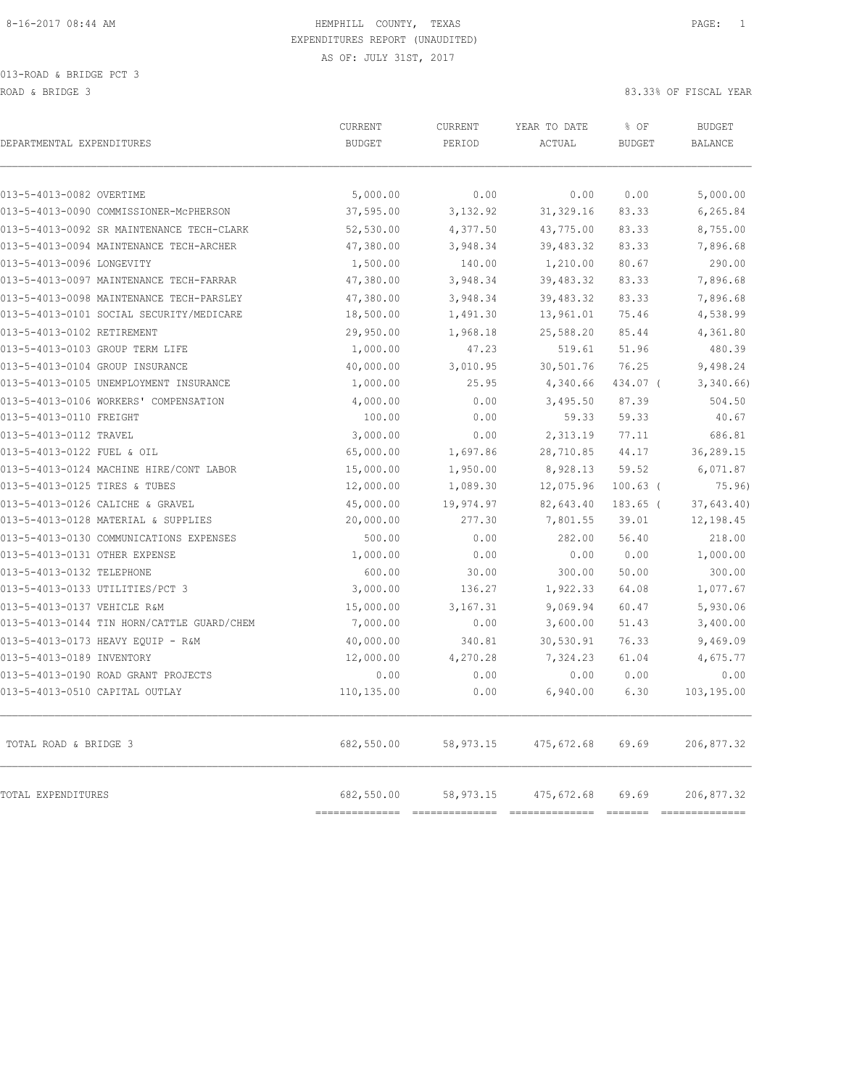013-ROAD & BRIDGE PCT 3 ROAD & BRIDGE 3 83.33% OF FISCAL YEAR

| DEPARTMENTAL EXPENDITURES                  | CURRENT<br><b>BUDGET</b>     | CURRENT<br>PERIOD           | YEAR TO DATE<br>ACTUAL       | % OF<br><b>BUDGET</b>                | <b>BUDGET</b><br><b>BALANCE</b>                                                                                                                                                                                                                                                                                                                                                                                                                                                                            |
|--------------------------------------------|------------------------------|-----------------------------|------------------------------|--------------------------------------|------------------------------------------------------------------------------------------------------------------------------------------------------------------------------------------------------------------------------------------------------------------------------------------------------------------------------------------------------------------------------------------------------------------------------------------------------------------------------------------------------------|
| 013-5-4013-0082 OVERTIME                   | 5,000.00                     | 0.00                        | 0.00                         | 0.00                                 | 5,000.00                                                                                                                                                                                                                                                                                                                                                                                                                                                                                                   |
| 013-5-4013-0090 COMMISSIONER-MCPHERSON     | 37,595.00                    | 3,132.92                    | 31, 329.16                   | 83.33                                | 6,265.84                                                                                                                                                                                                                                                                                                                                                                                                                                                                                                   |
| 013-5-4013-0092 SR MAINTENANCE TECH-CLARK  | 52,530.00                    | 4,377.50                    | 43,775.00                    | 83.33                                | 8,755.00                                                                                                                                                                                                                                                                                                                                                                                                                                                                                                   |
| 013-5-4013-0094 MAINTENANCE TECH-ARCHER    | 47,380.00                    | 3,948.34                    | 39,483.32                    | 83.33                                | 7,896.68                                                                                                                                                                                                                                                                                                                                                                                                                                                                                                   |
| 013-5-4013-0096 LONGEVITY                  | 1,500.00                     | 140.00                      | 1,210.00                     | 80.67                                | 290.00                                                                                                                                                                                                                                                                                                                                                                                                                                                                                                     |
| 013-5-4013-0097 MAINTENANCE TECH-FARRAR    | 47,380.00                    | 3,948.34                    | 39,483.32                    | 83.33                                | 7,896.68                                                                                                                                                                                                                                                                                                                                                                                                                                                                                                   |
| 013-5-4013-0098 MAINTENANCE TECH-PARSLEY   | 47,380.00                    | 3,948.34                    | 39,483.32                    | 83.33                                | 7,896.68                                                                                                                                                                                                                                                                                                                                                                                                                                                                                                   |
| 013-5-4013-0101 SOCIAL SECURITY/MEDICARE   | 18,500.00                    | 1,491.30                    | 13,961.01                    | 75.46                                | 4,538.99                                                                                                                                                                                                                                                                                                                                                                                                                                                                                                   |
| 013-5-4013-0102 RETIREMENT                 | 29,950.00                    | 1,968.18                    | 25,588.20                    | 85.44                                | 4,361.80                                                                                                                                                                                                                                                                                                                                                                                                                                                                                                   |
| 013-5-4013-0103 GROUP TERM LIFE            | 1,000.00                     | 47.23                       | 519.61                       | 51.96                                | 480.39                                                                                                                                                                                                                                                                                                                                                                                                                                                                                                     |
| 013-5-4013-0104 GROUP INSURANCE            | 40,000.00                    | 3,010.95                    | 30,501.76                    | 76.25                                | 9,498.24                                                                                                                                                                                                                                                                                                                                                                                                                                                                                                   |
| 013-5-4013-0105 UNEMPLOYMENT INSURANCE     | 1,000.00                     | 25.95                       | 4,340.66                     | 434.07 (                             | 3,340.66                                                                                                                                                                                                                                                                                                                                                                                                                                                                                                   |
| 013-5-4013-0106 WORKERS' COMPENSATION      | 4,000.00                     | 0.00                        | 3,495.50                     | 87.39                                | 504.50                                                                                                                                                                                                                                                                                                                                                                                                                                                                                                     |
| 013-5-4013-0110 FREIGHT                    | 100.00                       | 0.00                        | 59.33                        | 59.33                                | 40.67                                                                                                                                                                                                                                                                                                                                                                                                                                                                                                      |
| 013-5-4013-0112 TRAVEL                     | 3,000.00                     | 0.00                        | 2,313.19                     | 77.11                                | 686.81                                                                                                                                                                                                                                                                                                                                                                                                                                                                                                     |
| 013-5-4013-0122 FUEL & OIL                 | 65,000.00                    | 1,697.86                    | 28,710.85                    | 44.17                                | 36,289.15                                                                                                                                                                                                                                                                                                                                                                                                                                                                                                  |
| 013-5-4013-0124 MACHINE HIRE/CONT LABOR    | 15,000.00                    | 1,950.00                    | 8,928.13                     | 59.52                                | 6,071.87                                                                                                                                                                                                                                                                                                                                                                                                                                                                                                   |
| 013-5-4013-0125 TIRES & TUBES              | 12,000.00                    | 1,089.30                    | 12,075.96                    | $100.63$ (                           | 75.96                                                                                                                                                                                                                                                                                                                                                                                                                                                                                                      |
| 013-5-4013-0126 CALICHE & GRAVEL           | 45,000.00                    | 19,974.97                   | 82,643.40                    | $183.65$ (                           | 37,643.40)                                                                                                                                                                                                                                                                                                                                                                                                                                                                                                 |
| 013-5-4013-0128 MATERIAL & SUPPLIES        | 20,000.00                    | 277.30                      | 7,801.55                     | 39.01                                | 12,198.45                                                                                                                                                                                                                                                                                                                                                                                                                                                                                                  |
| 013-5-4013-0130 COMMUNICATIONS EXPENSES    | 500.00                       | 0.00                        | 282.00                       | 56.40                                | 218.00                                                                                                                                                                                                                                                                                                                                                                                                                                                                                                     |
| 013-5-4013-0131 OTHER EXPENSE              | 1,000.00                     | 0.00                        | 0.00                         | 0.00                                 | 1,000.00                                                                                                                                                                                                                                                                                                                                                                                                                                                                                                   |
| 013-5-4013-0132 TELEPHONE                  | 600.00                       | 30.00                       | 300.00                       | 50.00                                | 300.00                                                                                                                                                                                                                                                                                                                                                                                                                                                                                                     |
| 013-5-4013-0133 UTILITIES/PCT 3            | 3,000.00                     | 136.27                      | 1,922.33                     | 64.08                                | 1,077.67                                                                                                                                                                                                                                                                                                                                                                                                                                                                                                   |
| 013-5-4013-0137 VEHICLE R&M                | 15,000.00                    | 3,167.31                    | 9,069.94                     | 60.47                                | 5,930.06                                                                                                                                                                                                                                                                                                                                                                                                                                                                                                   |
| 013-5-4013-0144 TIN HORN/CATTLE GUARD/CHEM | 7,000.00                     | 0.00                        | 3,600.00                     | 51.43                                | 3,400.00                                                                                                                                                                                                                                                                                                                                                                                                                                                                                                   |
| 013-5-4013-0173 HEAVY EQUIP - R&M          | 40,000.00                    | 340.81                      | 30,530.91                    | 76.33                                | 9,469.09                                                                                                                                                                                                                                                                                                                                                                                                                                                                                                   |
| 013-5-4013-0189 INVENTORY                  | 12,000.00                    | 4,270.28                    | 7,324.23                     | 61.04                                | 4,675.77                                                                                                                                                                                                                                                                                                                                                                                                                                                                                                   |
| 013-5-4013-0190 ROAD GRANT PROJECTS        | 0.00                         | 0.00                        | 0.00                         | 0.00                                 | 0.00                                                                                                                                                                                                                                                                                                                                                                                                                                                                                                       |
| 013-5-4013-0510 CAPITAL OUTLAY             | 110,135.00                   | 0.00                        | 6,940.00                     | 6.30                                 | 103,195.00                                                                                                                                                                                                                                                                                                                                                                                                                                                                                                 |
| TOTAL ROAD & BRIDGE 3                      | 682,550.00                   | 58,973.15                   | 475,672.68                   | 69.69                                | 206,877.32                                                                                                                                                                                                                                                                                                                                                                                                                                                                                                 |
| TOTAL EXPENDITURES                         | 682,550.00<br>============== | 58,973.15<br>============== | 475,672.68<br>============== | 69.69<br>$=$ $=$ $=$ $=$ $=$ $=$ $=$ | 206,877.32<br>$\begin{array}{c} \multicolumn{3}{c} {\textbf{1}} & \multicolumn{3}{c} {\textbf{2}} & \multicolumn{3}{c} {\textbf{3}} & \multicolumn{3}{c} {\textbf{4}} \\ \multicolumn{3}{c} {\textbf{2}} & \multicolumn{3}{c} {\textbf{3}} & \multicolumn{3}{c} {\textbf{4}} & \multicolumn{3}{c} {\textbf{5}} & \multicolumn{3}{c} {\textbf{6}} \\ \multicolumn{3}{c} {\textbf{4}} & \multicolumn{3}{c} {\textbf{5}} & \multicolumn{3}{c} {\textbf{6}} & \multicolumn{3}{c} {\textbf{6}} & \multicolumn{$ |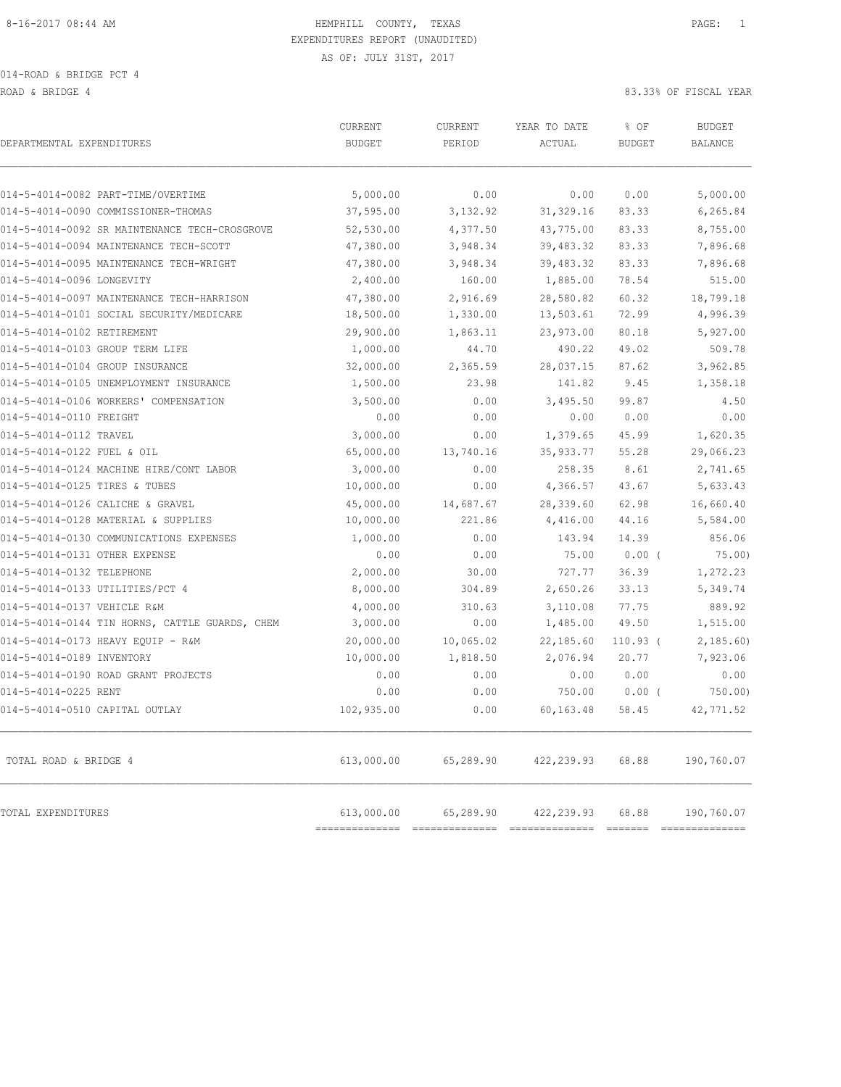014-ROAD & BRIDGE PCT 4

ROAD & BRIDGE 4 83.33% OF FISCAL YEAR

| DEPARTMENTAL EXPENDITURES                      | CURRENT<br><b>BUDGET</b>     | <b>CURRENT</b><br>PERIOD    | YEAR TO DATE<br>ACTUAL                                                                                                                                                                                                                                                                                                                                                                                                                                                                                | % OF<br><b>BUDGET</b> | <b>BUDGET</b><br><b>BALANCE</b> |
|------------------------------------------------|------------------------------|-----------------------------|-------------------------------------------------------------------------------------------------------------------------------------------------------------------------------------------------------------------------------------------------------------------------------------------------------------------------------------------------------------------------------------------------------------------------------------------------------------------------------------------------------|-----------------------|---------------------------------|
| 014-5-4014-0082 PART-TIME/OVERTIME             | 5,000.00                     | 0.00                        | 0.00                                                                                                                                                                                                                                                                                                                                                                                                                                                                                                  | 0.00                  | 5,000.00                        |
| 014-5-4014-0090 COMMISSIONER-THOMAS            | 37,595.00                    | 3,132.92                    | 31, 329.16                                                                                                                                                                                                                                                                                                                                                                                                                                                                                            | 83.33                 | 6,265.84                        |
| 014-5-4014-0092 SR MAINTENANCE TECH-CROSGROVE  | 52,530.00                    | 4,377.50                    | 43,775.00                                                                                                                                                                                                                                                                                                                                                                                                                                                                                             | 83.33                 | 8,755.00                        |
| 014-5-4014-0094 MAINTENANCE TECH-SCOTT         | 47,380.00                    | 3,948.34                    | 39,483.32                                                                                                                                                                                                                                                                                                                                                                                                                                                                                             | 83.33                 | 7,896.68                        |
| 014-5-4014-0095 MAINTENANCE TECH-WRIGHT        | 47,380.00                    | 3,948.34                    | 39,483.32                                                                                                                                                                                                                                                                                                                                                                                                                                                                                             | 83.33                 | 7,896.68                        |
| 014-5-4014-0096 LONGEVITY                      | 2,400.00                     | 160.00                      | 1,885.00                                                                                                                                                                                                                                                                                                                                                                                                                                                                                              | 78.54                 | 515.00                          |
| 014-5-4014-0097 MAINTENANCE TECH-HARRISON      | 47,380.00                    | 2,916.69                    | 28,580.82                                                                                                                                                                                                                                                                                                                                                                                                                                                                                             | 60.32                 | 18,799.18                       |
| 014-5-4014-0101 SOCIAL SECURITY/MEDICARE       | 18,500.00                    | 1,330.00                    | 13,503.61                                                                                                                                                                                                                                                                                                                                                                                                                                                                                             | 72.99                 | 4,996.39                        |
| 014-5-4014-0102 RETIREMENT                     | 29,900.00                    | 1,863.11                    | 23,973.00                                                                                                                                                                                                                                                                                                                                                                                                                                                                                             | 80.18                 | 5,927.00                        |
| 014-5-4014-0103 GROUP TERM LIFE                | 1,000.00                     | 44.70                       | 490.22                                                                                                                                                                                                                                                                                                                                                                                                                                                                                                | 49.02                 | 509.78                          |
| 014-5-4014-0104 GROUP INSURANCE                | 32,000.00                    | 2,365.59                    | 28,037.15                                                                                                                                                                                                                                                                                                                                                                                                                                                                                             | 87.62                 | 3,962.85                        |
| 014-5-4014-0105 UNEMPLOYMENT INSURANCE         | 1,500.00                     | 23.98                       | 141.82                                                                                                                                                                                                                                                                                                                                                                                                                                                                                                | 9.45                  | 1,358.18                        |
| 014-5-4014-0106 WORKERS' COMPENSATION          | 3,500.00                     | 0.00                        | 3,495.50                                                                                                                                                                                                                                                                                                                                                                                                                                                                                              | 99.87                 | 4.50                            |
| 014-5-4014-0110 FREIGHT                        | 0.00                         | 0.00                        | 0.00                                                                                                                                                                                                                                                                                                                                                                                                                                                                                                  | 0.00                  | 0.00                            |
| 014-5-4014-0112 TRAVEL                         | 3,000.00                     | 0.00                        | 1,379.65                                                                                                                                                                                                                                                                                                                                                                                                                                                                                              | 45.99                 | 1,620.35                        |
| 014-5-4014-0122 FUEL & OIL                     | 65,000.00                    | 13,740.16                   | 35, 933.77                                                                                                                                                                                                                                                                                                                                                                                                                                                                                            | 55.28                 | 29,066.23                       |
| 014-5-4014-0124 MACHINE HIRE/CONT LABOR        | 3,000.00                     | 0.00                        | 258.35                                                                                                                                                                                                                                                                                                                                                                                                                                                                                                | 8.61                  | 2,741.65                        |
| 014-5-4014-0125 TIRES & TUBES                  | 10,000.00                    | 0.00                        | 4,366.57                                                                                                                                                                                                                                                                                                                                                                                                                                                                                              | 43.67                 | 5,633.43                        |
| 014-5-4014-0126 CALICHE & GRAVEL               | 45,000.00                    | 14,687.67                   | 28,339.60                                                                                                                                                                                                                                                                                                                                                                                                                                                                                             | 62.98                 | 16,660.40                       |
| 014-5-4014-0128 MATERIAL & SUPPLIES            | 10,000.00                    | 221.86                      | 4,416.00                                                                                                                                                                                                                                                                                                                                                                                                                                                                                              | 44.16                 | 5,584.00                        |
| 014-5-4014-0130 COMMUNICATIONS EXPENSES        | 1,000.00                     | 0.00                        | 143.94                                                                                                                                                                                                                                                                                                                                                                                                                                                                                                | 14.39                 | 856.06                          |
| 014-5-4014-0131 OTHER EXPENSE                  | 0.00                         | 0.00                        | 75.00                                                                                                                                                                                                                                                                                                                                                                                                                                                                                                 | $0.00$ (              | 75.00)                          |
| 014-5-4014-0132 TELEPHONE                      | 2,000.00                     | 30.00                       | 727.77                                                                                                                                                                                                                                                                                                                                                                                                                                                                                                | 36.39                 | 1,272.23                        |
| 014-5-4014-0133 UTILITIES/PCT 4                | 8,000.00                     | 304.89                      | 2,650.26                                                                                                                                                                                                                                                                                                                                                                                                                                                                                              | 33.13                 | 5,349.74                        |
| 014-5-4014-0137 VEHICLE R&M                    | 4,000.00                     | 310.63                      | 3,110.08                                                                                                                                                                                                                                                                                                                                                                                                                                                                                              | 77.75                 | 889.92                          |
| 014-5-4014-0144 TIN HORNS, CATTLE GUARDS, CHEM | 3,000.00                     | 0.00                        | 1,485.00                                                                                                                                                                                                                                                                                                                                                                                                                                                                                              | 49.50                 | 1,515.00                        |
| 014-5-4014-0173 HEAVY EQUIP - R&M              | 20,000.00                    | 10,065.02                   | 22,185.60                                                                                                                                                                                                                                                                                                                                                                                                                                                                                             | $110.93$ (            | 2,185.60                        |
| 014-5-4014-0189 INVENTORY                      | 10,000.00                    | 1,818.50                    | 2,076.94                                                                                                                                                                                                                                                                                                                                                                                                                                                                                              | 20.77                 | 7,923.06                        |
| 014-5-4014-0190 ROAD GRANT PROJECTS            | 0.00                         | 0.00                        | 0.00                                                                                                                                                                                                                                                                                                                                                                                                                                                                                                  | 0.00                  | 0.00                            |
| 014-5-4014-0225 RENT                           | 0.00                         | 0.00                        | 750.00                                                                                                                                                                                                                                                                                                                                                                                                                                                                                                | $0.00$ (              | 750.00                          |
| 014-5-4014-0510 CAPITAL OUTLAY                 | 102,935.00                   | 0.00                        | 60,163.48                                                                                                                                                                                                                                                                                                                                                                                                                                                                                             | 58.45                 | 42,771.52                       |
| TOTAL ROAD & BRIDGE 4                          | 613,000.00                   | 65,289.90                   | 422, 239.93                                                                                                                                                                                                                                                                                                                                                                                                                                                                                           | 68.88                 | 190,760.07                      |
| TOTAL EXPENDITURES                             | 613,000.00<br>============== | 65,289.90<br>============== | 422, 239.93<br>$\begin{array}{cccccccccc} \multicolumn{2}{c}{} & \multicolumn{2}{c}{} & \multicolumn{2}{c}{} & \multicolumn{2}{c}{} & \multicolumn{2}{c}{} & \multicolumn{2}{c}{} & \multicolumn{2}{c}{} & \multicolumn{2}{c}{} & \multicolumn{2}{c}{} & \multicolumn{2}{c}{} & \multicolumn{2}{c}{} & \multicolumn{2}{c}{} & \multicolumn{2}{c}{} & \multicolumn{2}{c}{} & \multicolumn{2}{c}{} & \multicolumn{2}{c}{} & \multicolumn{2}{c}{} & \multicolumn{2}{c}{} & \multicolumn{2}{c}{} & \mult$ | 68.88                 | 190,760.07<br>--------------    |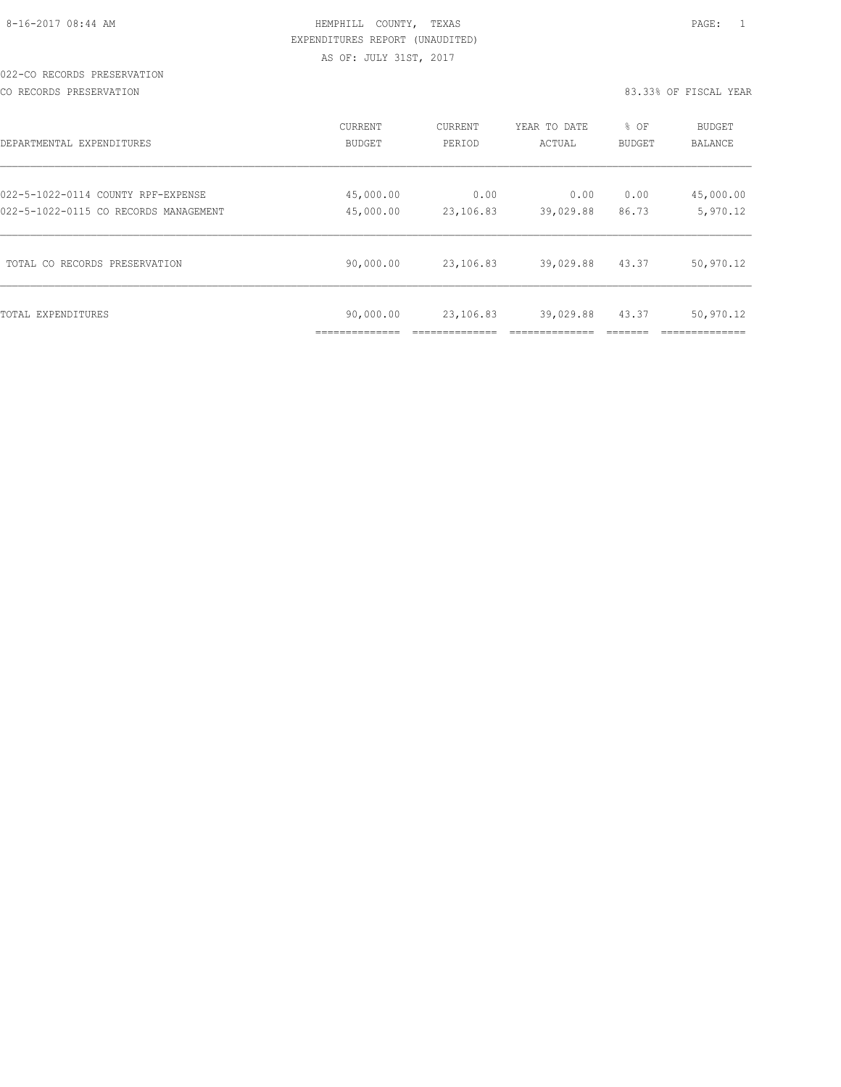|  | $8-16-2017$ $08:44$ AM |  |
|--|------------------------|--|
|  |                        |  |

## HEMPHILL COUNTY, TEXAS **Example 20:44 AM HEMPHILL** COUNTY, TEXAS EXPENDITURES REPORT (UNAUDITED) AS OF: JULY 31ST, 2017

#### 022-CO RECORDS PRESERVATION

CO RECORDS PRESERVATION 83.33% OF FISCAL YEAR

| DEPARTMENTAL EXPENDITURES             | CURRENT                    | CURRENT   | YEAR TO DATE | % OF   | BUDGET         |
|---------------------------------------|----------------------------|-----------|--------------|--------|----------------|
|                                       | BUDGET                     | PERIOD    | ACTUAL       | BUDGET | <b>BALANCE</b> |
| 022-5-1022-0114 COUNTY RPF-EXPENSE    | 45,000.00                  | 0.00      | 0.00         | 0.00   | 45,000.00      |
| 022-5-1022-0115 CO RECORDS MANAGEMENT | 45,000.00                  | 23,106.83 | 39,029.88    | 86.73  | 5,970.12       |
| TOTAL CO RECORDS PRESERVATION         | 90,000.00                  | 23,106.83 | 39,029.88    | 43.37  | 50,970.12      |
| TOTAL EXPENDITURES                    | 90,000.00<br>_____________ | 23,106.83 | 39,029.88    | 43.37  | 50,970.12      |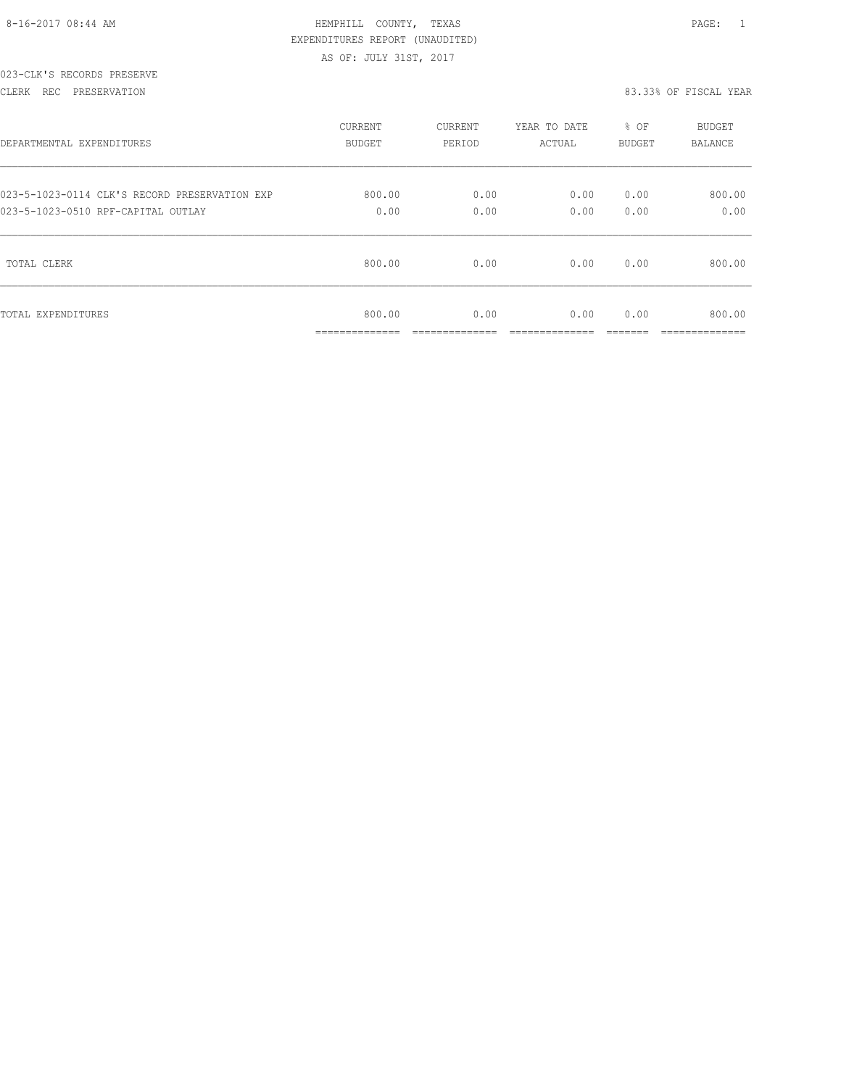| 8-16-2017 08:44 AM |  |
|--------------------|--|

## HEMPHILL COUNTY, TEXAS **Example 20:44 AM HEMPHILL** COUNTY, TEXAS EXPENDITURES REPORT (UNAUDITED) AS OF: JULY 31ST, 2017

#### 023-CLK'S RECORDS PRESERVE

CLERK REC PRESERVATION 83.33% OF FISCAL YEAR

| DEPARTMENTAL EXPENDITURES                     | CURRENT                                   | CURRENT | YEAR TO DATE | % OF   | BUDGET                    |
|-----------------------------------------------|-------------------------------------------|---------|--------------|--------|---------------------------|
|                                               | BUDGET                                    | PERIOD  | ACTUAL       | BUDGET | BALANCE                   |
| 023-5-1023-0114 CLK'S RECORD PRESERVATION EXP | 800.00                                    | 0.00    | 0.00         | 0.00   | 800.00                    |
| 023-5-1023-0510 RPF-CAPITAL OUTLAY            | 0.00                                      | 0.00    | 0.00         | 0.00   | 0.00                      |
| TOTAL CLERK                                   | 800.00                                    | 0.00    | 0.00         | 0.00   | 800.00                    |
| TOTAL EXPENDITURES                            | 800.00<br>_____________<br>______________ | 0.00    | 0.00         | 0.00   | 800.00<br>--------------- |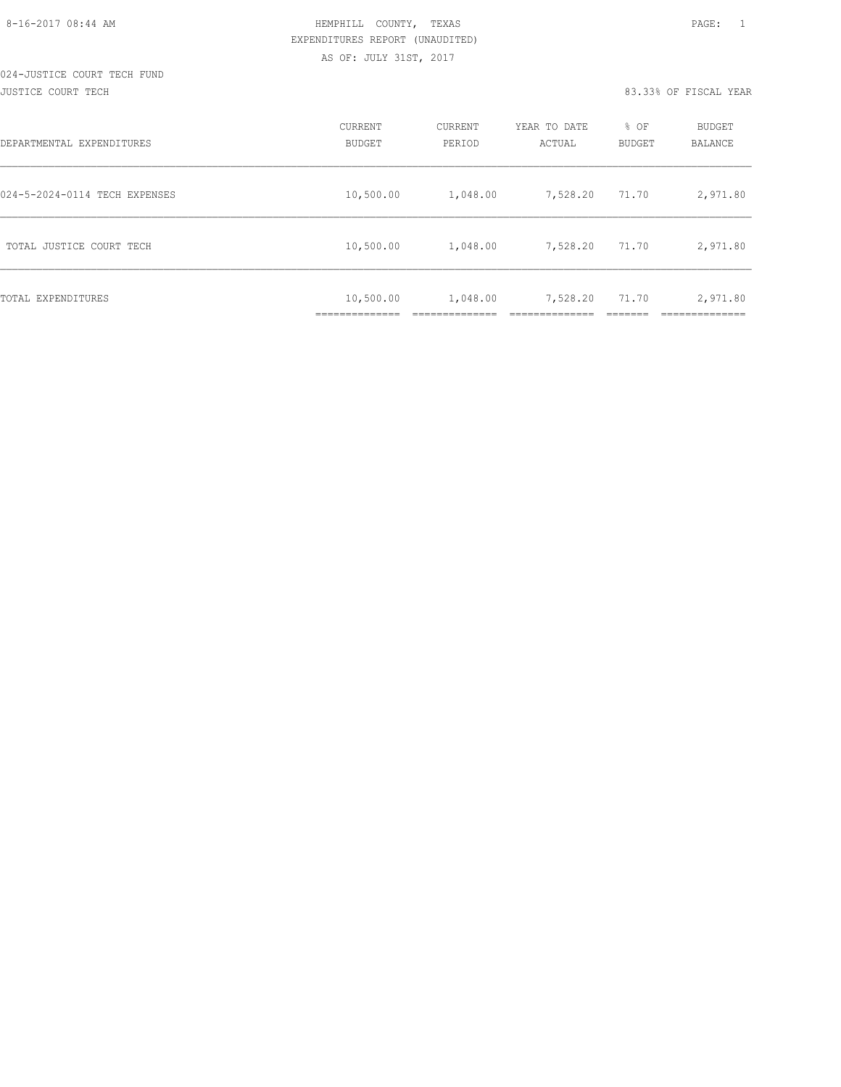#### 024-JUSTICE COURT TECH FUND JUSTICE COURT TECH 83.33% OF FISCAL YEAR

| DEPARTMENTAL EXPENDITURES     | CURRENT<br><b>BUDGET</b> | CURRENT<br>PERIOD | YEAR TO DATE<br>ACTUAL | % OF<br>BUDGET | BUDGET<br><b>BALANCE</b> |
|-------------------------------|--------------------------|-------------------|------------------------|----------------|--------------------------|
| 024-5-2024-0114 TECH EXPENSES | 10,500.00                | 1,048.00          | 7,528.20               | 71.70          | 2,971.80                 |
| TOTAL JUSTICE COURT TECH      | 10,500.00                | 1,048.00          | 7,528.20               | 71.70          | 2,971.80                 |
| TOTAL EXPENDITURES            | 10,500.00                | 1,048.00          | 7,528.20               | 71.70          | 2,971.80                 |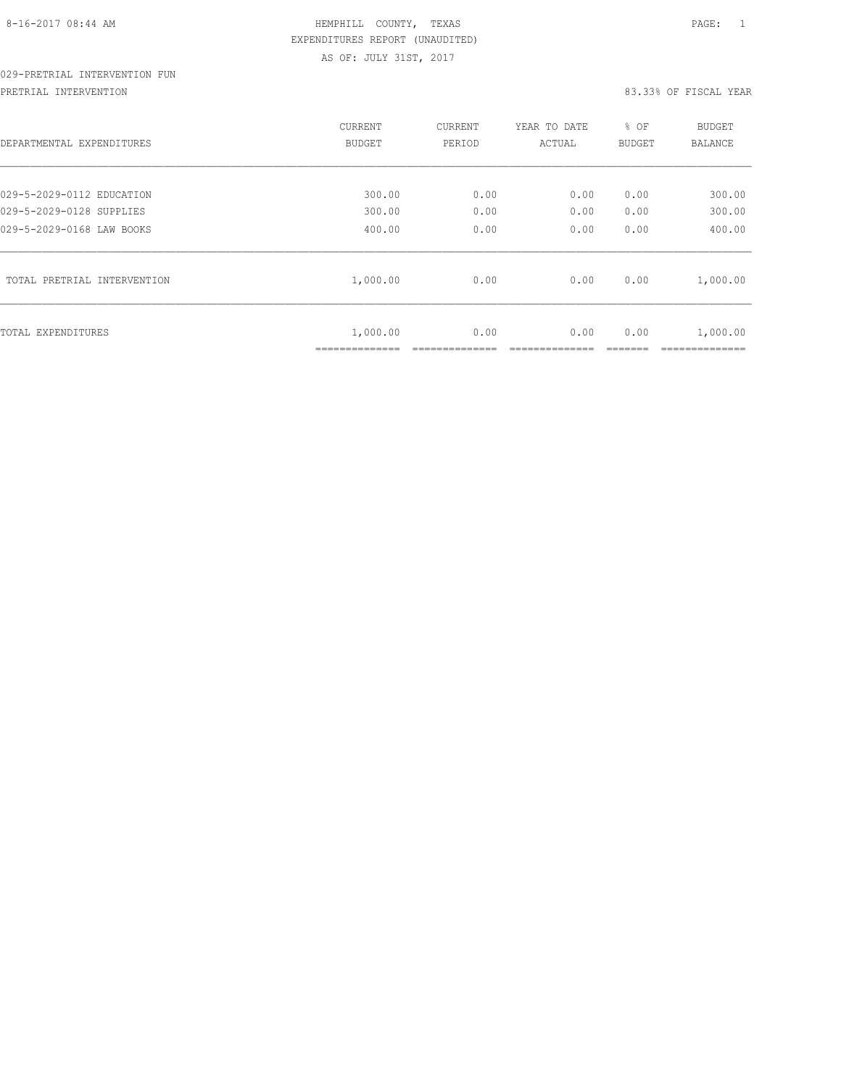# 029-PRETRIAL INTERVENTION FUN

PRETRIAL INTERVENTION 83.33% OF FISCAL YEAR

| DEPARTMENTAL EXPENDITURES   | <b>CURRENT</b><br><b>BUDGET</b> | CURRENT<br>PERIOD | YEAR TO DATE<br>ACTUAL | % OF<br><b>BUDGET</b> | BUDGET<br><b>BALANCE</b>  |
|-----------------------------|---------------------------------|-------------------|------------------------|-----------------------|---------------------------|
| 029-5-2029-0112 EDUCATION   | 300.00                          | 0.00              | 0.00                   | 0.00                  | 300.00                    |
| 029-5-2029-0128 SUPPLIES    | 300.00                          | 0.00              | 0.00                   | 0.00                  | 300.00                    |
| 029-5-2029-0168 LAW BOOKS   | 400.00                          | 0.00              | 0.00                   | 0.00                  | 400.00                    |
| TOTAL PRETRIAL INTERVENTION | 1,000.00                        | 0.00              | 0.00                   | 0.00                  | 1,000.00                  |
| TOTAL EXPENDITURES          | 1,000.00<br>--------------      | 0.00              | 0.00                   | 0.00                  | 1,000.00<br>_____________ |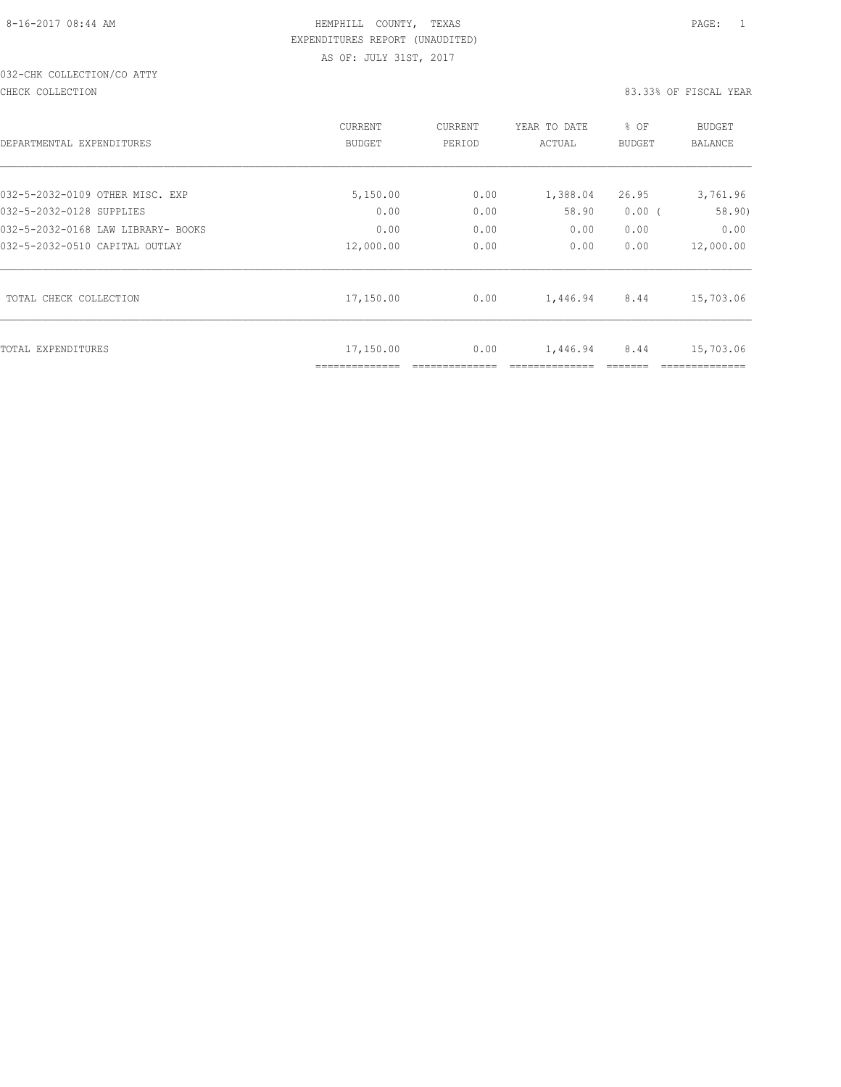# 032-CHK COLLECTION/CO ATTY

#### CHECK COLLECTION 83.33% OF FISCAL YEAR

| DEPARTMENTAL EXPENDITURES          | <b>CURRENT</b><br><b>BUDGET</b> | CURRENT<br>PERIOD | YEAR TO DATE<br>ACTUAL | % OF<br>BUDGET | BUDGET<br><b>BALANCE</b> |
|------------------------------------|---------------------------------|-------------------|------------------------|----------------|--------------------------|
| 032-5-2032-0109 OTHER MISC. EXP    | 5,150.00                        | 0.00              | 1,388.04               | 26.95          | 3,761.96                 |
| 032-5-2032-0128 SUPPLIES           | 0.00                            | 0.00              | 58.90                  | $0.00$ (       | 58.90)                   |
| 032-5-2032-0168 LAW LIBRARY- BOOKS | 0.00                            | 0.00              | 0.00                   | 0.00           | 0.00                     |
| 032-5-2032-0510 CAPITAL OUTLAY     | 12,000.00                       | 0.00              | 0.00                   | 0.00           | 12,000.00                |
| TOTAL CHECK COLLECTION             | 17,150.00                       | 0.00              | 1,446.94               | 8.44           | 15,703.06                |
| TOTAL EXPENDITURES                 | 17,150.00<br>==============     | 0.00              | 1,446.94               | 8.44           | 15,703.06                |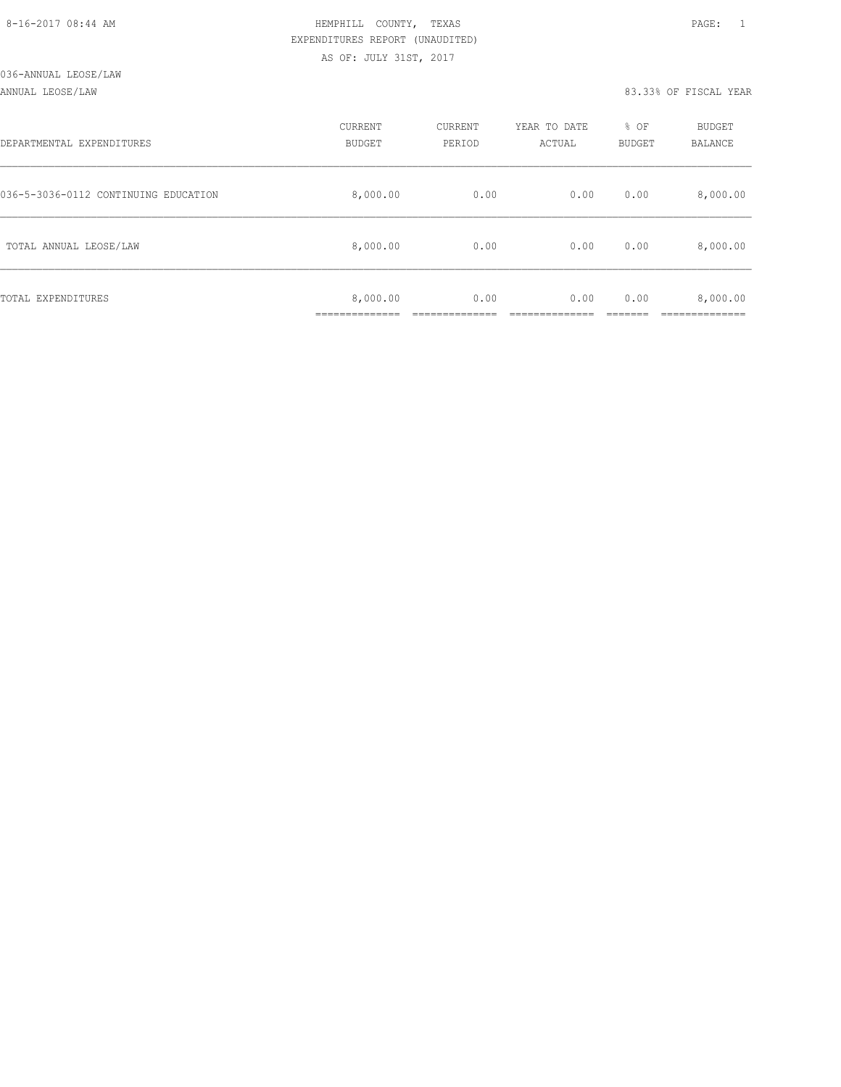| 8-16-2017 08:44 AM |
|--------------------|
|                    |

## HEMPHILL COUNTY, TEXAS **Example 20:44 AM HEMPHILL** COUNTY, TEXAS EXPENDITURES REPORT (UNAUDITED) AS OF: JULY 31ST, 2017

#### ANNUAL LEOSE/LAW 83.33% OF FISCAL YEAR

| DEPARTMENTAL EXPENDITURES            | CURRENT<br><b>BUDGET</b> | CURRENT<br>PERIOD | YEAR TO DATE<br>ACTUAL | % OF<br>BUDGET | BUDGET<br>BALANCE |
|--------------------------------------|--------------------------|-------------------|------------------------|----------------|-------------------|
| 036-5-3036-0112 CONTINUING EDUCATION | 8,000.00                 | 0.00              | 0.00                   | 0.00           | 8,000.00          |
| TOTAL ANNUAL LEOSE/LAW               | 8,000.00                 | 0.00              | 0.00                   | 0.00           | 8,000.00          |
| TOTAL EXPENDITURES                   | 8,000.00                 | 0.00              | 0.00                   | 0.00           | 8,000.00          |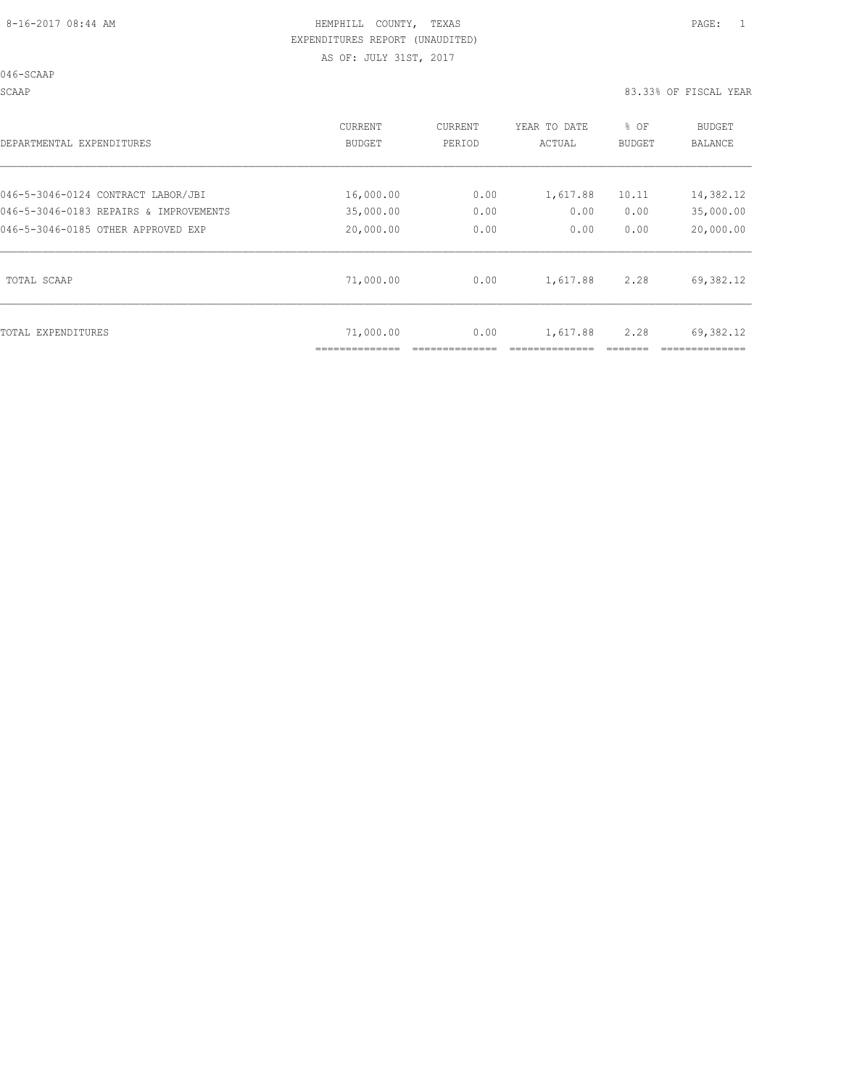046-SCAAP

SCAAP 83.33% OF FISCAL YEAR

| DEPARTMENTAL EXPENDITURES              | CURRENT<br><b>BUDGET</b> | CURRENT<br>PERIOD | YEAR TO DATE<br>ACTUAL | % OF<br><b>BUDGET</b> | BUDGET<br><b>BALANCE</b> |
|----------------------------------------|--------------------------|-------------------|------------------------|-----------------------|--------------------------|
| 046-5-3046-0124 CONTRACT LABOR/JBI     | 16,000.00                | 0.00              | 1,617.88               | 10.11                 | 14,382.12                |
| 046-5-3046-0183 REPAIRS & IMPROVEMENTS | 35,000.00                | 0.00              | 0.00                   | 0.00                  | 35,000.00                |
| 046-5-3046-0185 OTHER APPROVED EXP     | 20,000.00                | 0.00              | 0.00                   | 0.00                  | 20,000.00                |
| TOTAL SCAAP                            | 71,000.00                | 0.00              | 1,617.88               | 2.28                  | 69,382.12                |
| TOTAL EXPENDITURES                     | 71,000.00                | 0.00              | 1,617.88               | 2.28                  | 69,382.12                |